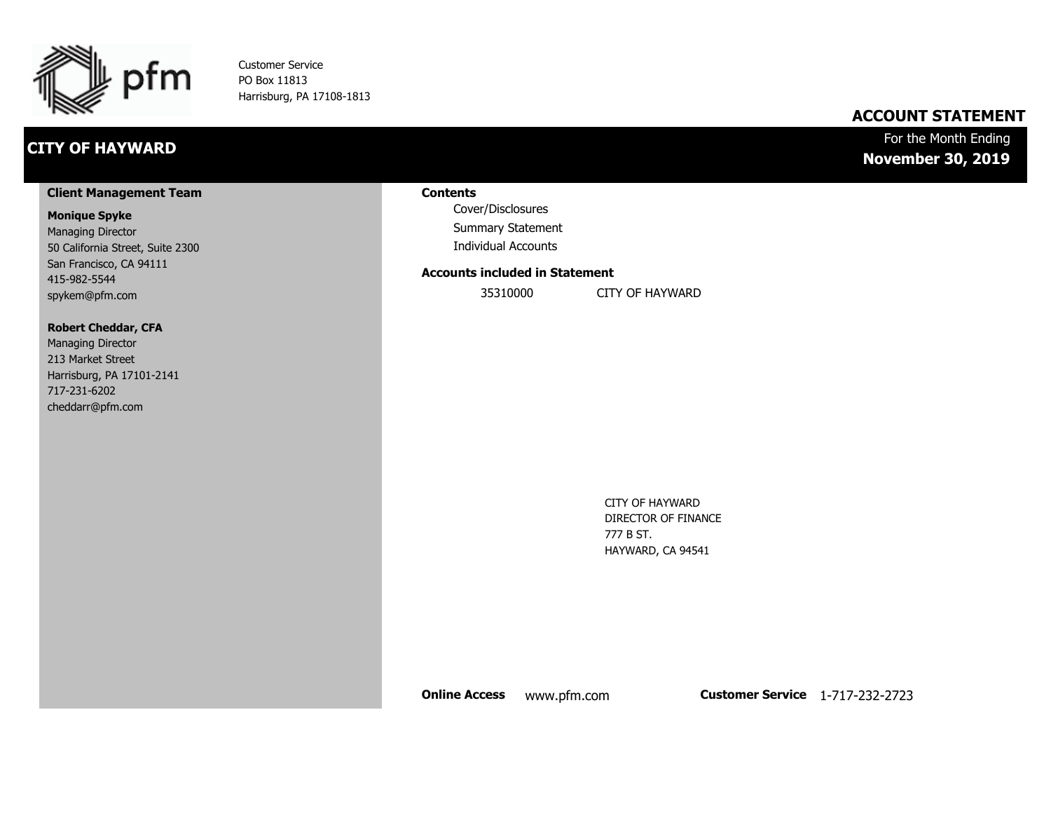

Customer Service PO Box 11813 Harrisburg, PA 17108-1813

## **CITY OF HAYWARD**

## **ACCOUNT STATEMENT**

## For the Month Ending **November 30, 2019**

#### **Client Management Team**

#### **Monique Spyke**

Managing Director 50 California Street, Suite 2300 San Francisco, CA 94111 415-982-5544 spykem@pfm.com

#### **Robert Cheddar, CFA**

| <b>Managing Director</b>  |
|---------------------------|
| 213 Market Street         |
| Harrisburg, PA 17101-2141 |
| 717-231-6202              |
| cheddarr@pfm.com          |

#### **Contents**

Cover/Disclosures Summary Statement Individual Accounts

#### **Accounts included in Statement**

35310000 CITY OF HAYWARD

CITY OF HAYWARD DIRECTOR OF FINANCE 777 B ST. HAYWARD, CA 94541

**Online Access** www.pfm.com **Customer Service** 1-717-232-2723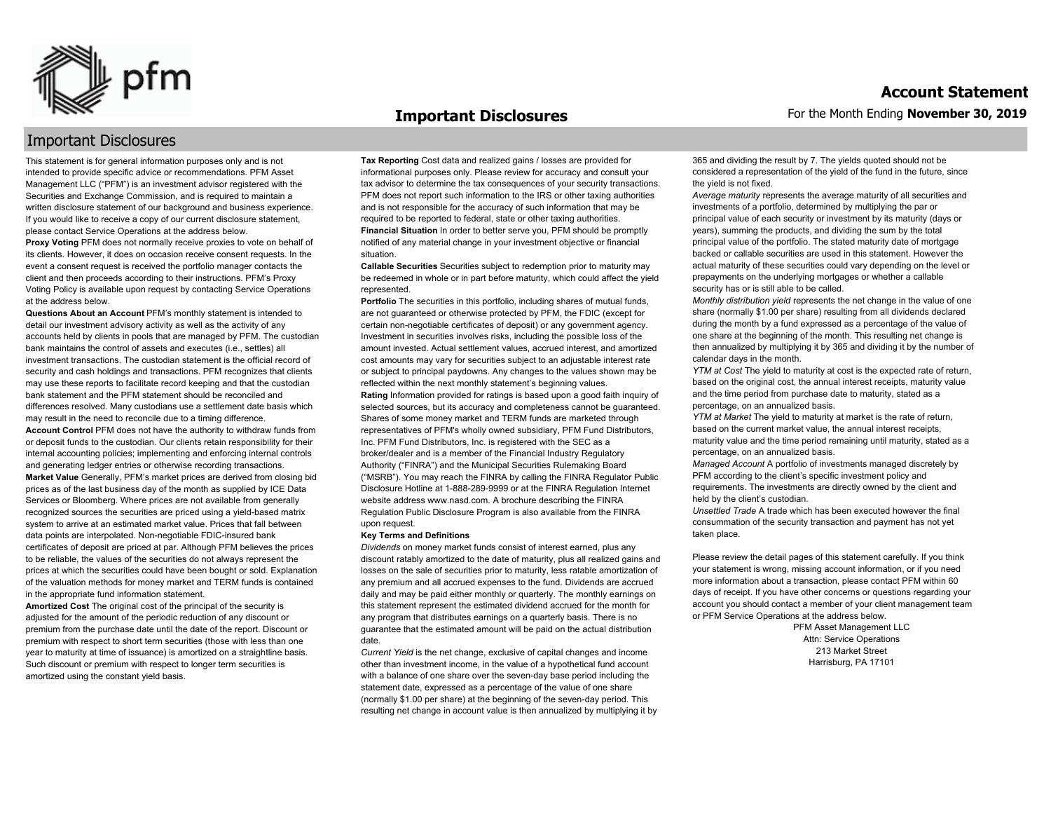

#### **Important Disclosures**

### Important Disclosures

This statement is for general information purposes only and is not intended to provide specific advice or recommendations. PFM Asset Management LLC ("PFM") is an investment advisor registered with the Securities and Exchange Commission, and is required to maintain a written disclosure statement of our background and business experience. If you would like to receive a copy of our current disclosure statement, please contact Service Operations at the address below.

**Proxy Voting** PFM does not normally receive proxies to vote on behalf of its clients. However, it does on occasion receive consent requests. In the event a consent request is received the portfolio manager contacts the client and then proceeds according to their instructions. PFM's Proxy Voting Policy is available upon request by contacting Service Operations at the address below.

**Questions About an Account** PFM's monthly statement is intended to detail our investment advisory activity as well as the activity of any accounts held by clients in pools that are managed by PFM. The custodian bank maintains the control of assets and executes (i.e., settles) all investment transactions. The custodian statement is the official record of security and cash holdings and transactions. PFM recognizes that clients may use these reports to facilitate record keeping and that the custodian bank statement and the PFM statement should be reconciled and differences resolved. Many custodians use a settlement date basis which may result in the need to reconcile due to a timing difference. **Account Control** PFM does not have the authority to withdraw funds from or deposit funds to the custodian. Our clients retain responsibility for their internal accounting policies; implementing and enforcing internal controls and generating ledger entries or otherwise recording transactions. **Market Value** Generally, PFM's market prices are derived from closing bid prices as of the last business day of the month as supplied by ICE Data Services or Bloomberg. Where prices are not available from generally recognized sources the securities are priced using a yield-based matrix system to arrive at an estimated market value. Prices that fall between data points are interpolated. Non-negotiable FDIC-insured bank certificates of deposit are priced at par. Although PFM believes the prices to be reliable, the values of the securities do not always represent the prices at which the securities could have been bought or sold. Explanation of the valuation methods for money market and TERM funds is contained in the appropriate fund information statement.

**Amortized Cost** The original cost of the principal of the security is adjusted for the amount of the periodic reduction of any discount or premium from the purchase date until the date of the report. Discount or premium with respect to short term securities (those with less than one year to maturity at time of issuance) is amortized on a straightline basis. Such discount or premium with respect to longer term securities is amortized using the constant yield basis.

**Tax Reporting** Cost data and realized gains / losses are provided for informational purposes only. Please review for accuracy and consult your tax advisor to determine the tax consequences of your security transactions. PFM does not report such information to the IRS or other taxing authorities and is not responsible for the accuracy of such information that may be required to be reported to federal, state or other taxing authorities. **Financial Situation** In order to better serve you, PFM should be promptly notified of any material change in your investment objective or financial situation.

**Callable Securities** Securities subject to redemption prior to maturity may be redeemed in whole or in part before maturity, which could affect the yield represented.

Portfolio The securities in this portfolio, including shares of mutual funds, are not guaranteed or otherwise protected by PFM, the FDIC (except for certain non-negotiable certificates of deposit) or any government agency. Investment in securities involves risks, including the possible loss of the amount invested. Actual settlement values, accrued interest, and amortized cost amounts may vary for securities subject to an adjustable interest rate or subject to principal paydowns. Any changes to the values shown may be reflected within the next monthly statement's beginning values. **Rating** Information provided for ratings is based upon a good faith inquiry of selected sources, but its accuracy and completeness cannot be guaranteed. Shares of some money market and TERM funds are marketed through representatives of PFM's wholly owned subsidiary, PFM Fund Distributors, Inc. PFM Fund Distributors, Inc. is registered with the SEC as a broker/dealer and is a member of the Financial Industry Regulatory Authority ("FINRA") and the Municipal Securities Rulemaking Board ("MSRB"). You may reach the FINRA by calling the FINRA Regulator Public Disclosure Hotline at 1-888-289-9999 or at the FINRA Regulation Internet website address www.nasd.com. A brochure describing the FINRA Regulation Public Disclosure Program is also available from the FINRA upon request.

#### **Key Terms and Definitions**

*Dividends* on money market funds consist of interest earned, plus any discount ratably amortized to the date of maturity, plus all realized gains and losses on the sale of securities prior to maturity, less ratable amortization of any premium and all accrued expenses to the fund. Dividends are accrued daily and may be paid either monthly or quarterly. The monthly earnings on this statement represent the estimated dividend accrued for the month for any program that distributes earnings on a quarterly basis. There is no guarantee that the estimated amount will be paid on the actual distribution date.

*Current Yield* is the net change, exclusive of capital changes and income other than investment income, in the value of a hypothetical fund account with a balance of one share over the seven-day base period including the statement date, expressed as a percentage of the value of one share (normally \$1.00 per share) at the beginning of the seven-day period. This resulting net change in account value is then annualized by multiplying it by 365 and dividing the result by 7. The yields quoted should not be considered a representation of the yield of the fund in the future, since the yield is not fixed.

*Average maturity* represents the average maturity of all securities and investments of a portfolio, determined by multiplying the par or principal value of each security or investment by its maturity (days or years), summing the products, and dividing the sum by the total principal value of the portfolio. The stated maturity date of mortgage backed or callable securities are used in this statement. However the actual maturity of these securities could vary depending on the level or prepayments on the underlying mortgages or whether a callable security has or is still able to be called.

*Monthly distribution yield* represents the net change in the value of one share (normally \$1.00 per share) resulting from all dividends declared during the month by a fund expressed as a percentage of the value of one share at the beginning of the month. This resulting net change is then annualized by multiplying it by 365 and dividing it by the number of calendar days in the month.

*YTM at Cost* The yield to maturity at cost is the expected rate of return, based on the original cost, the annual interest receipts, maturity value and the time period from purchase date to maturity, stated as a percentage, on an annualized basis.

*YTM at Market* The yield to maturity at market is the rate of return, based on the current market value, the annual interest receipts, maturity value and the time period remaining until maturity, stated as a percentage, on an annualized basis.

*Managed Account* A portfolio of investments managed discretely by PFM according to the client's specific investment policy and requirements. The investments are directly owned by the client and held by the client's custodian.

*Unsettled Trade* A trade which has been executed however the final consummation of the security transaction and payment has not yet taken place.

Please review the detail pages of this statement carefully. If you think your statement is wrong, missing account information, or if you need more information about a transaction, please contact PFM within 60 days of receipt. If you have other concerns or questions regarding your account you should contact a member of your client management team or PFM Service Operations at the address below.

> PFM Asset Management LLC Attn: Service Operations 213 Market Street Harrisburg, PA 17101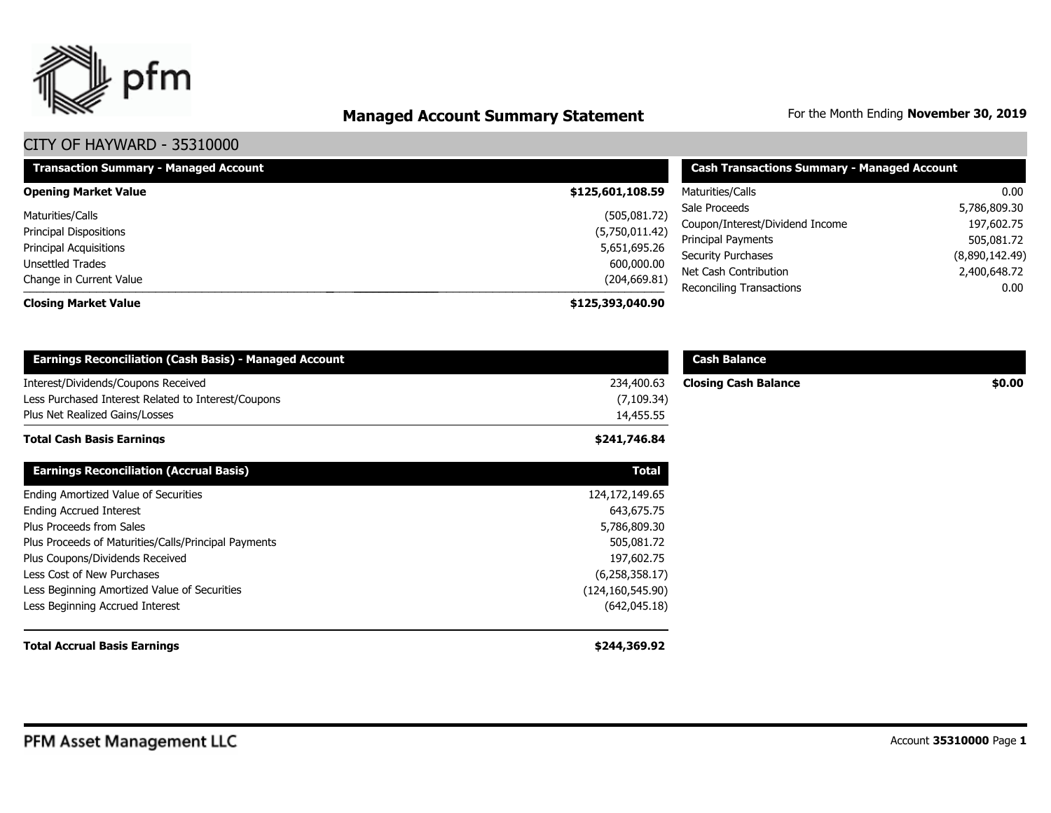

# **Managed Account Summary Statement** For the Month Ending November 30, 2019

| <b>Transaction Summary - Managed Account</b> | <b>Cash Transactions Summary - Managed Account</b> |                                 |                      |  |  |
|----------------------------------------------|----------------------------------------------------|---------------------------------|----------------------|--|--|
| <b>Opening Market Value</b>                  | \$125,601,108.59                                   | Maturities/Calls                | 0.00                 |  |  |
| Maturities/Calls                             | (505,081.72)                                       | Sale Proceeds<br>5,786,809.30   |                      |  |  |
| <b>Principal Dispositions</b>                | (5,750,011.42)                                     | Coupon/Interest/Dividend Income | 197,602.75           |  |  |
| <b>Principal Acquisitions</b>                | 5,651,695.26                                       | <b>Principal Payments</b>       | 505,081.72           |  |  |
| Unsettled Trades                             | 600,000.00                                         | <b>Security Purchases</b>       | (8,890,142.49)       |  |  |
| Change in Current Value                      | (204, 669.81)                                      | Net Cash Contribution           | 2,400,648.72<br>0.00 |  |  |
| <b>Closing Market Value</b>                  | \$125,393,040.90                                   | <b>Reconciling Transactions</b> |                      |  |  |

| <b>Earnings Reconciliation (Cash Basis) - Managed Account</b>                                                                |                                        | <b>Cash Balance</b>         |        |
|------------------------------------------------------------------------------------------------------------------------------|----------------------------------------|-----------------------------|--------|
| Interest/Dividends/Coupons Received<br>Less Purchased Interest Related to Interest/Coupons<br>Plus Net Realized Gains/Losses | 234,400.63<br>(7, 109.34)<br>14,455.55 | <b>Closing Cash Balance</b> | \$0.00 |
| <b>Total Cash Basis Earnings</b>                                                                                             | \$241,746.84                           |                             |        |
| <b>Earnings Reconciliation (Accrual Basis)</b>                                                                               | <b>Total</b>                           |                             |        |
| Ending Amortized Value of Securities                                                                                         | 124, 172, 149. 65                      |                             |        |
| <b>Ending Accrued Interest</b>                                                                                               | 643,675.75                             |                             |        |
| Plus Proceeds from Sales                                                                                                     | 5,786,809.30                           |                             |        |
| Plus Proceeds of Maturities/Calls/Principal Payments                                                                         | 505,081.72                             |                             |        |
| Plus Coupons/Dividends Received                                                                                              | 197,602.75                             |                             |        |
| Less Cost of New Purchases                                                                                                   | (6,258,358.17)                         |                             |        |
| Less Beginning Amortized Value of Securities                                                                                 | (124, 160, 545.90)                     |                             |        |
| Less Beginning Accrued Interest                                                                                              | (642, 045.18)                          |                             |        |
| <b>Total Accrual Basis Earnings</b>                                                                                          | \$244,369.92                           |                             |        |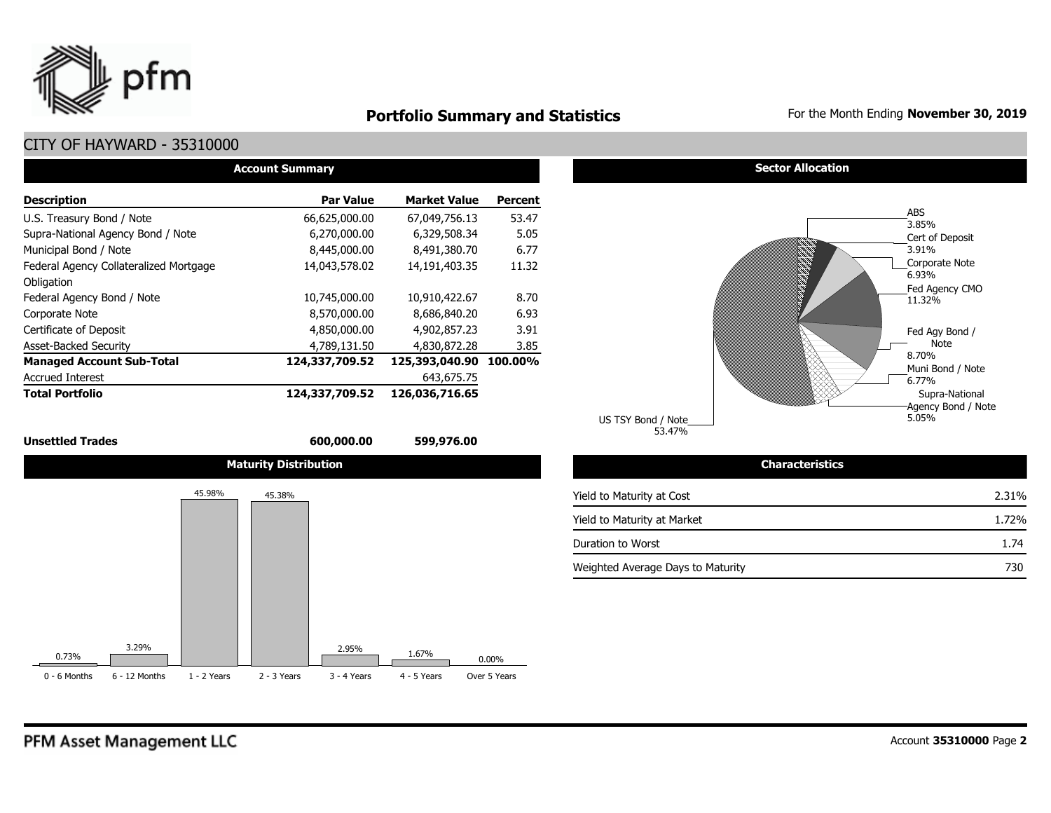

## **Portfolio Summary and Statistics** For the Month Ending **November 30, 2019**

## CITY OF HAYWARD - 35310000

| <b>Account Summary</b>                 |                  |                     |                |  |  |  |  |  |  |  |
|----------------------------------------|------------------|---------------------|----------------|--|--|--|--|--|--|--|
| <b>Description</b>                     | <b>Par Value</b> | <b>Market Value</b> | <b>Percent</b> |  |  |  |  |  |  |  |
| U.S. Treasury Bond / Note              | 66,625,000.00    | 67,049,756.13       | 53.47          |  |  |  |  |  |  |  |
| Supra-National Agency Bond / Note      | 6,270,000.00     | 6.329.508.34        | 5.05           |  |  |  |  |  |  |  |
| Municipal Bond / Note                  | 8,445,000.00     | 8,491,380.70        | 6.77           |  |  |  |  |  |  |  |
| Federal Agency Collateralized Mortgage | 14,043,578.02    | 14,191,403.35       | 11.32          |  |  |  |  |  |  |  |
| Obligation                             |                  |                     |                |  |  |  |  |  |  |  |
| Federal Agency Bond / Note             | 10,745,000.00    | 10,910,422.67       | 8.70           |  |  |  |  |  |  |  |
| Corporate Note                         | 8,570,000.00     | 8,686,840.20        | 6.93           |  |  |  |  |  |  |  |
| Certificate of Deposit                 | 4,850,000.00     | 4,902,857.23        | 3.91           |  |  |  |  |  |  |  |
| <b>Asset-Backed Security</b>           | 4,789,131.50     | 4,830,872.28        | 3.85           |  |  |  |  |  |  |  |
| <b>Managed Account Sub-Total</b>       | 124,337,709.52   | 125,393,040.90      | 100.00%        |  |  |  |  |  |  |  |
| <b>Accrued Interest</b>                |                  | 643,675.75          |                |  |  |  |  |  |  |  |
| <b>Total Portfolio</b>                 | 124,337,709.52   | 126,036,716.65      |                |  |  |  |  |  |  |  |









53.47% US TSY Bond / Note

| <b>Characteristics</b>            |       |
|-----------------------------------|-------|
| Yield to Maturity at Cost         | 2.31% |
| Yield to Maturity at Market       | 1.72% |
| Duration to Worst                 | 1.74  |
| Weighted Average Days to Maturity | 730   |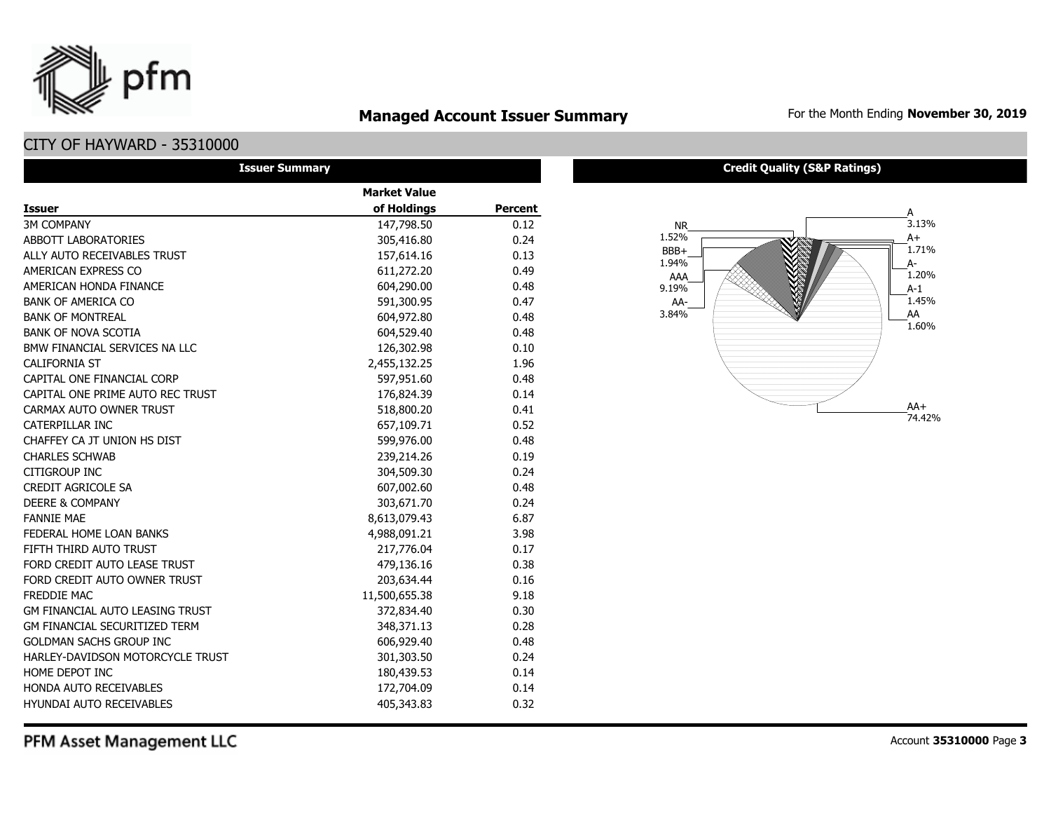

## **Managed Account Issuer Summary** For the Month Ending November 30, 2019

## CITY OF HAYWARD - 35310000

| <b>Issuer Summary</b>                  |                     |                |  |  |  |  |  |  |  |
|----------------------------------------|---------------------|----------------|--|--|--|--|--|--|--|
|                                        | <b>Market Value</b> |                |  |  |  |  |  |  |  |
| <b>Issuer</b>                          | of Holdings         | <b>Percent</b> |  |  |  |  |  |  |  |
| <b>3M COMPANY</b>                      | 147,798.50          | 0.12           |  |  |  |  |  |  |  |
| ABBOTT LABORATORIES                    | 305,416.80          | 0.24           |  |  |  |  |  |  |  |
| ALLY AUTO RECEIVABLES TRUST            | 157,614.16          | 0.13           |  |  |  |  |  |  |  |
| AMERICAN EXPRESS CO                    | 611,272.20          | 0.49           |  |  |  |  |  |  |  |
| AMERICAN HONDA FINANCE                 | 604,290.00          | 0.48           |  |  |  |  |  |  |  |
| <b>BANK OF AMERICA CO</b>              | 591,300.95          | 0.47           |  |  |  |  |  |  |  |
| <b>BANK OF MONTREAL</b>                | 604,972.80          | 0.48           |  |  |  |  |  |  |  |
| <b>BANK OF NOVA SCOTIA</b>             | 604,529.40          | 0.48           |  |  |  |  |  |  |  |
| BMW FINANCIAL SERVICES NA LLC          | 126,302.98          | 0.10           |  |  |  |  |  |  |  |
| <b>CALIFORNIA ST</b>                   | 2,455,132.25        | 1.96           |  |  |  |  |  |  |  |
| CAPITAL ONE FINANCIAL CORP             | 597,951.60          | 0.48           |  |  |  |  |  |  |  |
| CAPITAL ONE PRIME AUTO REC TRUST       | 176,824.39          | 0.14           |  |  |  |  |  |  |  |
| CARMAX AUTO OWNER TRUST                | 518,800.20          | 0.41           |  |  |  |  |  |  |  |
| CATERPILLAR INC                        | 657,109.71          | 0.52           |  |  |  |  |  |  |  |
| CHAFFEY CA JT UNION HS DIST            | 599,976.00          | 0.48           |  |  |  |  |  |  |  |
| <b>CHARLES SCHWAB</b>                  | 239,214.26          | 0.19           |  |  |  |  |  |  |  |
| CITIGROUP INC                          | 304,509.30          | 0.24           |  |  |  |  |  |  |  |
| CREDIT AGRICOLE SA                     | 607,002.60          | 0.48           |  |  |  |  |  |  |  |
| <b>DEERE &amp; COMPANY</b>             | 303,671.70          | 0.24           |  |  |  |  |  |  |  |
| <b>FANNIE MAE</b>                      | 8,613,079.43        | 6.87           |  |  |  |  |  |  |  |
| FEDERAL HOME LOAN BANKS                | 4,988,091.21        | 3.98           |  |  |  |  |  |  |  |
| FIFTH THIRD AUTO TRUST                 | 217,776.04          | 0.17           |  |  |  |  |  |  |  |
| FORD CREDIT AUTO LEASE TRUST           | 479,136.16          | 0.38           |  |  |  |  |  |  |  |
| FORD CREDIT AUTO OWNER TRUST           | 203,634.44          | 0.16           |  |  |  |  |  |  |  |
| <b>FREDDIE MAC</b>                     | 11,500,655.38       | 9.18           |  |  |  |  |  |  |  |
| <b>GM FINANCIAL AUTO LEASING TRUST</b> | 372,834.40          | 0.30           |  |  |  |  |  |  |  |
| <b>GM FINANCIAL SECURITIZED TERM</b>   | 348,371.13          | 0.28           |  |  |  |  |  |  |  |
| <b>GOLDMAN SACHS GROUP INC</b>         | 606,929.40          | 0.48           |  |  |  |  |  |  |  |
| HARLEY-DAVIDSON MOTORCYCLE TRUST       | 301,303.50          | 0.24           |  |  |  |  |  |  |  |
| HOME DEPOT INC                         | 180,439.53          | 0.14           |  |  |  |  |  |  |  |
| HONDA AUTO RECEIVABLES                 | 172,704.09          | 0.14           |  |  |  |  |  |  |  |
| <b>HYUNDAI AUTO RECEIVABLES</b>        | 405,343.83          | 0.32           |  |  |  |  |  |  |  |

#### **Credit Quality (S&P Ratings)**



PFM Asset Management LLC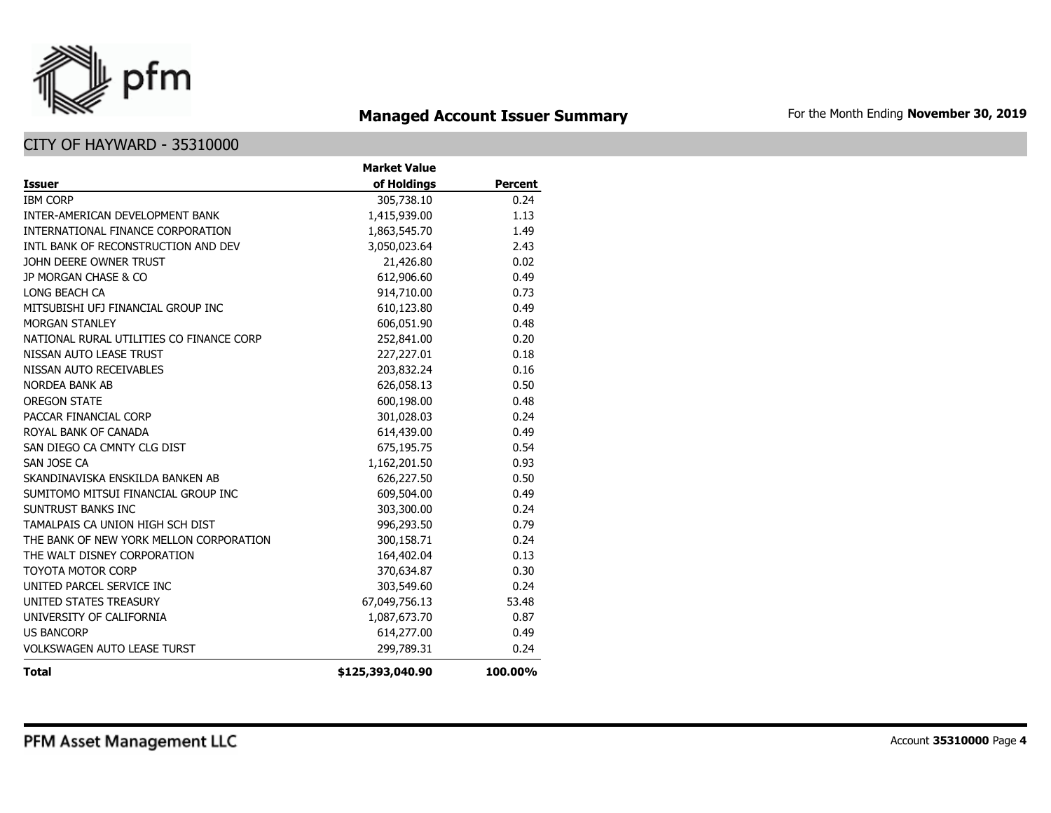

## **Managed Account Issuer Summary** For the Month Ending November 30, 2019

|                                          | <b>Market Value</b> |                |
|------------------------------------------|---------------------|----------------|
| <b>Issuer</b>                            | of Holdings         | <b>Percent</b> |
| <b>IBM CORP</b>                          | 305,738.10          | 0.24           |
| <b>INTER-AMERICAN DEVELOPMENT BANK</b>   | 1,415,939.00        | 1.13           |
| INTERNATIONAL FINANCE CORPORATION        | 1,863,545.70        | 1.49           |
| INTL BANK OF RECONSTRUCTION AND DEV      | 3,050,023.64        | 2.43           |
| JOHN DEERE OWNER TRUST                   | 21,426.80           | 0.02           |
| JP MORGAN CHASE & CO                     | 612,906.60          | 0.49           |
| LONG BEACH CA                            | 914,710.00          | 0.73           |
| MITSUBISHI UFJ FINANCIAL GROUP INC       | 610,123.80          | 0.49           |
| <b>MORGAN STANLEY</b>                    | 606,051.90          | 0.48           |
| NATIONAL RURAL UTILITIES CO FINANCE CORP | 252,841.00          | 0.20           |
| NISSAN AUTO LEASE TRUST                  | 227,227.01          | 0.18           |
| NISSAN AUTO RECEIVABLES                  | 203,832.24          | 0.16           |
| NORDEA BANK AB                           | 626,058.13          | 0.50           |
| <b>OREGON STATE</b>                      | 600,198.00          | 0.48           |
| PACCAR FINANCIAL CORP                    | 301,028.03          | 0.24           |
| ROYAL BANK OF CANADA                     | 614,439.00          | 0.49           |
| SAN DIEGO CA CMNTY CLG DIST              | 675,195.75          | 0.54           |
| SAN JOSE CA                              | 1,162,201.50        | 0.93           |
| SKANDINAVISKA ENSKILDA BANKEN AB         | 626,227.50          | 0.50           |
| SUMITOMO MITSUI FINANCIAL GROUP INC      | 609,504.00          | 0.49           |
| SUNTRUST BANKS INC                       | 303,300.00          | 0.24           |
| TAMALPAIS CA UNION HIGH SCH DIST         | 996,293.50          | 0.79           |
| THE BANK OF NEW YORK MELLON CORPORATION  | 300,158.71          | 0.24           |
| THE WALT DISNEY CORPORATION              | 164,402.04          | 0.13           |
| <b>TOYOTA MOTOR CORP</b>                 | 370,634.87          | 0.30           |
| UNITED PARCEL SERVICE INC                | 303,549.60          | 0.24           |
| UNITED STATES TREASURY                   | 67,049,756.13       | 53.48          |
| UNIVERSITY OF CALIFORNIA                 | 1,087,673.70        | 0.87           |
| <b>US BANCORP</b>                        | 614,277.00          | 0.49           |
| <b>VOLKSWAGEN AUTO LEASE TURST</b>       | 299,789.31          | 0.24           |
| <b>Total</b>                             | \$125,393,040.90    | 100.00%        |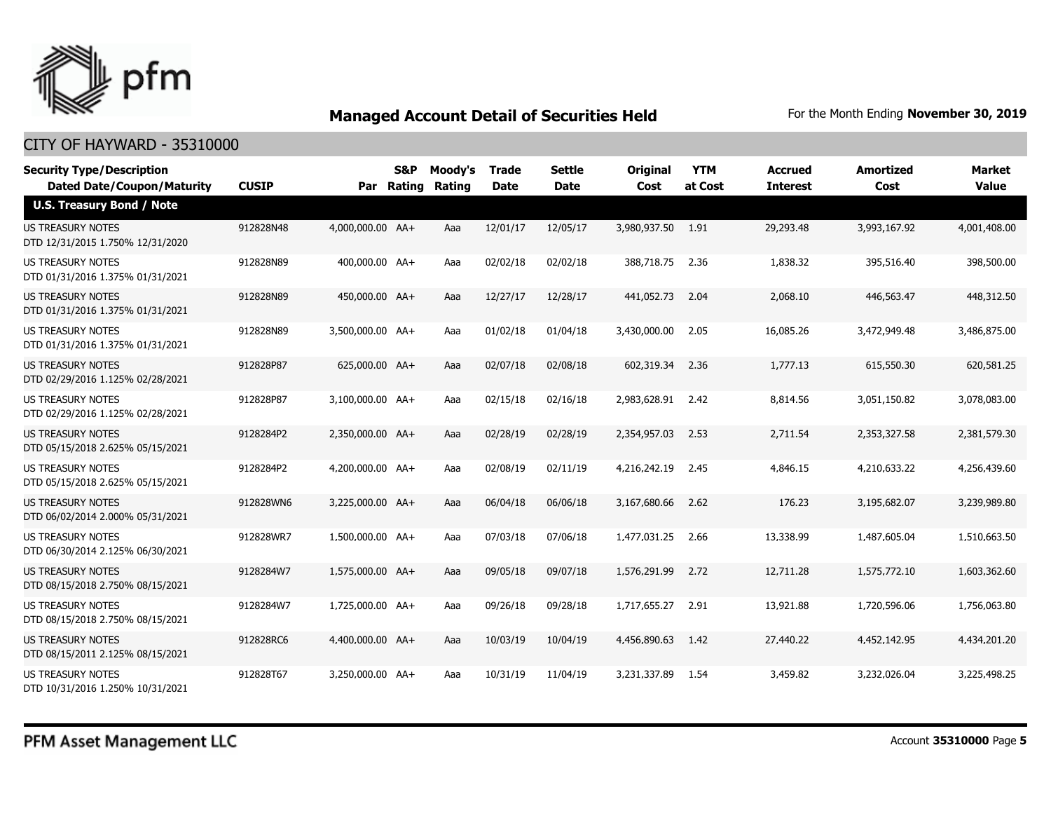

| <b>Security Type/Description</b><br><b>Dated Date/Coupon/Maturity</b> | <b>CUSIP</b> |                  | <b>S&amp;P</b><br>Par Rating | Moody's<br>Rating | <b>Trade</b><br><b>Date</b> | Settle<br>Date | <b>Original</b><br>Cost | <b>YTM</b><br>at Cost | <b>Accrued</b><br><b>Interest</b> | <b>Amortized</b><br>Cost | Market<br><b>Value</b> |
|-----------------------------------------------------------------------|--------------|------------------|------------------------------|-------------------|-----------------------------|----------------|-------------------------|-----------------------|-----------------------------------|--------------------------|------------------------|
| <b>U.S. Treasury Bond / Note</b>                                      |              |                  |                              |                   |                             |                |                         |                       |                                   |                          |                        |
| <b>US TREASURY NOTES</b><br>DTD 12/31/2015 1.750% 12/31/2020          | 912828N48    | 4,000,000.00 AA+ |                              | Aaa               | 12/01/17                    | 12/05/17       | 3,980,937.50 1.91       |                       | 29,293.48                         | 3,993,167.92             | 4,001,408.00           |
| US TREASURY NOTES<br>DTD 01/31/2016 1.375% 01/31/2021                 | 912828N89    | 400,000.00 AA+   |                              | Aaa               | 02/02/18                    | 02/02/18       | 388,718.75              | 2.36                  | 1,838.32                          | 395,516.40               | 398,500.00             |
| <b>US TREASURY NOTES</b><br>DTD 01/31/2016 1.375% 01/31/2021          | 912828N89    | 450,000.00 AA+   |                              | Aaa               | 12/27/17                    | 12/28/17       | 441.052.73              | 2.04                  | 2,068.10                          | 446,563.47               | 448,312.50             |
| <b>US TREASURY NOTES</b><br>DTD 01/31/2016 1.375% 01/31/2021          | 912828N89    | 3,500,000.00 AA+ |                              | Aaa               | 01/02/18                    | 01/04/18       | 3,430,000.00            | 2.05                  | 16,085.26                         | 3,472,949.48             | 3,486,875.00           |
| <b>US TREASURY NOTES</b><br>DTD 02/29/2016 1.125% 02/28/2021          | 912828P87    | 625,000.00 AA+   |                              | Aaa               | 02/07/18                    | 02/08/18       | 602,319.34              | 2.36                  | 1,777.13                          | 615,550.30               | 620,581.25             |
| <b>US TREASURY NOTES</b><br>DTD 02/29/2016 1.125% 02/28/2021          | 912828P87    | 3,100,000.00 AA+ |                              | Aaa               | 02/15/18                    | 02/16/18       | 2,983,628.91 2.42       |                       | 8,814.56                          | 3,051,150.82             | 3,078,083.00           |
| US TREASURY NOTES<br>DTD 05/15/2018 2.625% 05/15/2021                 | 9128284P2    | 2,350,000.00 AA+ |                              | Aaa               | 02/28/19                    | 02/28/19       | 2,354,957.03            | 2.53                  | 2,711.54                          | 2,353,327.58             | 2,381,579.30           |
| US TREASURY NOTES<br>DTD 05/15/2018 2.625% 05/15/2021                 | 9128284P2    | 4,200,000.00 AA+ |                              | Aaa               | 02/08/19                    | 02/11/19       | 4,216,242.19            | 2.45                  | 4,846.15                          | 4,210,633.22             | 4,256,439.60           |
| US TREASURY NOTES<br>DTD 06/02/2014 2.000% 05/31/2021                 | 912828WN6    | 3,225,000.00 AA+ |                              | Aaa               | 06/04/18                    | 06/06/18       | 3,167,680.66            | 2.62                  | 176.23                            | 3,195,682.07             | 3,239,989.80           |
| <b>US TREASURY NOTES</b><br>DTD 06/30/2014 2.125% 06/30/2021          | 912828WR7    | 1,500,000.00 AA+ |                              | Aaa               | 07/03/18                    | 07/06/18       | 1,477,031.25            | 2.66                  | 13,338.99                         | 1,487,605.04             | 1,510,663.50           |
| US TREASURY NOTES<br>DTD 08/15/2018 2.750% 08/15/2021                 | 9128284W7    | 1,575,000.00 AA+ |                              | Aaa               | 09/05/18                    | 09/07/18       | 1,576,291.99            | 2.72                  | 12,711.28                         | 1,575,772.10             | 1,603,362.60           |
| US TREASURY NOTES<br>DTD 08/15/2018 2.750% 08/15/2021                 | 9128284W7    | 1,725,000.00 AA+ |                              | Aaa               | 09/26/18                    | 09/28/18       | 1,717,655.27            | 2.91                  | 13,921.88                         | 1,720,596.06             | 1,756,063.80           |
| <b>US TREASURY NOTES</b><br>DTD 08/15/2011 2.125% 08/15/2021          | 912828RC6    | 4,400,000.00 AA+ |                              | Aaa               | 10/03/19                    | 10/04/19       | 4,456,890.63            | 1.42                  | 27,440.22                         | 4,452,142.95             | 4,434,201.20           |
| <b>US TREASURY NOTES</b><br>DTD 10/31/2016 1.250% 10/31/2021          | 912828T67    | 3,250,000.00 AA+ |                              | Aaa               | 10/31/19                    | 11/04/19       | 3,231,337.89            | 1.54                  | 3,459.82                          | 3,232,026.04             | 3,225,498.25           |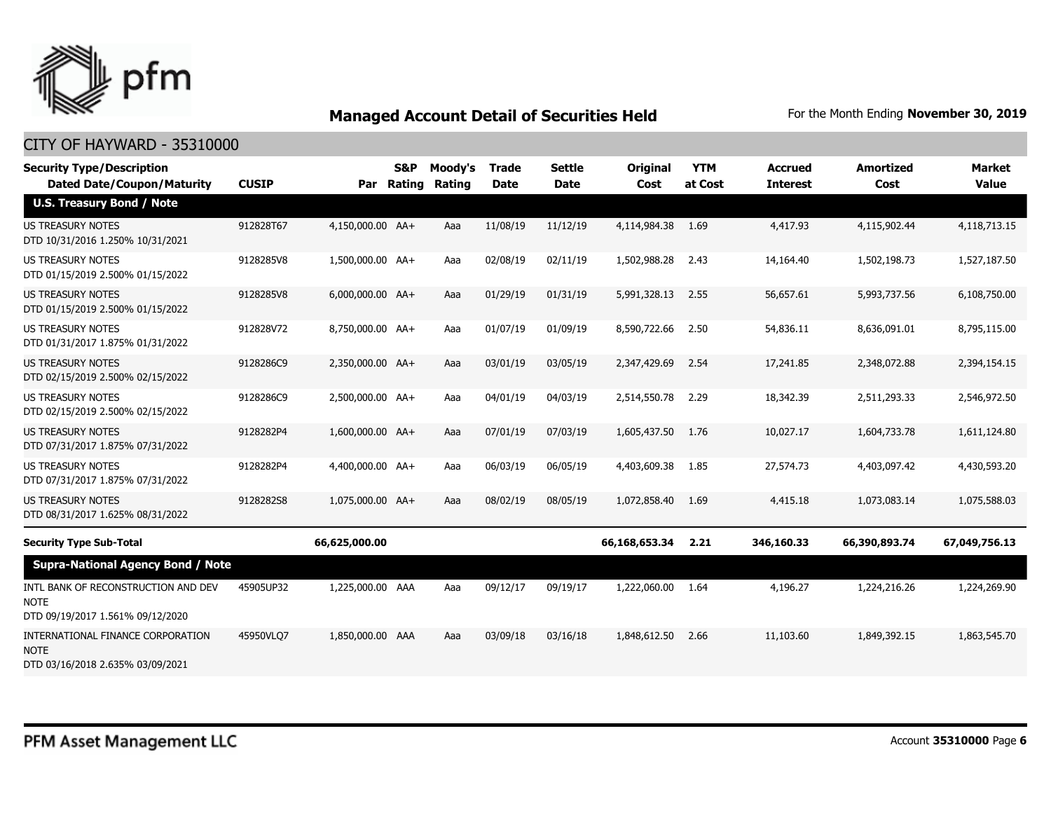

| <b>Security Type/Description</b><br><b>Dated Date/Coupon/Maturity</b>                  | <b>CUSIP</b> | Par              | <b>S&amp;P</b><br>Rating | Moody's<br>Rating | <b>Trade</b><br><b>Date</b> | <b>Settle</b><br><b>Date</b> | <b>Original</b><br>Cost | <b>YTM</b><br>at Cost | <b>Accrued</b><br><b>Interest</b> | <b>Amortized</b><br>Cost | <b>Market</b><br><b>Value</b> |
|----------------------------------------------------------------------------------------|--------------|------------------|--------------------------|-------------------|-----------------------------|------------------------------|-------------------------|-----------------------|-----------------------------------|--------------------------|-------------------------------|
| <b>U.S. Treasury Bond / Note</b>                                                       |              |                  |                          |                   |                             |                              |                         |                       |                                   |                          |                               |
| <b>US TREASURY NOTES</b><br>DTD 10/31/2016 1.250% 10/31/2021                           | 912828T67    | 4,150,000.00 AA+ |                          | Aaa               | 11/08/19                    | 11/12/19                     | 4,114,984.38            | 1.69                  | 4,417.93                          | 4,115,902.44             | 4,118,713.15                  |
| <b>US TREASURY NOTES</b><br>DTD 01/15/2019 2.500% 01/15/2022                           | 9128285V8    | 1,500,000.00 AA+ |                          | Aaa               | 02/08/19                    | 02/11/19                     | 1,502,988.28            | 2.43                  | 14,164.40                         | 1,502,198.73             | 1,527,187.50                  |
| <b>US TREASURY NOTES</b><br>DTD 01/15/2019 2.500% 01/15/2022                           | 9128285V8    | 6,000,000.00 AA+ |                          | Aaa               | 01/29/19                    | 01/31/19                     | 5,991,328.13            | 2.55                  | 56,657.61                         | 5,993,737.56             | 6,108,750.00                  |
| <b>US TREASURY NOTES</b><br>DTD 01/31/2017 1.875% 01/31/2022                           | 912828V72    | 8,750,000.00 AA+ |                          | Aaa               | 01/07/19                    | 01/09/19                     | 8,590,722.66            | 2.50                  | 54,836.11                         | 8,636,091.01             | 8,795,115.00                  |
| <b>US TREASURY NOTES</b><br>DTD 02/15/2019 2.500% 02/15/2022                           | 9128286C9    | 2,350,000.00 AA+ |                          | Aaa               | 03/01/19                    | 03/05/19                     | 2,347,429.69            | 2.54                  | 17,241.85                         | 2,348,072.88             | 2,394,154.15                  |
| <b>US TREASURY NOTES</b><br>DTD 02/15/2019 2.500% 02/15/2022                           | 9128286C9    | 2,500,000.00 AA+ |                          | Aaa               | 04/01/19                    | 04/03/19                     | 2,514,550.78            | 2.29                  | 18,342.39                         | 2,511,293.33             | 2,546,972.50                  |
| <b>US TREASURY NOTES</b><br>DTD 07/31/2017 1.875% 07/31/2022                           | 9128282P4    | 1,600,000.00 AA+ |                          | Aaa               | 07/01/19                    | 07/03/19                     | 1,605,437.50            | 1.76                  | 10,027.17                         | 1,604,733.78             | 1,611,124.80                  |
| <b>US TREASURY NOTES</b><br>DTD 07/31/2017 1.875% 07/31/2022                           | 9128282P4    | 4,400,000.00 AA+ |                          | Aaa               | 06/03/19                    | 06/05/19                     | 4,403,609.38            | 1.85                  | 27,574.73                         | 4,403,097.42             | 4,430,593.20                  |
| <b>US TREASURY NOTES</b><br>DTD 08/31/2017 1.625% 08/31/2022                           | 9128282S8    | 1.075.000.00 AA+ |                          | Aaa               | 08/02/19                    | 08/05/19                     | 1,072,858,40            | 1.69                  | 4,415.18                          | 1,073,083.14             | 1,075,588.03                  |
| <b>Security Type Sub-Total</b>                                                         |              | 66,625,000.00    |                          |                   |                             |                              | 66,168,653.34           | 2.21                  | 346,160.33                        | 66,390,893.74            | 67,049,756.13                 |
| <b>Supra-National Agency Bond / Note</b>                                               |              |                  |                          |                   |                             |                              |                         |                       |                                   |                          |                               |
| INTL BANK OF RECONSTRUCTION AND DEV<br><b>NOTE</b><br>DTD 09/19/2017 1.561% 09/12/2020 | 45905UP32    | 1,225,000.00 AAA |                          | Aaa               | 09/12/17                    | 09/19/17                     | 1,222,060.00            | 1.64                  | 4,196.27                          | 1,224,216.26             | 1,224,269.90                  |
| INTERNATIONAL FINANCE CORPORATION<br><b>NOTE</b><br>DTD 03/16/2018 2.635% 03/09/2021   | 45950VLQ7    | 1,850,000.00 AAA |                          | Aaa               | 03/09/18                    | 03/16/18                     | 1,848,612.50            | 2.66                  | 11,103.60                         | 1,849,392.15             | 1,863,545.70                  |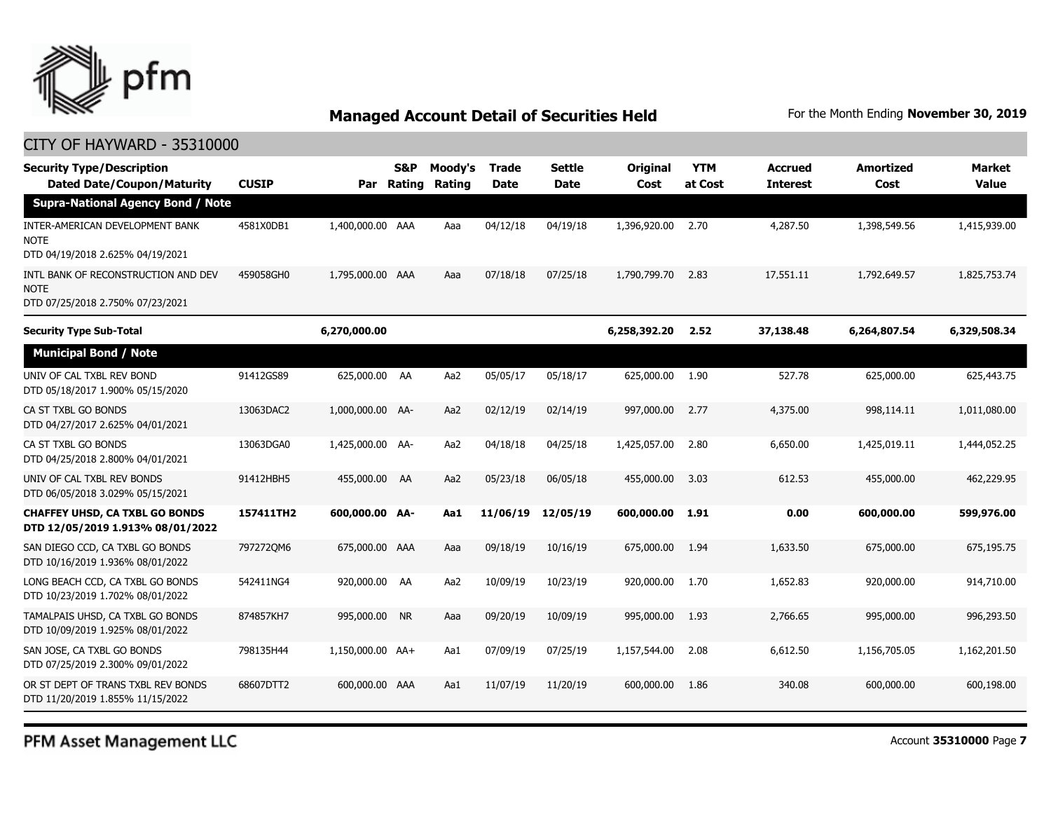

#### CITY OF HAYWARD - 35310000

| <b>Security Type/Description</b><br><b>Dated Date/Coupon/Maturity</b>                  | <b>CUSIP</b> | Par              | S&P<br>Rating | Moody's<br>Rating | Trade<br><b>Date</b> | <b>Settle</b><br><b>Date</b> | Original<br>Cost | <b>YTM</b><br>at Cost | <b>Accrued</b><br><b>Interest</b> | <b>Amortized</b><br>Cost | <b>Market</b><br><b>Value</b> |
|----------------------------------------------------------------------------------------|--------------|------------------|---------------|-------------------|----------------------|------------------------------|------------------|-----------------------|-----------------------------------|--------------------------|-------------------------------|
| <b>Supra-National Agency Bond / Note</b>                                               |              |                  |               |                   |                      |                              |                  |                       |                                   |                          |                               |
| INTER-AMERICAN DEVELOPMENT BANK<br><b>NOTE</b><br>DTD 04/19/2018 2.625% 04/19/2021     | 4581X0DB1    | 1,400,000.00 AAA |               | Aaa               | 04/12/18             | 04/19/18                     | 1,396,920.00     | 2.70                  | 4,287.50                          | 1,398,549.56             | 1,415,939.00                  |
| INTL BANK OF RECONSTRUCTION AND DEV<br><b>NOTE</b><br>DTD 07/25/2018 2.750% 07/23/2021 | 459058GH0    | 1,795,000.00 AAA |               | Aaa               | 07/18/18             | 07/25/18                     | 1,790,799.70     | 2.83                  | 17,551.11                         | 1,792,649.57             | 1,825,753.74                  |
| <b>Security Type Sub-Total</b>                                                         |              | 6,270,000.00     |               |                   |                      |                              | 6,258,392.20     | 2.52                  | 37,138.48                         | 6,264,807.54             | 6,329,508.34                  |
| <b>Municipal Bond / Note</b>                                                           |              |                  |               |                   |                      |                              |                  |                       |                                   |                          |                               |
| UNIV OF CAL TXBL REV BOND<br>DTD 05/18/2017 1.900% 05/15/2020                          | 91412GS89    | 625,000.00 AA    |               | Aa2               | 05/05/17             | 05/18/17                     | 625,000.00       | 1.90                  | 527.78                            | 625,000.00               | 625,443.75                    |
| CA ST TXBL GO BONDS<br>DTD 04/27/2017 2.625% 04/01/2021                                | 13063DAC2    | 1,000,000.00 AA- |               | Aa2               | 02/12/19             | 02/14/19                     | 997,000.00       | 2.77                  | 4,375.00                          | 998,114.11               | 1,011,080.00                  |
| CA ST TXBL GO BONDS<br>DTD 04/25/2018 2.800% 04/01/2021                                | 13063DGA0    | 1,425,000.00 AA- |               | Aa2               | 04/18/18             | 04/25/18                     | 1,425,057.00     | 2.80                  | 6,650.00                          | 1,425,019.11             | 1,444,052.25                  |
| UNIV OF CAL TXBL REV BONDS<br>DTD 06/05/2018 3.029% 05/15/2021                         | 91412HBH5    | 455,000.00 AA    |               | Aa2               | 05/23/18             | 06/05/18                     | 455,000.00       | 3.03                  | 612.53                            | 455,000.00               | 462,229.95                    |
| <b>CHAFFEY UHSD, CA TXBL GO BONDS</b><br>DTD 12/05/2019 1.913% 08/01/2022              | 157411TH2    | 600,000.00 AA-   |               | Aa1               | 11/06/19             | 12/05/19                     | 600,000.00       | 1.91                  | 0.00                              | 600,000.00               | 599,976.00                    |
| SAN DIEGO CCD, CA TXBL GO BONDS<br>DTD 10/16/2019 1.936% 08/01/2022                    | 7972720M6    | 675,000.00 AAA   |               | Aaa               | 09/18/19             | 10/16/19                     | 675,000.00       | 1.94                  | 1,633.50                          | 675,000.00               | 675,195.75                    |
| LONG BEACH CCD, CA TXBL GO BONDS<br>DTD 10/23/2019 1.702% 08/01/2022                   | 542411NG4    | 920,000.00 AA    |               | Aa2               | 10/09/19             | 10/23/19                     | 920,000.00       | 1.70                  | 1,652.83                          | 920,000.00               | 914,710.00                    |
| TAMALPAIS UHSD, CA TXBL GO BONDS<br>DTD 10/09/2019 1.925% 08/01/2022                   | 874857KH7    | 995,000.00 NR    |               | Aaa               | 09/20/19             | 10/09/19                     | 995,000.00       | 1.93                  | 2,766.65                          | 995,000.00               | 996,293.50                    |
| SAN JOSE, CA TXBL GO BONDS<br>DTD 07/25/2019 2.300% 09/01/2022                         | 798135H44    | 1,150,000.00 AA+ |               | Aa1               | 07/09/19             | 07/25/19                     | 1,157,544.00     | 2.08                  | 6,612.50                          | 1,156,705.05             | 1,162,201.50                  |
| OR ST DEPT OF TRANS TXBL REV BONDS<br>DTD 11/20/2019 1.855% 11/15/2022                 | 68607DTT2    | 600,000.00 AAA   |               | Aa1               | 11/07/19             | 11/20/19                     | 600,000.00       | 1.86                  | 340.08                            | 600,000.00               | 600,198.00                    |

PFM Asset Management LLC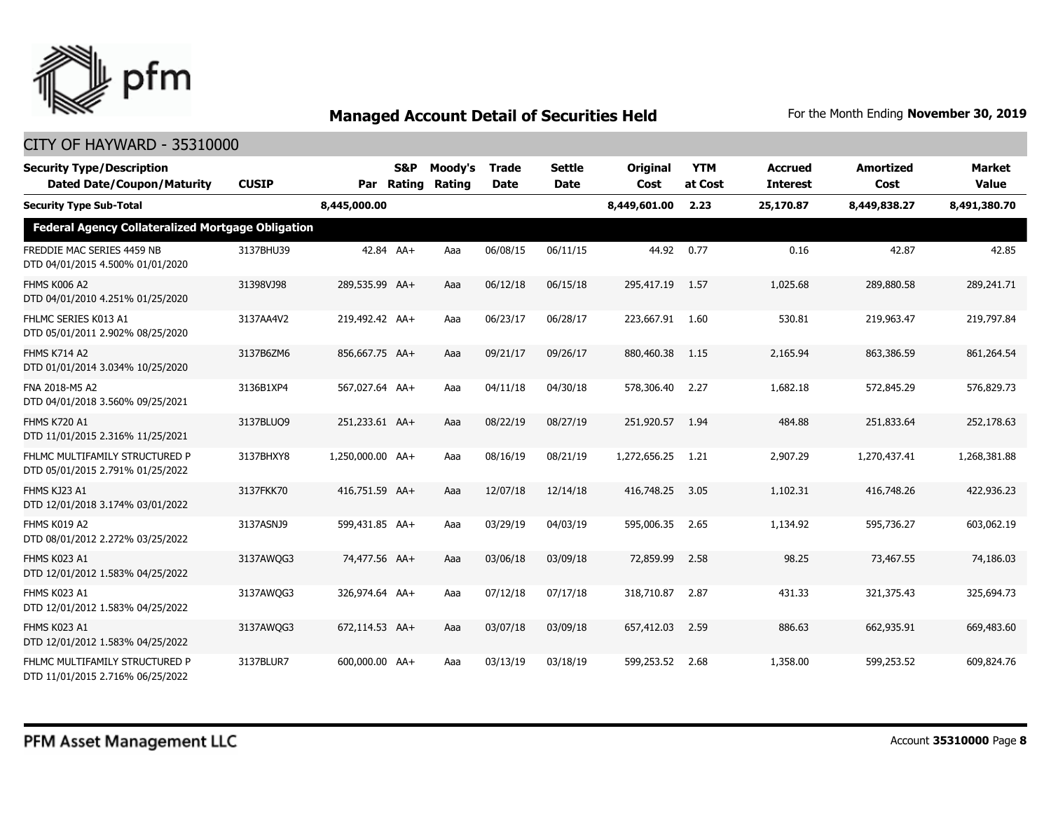

| <b>Security Type/Description</b><br><b>Dated Date/Coupon/Maturity</b> | <b>CUSIP</b> | Par              | S&P<br>Rating | Moody's<br>Rating | <b>Trade</b><br><b>Date</b> | <b>Settle</b><br><b>Date</b> | <b>Original</b><br>Cost | <b>YTM</b><br>at Cost | <b>Accrued</b><br><b>Interest</b> | <b>Amortized</b><br>Cost | <b>Market</b><br><b>Value</b> |
|-----------------------------------------------------------------------|--------------|------------------|---------------|-------------------|-----------------------------|------------------------------|-------------------------|-----------------------|-----------------------------------|--------------------------|-------------------------------|
| <b>Security Type Sub-Total</b>                                        |              | 8,445,000.00     |               |                   |                             |                              | 8,449,601.00            | 2.23                  | 25,170.87                         | 8,449,838.27             | 8,491,380.70                  |
| <b>Federal Agency Collateralized Mortgage Obligation</b>              |              |                  |               |                   |                             |                              |                         |                       |                                   |                          |                               |
| FREDDIE MAC SERIES 4459 NB<br>DTD 04/01/2015 4.500% 01/01/2020        | 3137BHU39    |                  | 42.84 AA+     | Aaa               | 06/08/15                    | 06/11/15                     | 44.92                   | 0.77                  | 0.16                              | 42.87                    | 42.85                         |
| <b>FHMS K006 A2</b><br>DTD 04/01/2010 4.251% 01/25/2020               | 31398VJ98    | 289,535.99 AA+   |               | Aaa               | 06/12/18                    | 06/15/18                     | 295,417.19              | 1.57                  | 1,025.68                          | 289,880.58               | 289,241.71                    |
| FHLMC SERIES K013 A1<br>DTD 05/01/2011 2.902% 08/25/2020              | 3137AA4V2    | 219,492.42 AA+   |               | Aaa               | 06/23/17                    | 06/28/17                     | 223,667.91              | 1.60                  | 530.81                            | 219,963.47               | 219,797.84                    |
| <b>FHMS K714 A2</b><br>DTD 01/01/2014 3.034% 10/25/2020               | 3137B6ZM6    | 856,667.75 AA+   |               | Aaa               | 09/21/17                    | 09/26/17                     | 880,460.38              | 1.15                  | 2,165.94                          | 863,386.59               | 861,264.54                    |
| FNA 2018-M5 A2<br>DTD 04/01/2018 3.560% 09/25/2021                    | 3136B1XP4    | 567,027.64 AA+   |               | Aaa               | 04/11/18                    | 04/30/18                     | 578,306.40              | 2.27                  | 1,682.18                          | 572,845.29               | 576,829.73                    |
| <b>FHMS K720 A1</b><br>DTD 11/01/2015 2.316% 11/25/2021               | 3137BLUQ9    | 251,233.61 AA+   |               | Aaa               | 08/22/19                    | 08/27/19                     | 251,920.57              | 1.94                  | 484.88                            | 251,833.64               | 252,178.63                    |
| FHLMC MULTIFAMILY STRUCTURED P<br>DTD 05/01/2015 2.791% 01/25/2022    | 3137BHXY8    | 1,250,000.00 AA+ |               | Aaa               | 08/16/19                    | 08/21/19                     | 1,272,656.25            | 1.21                  | 2,907.29                          | 1,270,437.41             | 1,268,381.88                  |
| FHMS KJ23 A1<br>DTD 12/01/2018 3.174% 03/01/2022                      | 3137FKK70    | 416,751.59 AA+   |               | Aaa               | 12/07/18                    | 12/14/18                     | 416,748.25              | 3.05                  | 1,102.31                          | 416,748.26               | 422,936.23                    |
| FHMS K019 A2<br>DTD 08/01/2012 2.272% 03/25/2022                      | 3137ASNJ9    | 599,431.85 AA+   |               | Aaa               | 03/29/19                    | 04/03/19                     | 595,006.35              | 2.65                  | 1,134.92                          | 595,736.27               | 603,062.19                    |
| <b>FHMS K023 A1</b><br>DTD 12/01/2012 1.583% 04/25/2022               | 3137AWQG3    | 74,477.56 AA+    |               | Aaa               | 03/06/18                    | 03/09/18                     | 72,859.99               | 2.58                  | 98.25                             | 73,467.55                | 74,186.03                     |
| FHMS K023 A1<br>DTD 12/01/2012 1.583% 04/25/2022                      | 3137AWQG3    | 326,974.64 AA+   |               | Aaa               | 07/12/18                    | 07/17/18                     | 318,710.87              | 2.87                  | 431.33                            | 321,375.43               | 325,694.73                    |
| FHMS K023 A1<br>DTD 12/01/2012 1.583% 04/25/2022                      | 3137AWQG3    | 672,114.53 AA+   |               | Aaa               | 03/07/18                    | 03/09/18                     | 657,412.03              | 2.59                  | 886.63                            | 662,935.91               | 669,483.60                    |
| FHLMC MULTIFAMILY STRUCTURED P<br>DTD 11/01/2015 2.716% 06/25/2022    | 3137BLUR7    | 600,000.00 AA+   |               | Aaa               | 03/13/19                    | 03/18/19                     | 599,253.52              | 2.68                  | 1,358.00                          | 599,253.52               | 609,824.76                    |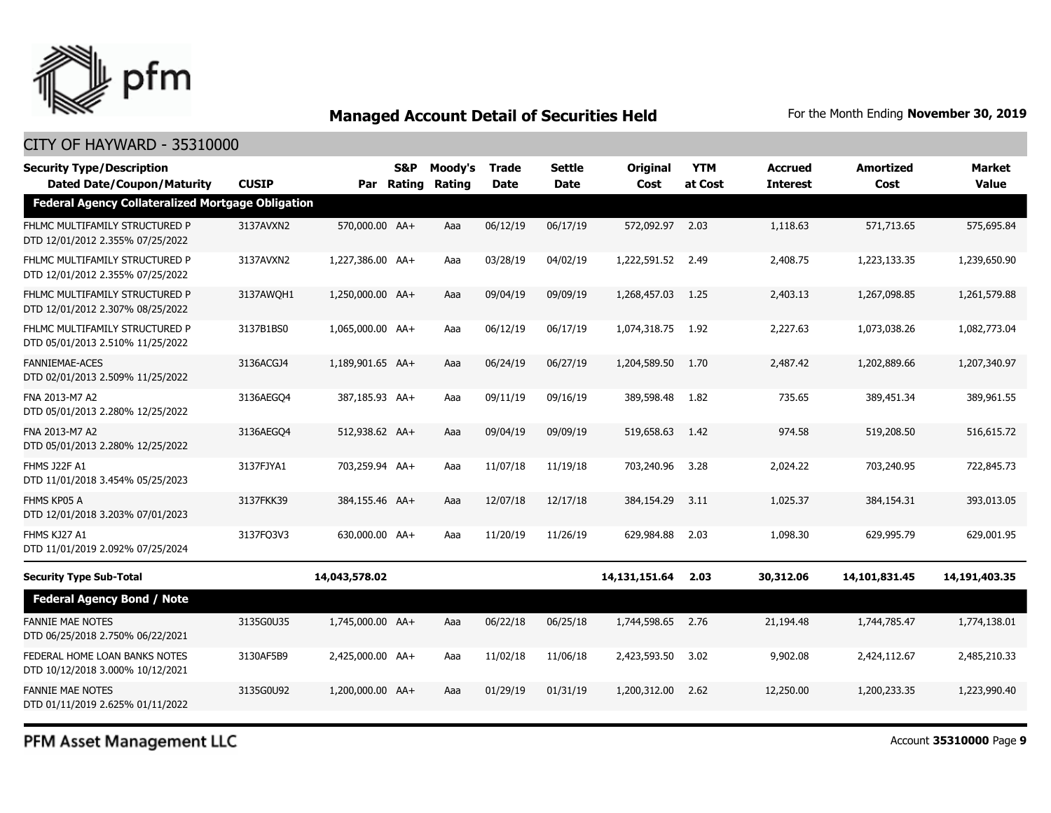

#### CITY OF HAYWARD - 35310000

| <b>Security Type/Description</b><br><b>Dated Date/Coupon/Maturity</b> | <b>CUSIP</b> |                  | <b>S&amp;P</b><br>Par Rating | Moody's<br>Rating | <b>Trade</b><br><b>Date</b> | Settle<br>Date | <b>Original</b><br>Cost | <b>YTM</b><br>at Cost | <b>Accrued</b><br><b>Interest</b> | <b>Amortized</b><br>Cost | <b>Market</b><br><b>Value</b> |
|-----------------------------------------------------------------------|--------------|------------------|------------------------------|-------------------|-----------------------------|----------------|-------------------------|-----------------------|-----------------------------------|--------------------------|-------------------------------|
| <b>Federal Agency Collateralized Mortgage Obligation</b>              |              |                  |                              |                   |                             |                |                         |                       |                                   |                          |                               |
| FHLMC MULTIFAMILY STRUCTURED P<br>DTD 12/01/2012 2.355% 07/25/2022    | 3137AVXN2    | 570,000.00 AA+   |                              | Aaa               | 06/12/19                    | 06/17/19       | 572,092.97              | 2.03                  | 1,118.63                          | 571,713.65               | 575,695.84                    |
| FHLMC MULTIFAMILY STRUCTURED P<br>DTD 12/01/2012 2.355% 07/25/2022    | 3137AVXN2    | 1,227,386.00 AA+ |                              | Aaa               | 03/28/19                    | 04/02/19       | 1,222,591.52            | 2.49                  | 2,408.75                          | 1,223,133.35             | 1,239,650.90                  |
| FHLMC MULTIFAMILY STRUCTURED P<br>DTD 12/01/2012 2.307% 08/25/2022    | 3137AWOH1    | 1,250,000.00 AA+ |                              | Aaa               | 09/04/19                    | 09/09/19       | 1,268,457.03            | 1.25                  | 2,403.13                          | 1,267,098.85             | 1,261,579.88                  |
| FHLMC MULTIFAMILY STRUCTURED P<br>DTD 05/01/2013 2.510% 11/25/2022    | 3137B1BS0    | 1,065,000.00 AA+ |                              | Aaa               | 06/12/19                    | 06/17/19       | 1,074,318.75            | 1.92                  | 2,227.63                          | 1,073,038.26             | 1,082,773.04                  |
| <b>FANNIEMAE-ACES</b><br>DTD 02/01/2013 2.509% 11/25/2022             | 3136ACGJ4    | 1,189,901.65 AA+ |                              | Aaa               | 06/24/19                    | 06/27/19       | 1,204,589.50            | 1.70                  | 2,487.42                          | 1,202,889.66             | 1,207,340.97                  |
| FNA 2013-M7 A2<br>DTD 05/01/2013 2.280% 12/25/2022                    | 3136AEGO4    | 387,185.93 AA+   |                              | Aaa               | 09/11/19                    | 09/16/19       | 389,598.48              | 1.82                  | 735.65                            | 389,451.34               | 389,961.55                    |
| FNA 2013-M7 A2<br>DTD 05/01/2013 2.280% 12/25/2022                    | 3136AEGO4    | 512,938.62 AA+   |                              | Aaa               | 09/04/19                    | 09/09/19       | 519,658.63              | 1.42                  | 974.58                            | 519,208.50               | 516,615.72                    |
| FHMS J22F A1<br>DTD 11/01/2018 3.454% 05/25/2023                      | 3137FJYA1    | 703,259.94 AA+   |                              | Aaa               | 11/07/18                    | 11/19/18       | 703,240.96              | 3.28                  | 2,024.22                          | 703,240.95               | 722,845,73                    |
| FHMS KP05 A<br>DTD 12/01/2018 3.203% 07/01/2023                       | 3137FKK39    | 384,155.46 AA+   |                              | Aaa               | 12/07/18                    | 12/17/18       | 384,154.29              | 3.11                  | 1,025.37                          | 384,154.31               | 393,013.05                    |
| FHMS KJ27 A1<br>DTD 11/01/2019 2.092% 07/25/2024                      | 3137FQ3V3    | 630,000.00 AA+   |                              | Aaa               | 11/20/19                    | 11/26/19       | 629,984.88              | 2.03                  | 1,098.30                          | 629,995.79               | 629,001.95                    |
| <b>Security Type Sub-Total</b>                                        |              | 14,043,578.02    |                              |                   |                             |                | 14,131,151.64           | 2.03                  | 30,312.06                         | 14,101,831.45            | 14,191,403.35                 |
| <b>Federal Agency Bond / Note</b>                                     |              |                  |                              |                   |                             |                |                         |                       |                                   |                          |                               |
| <b>FANNIE MAE NOTES</b><br>DTD 06/25/2018 2.750% 06/22/2021           | 3135G0U35    | 1,745,000.00 AA+ |                              | Aaa               | 06/22/18                    | 06/25/18       | 1,744,598.65            | 2.76                  | 21,194.48                         | 1,744,785.47             | 1,774,138.01                  |
| FEDERAL HOME LOAN BANKS NOTES<br>DTD 10/12/2018 3.000% 10/12/2021     | 3130AF5B9    | 2,425,000.00 AA+ |                              | Aaa               | 11/02/18                    | 11/06/18       | 2,423,593.50            | 3.02                  | 9,902.08                          | 2,424,112.67             | 2,485,210.33                  |
| <b>FANNIE MAE NOTES</b><br>DTD 01/11/2019 2.625% 01/11/2022           | 3135G0U92    | 1,200,000.00 AA+ |                              | Aaa               | 01/29/19                    | 01/31/19       | 1,200,312.00            | 2.62                  | 12,250.00                         | 1,200,233.35             | 1,223,990.40                  |

PFM Asset Management LLC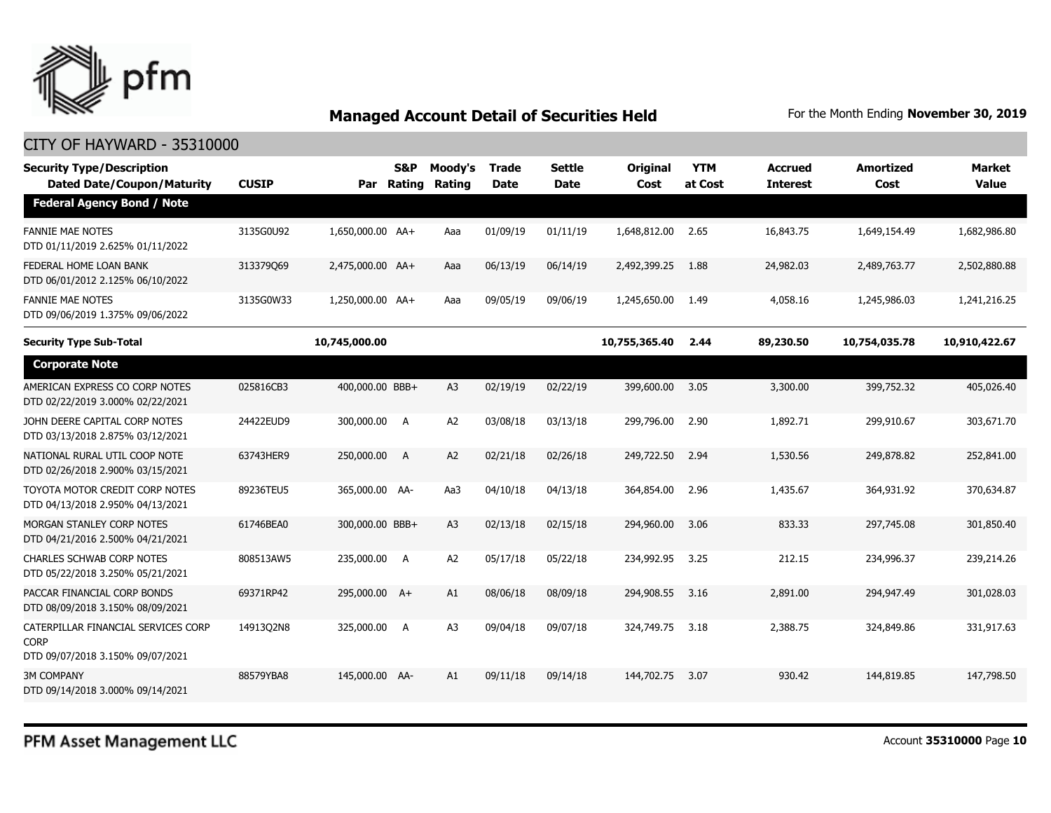

| <b>Security Type/Description</b><br><b>Dated Date/Coupon/Maturity</b>                  | <b>CUSIP</b> | Par              | <b>S&amp;P</b><br>Rating | Moody's<br>Rating | <b>Trade</b><br><b>Date</b> | <b>Settle</b><br><b>Date</b> | <b>Original</b><br>Cost | <b>YTM</b><br>at Cost | <b>Accrued</b><br><b>Interest</b> | <b>Amortized</b><br>Cost | <b>Market</b><br><b>Value</b> |
|----------------------------------------------------------------------------------------|--------------|------------------|--------------------------|-------------------|-----------------------------|------------------------------|-------------------------|-----------------------|-----------------------------------|--------------------------|-------------------------------|
| <b>Federal Agency Bond / Note</b>                                                      |              |                  |                          |                   |                             |                              |                         |                       |                                   |                          |                               |
| <b>FANNIE MAE NOTES</b><br>DTD 01/11/2019 2.625% 01/11/2022                            | 3135G0U92    | 1,650,000.00 AA+ |                          | Aaa               | 01/09/19                    | 01/11/19                     | 1,648,812.00            | 2.65                  | 16,843.75                         | 1,649,154.49             | 1,682,986.80                  |
| FEDERAL HOME LOAN BANK<br>DTD 06/01/2012 2.125% 06/10/2022                             | 313379069    | 2,475,000.00 AA+ |                          | Aaa               | 06/13/19                    | 06/14/19                     | 2,492,399.25            | 1.88                  | 24,982.03                         | 2,489,763.77             | 2,502,880.88                  |
| <b>FANNIE MAE NOTES</b><br>DTD 09/06/2019 1.375% 09/06/2022                            | 3135G0W33    | 1,250,000.00 AA+ |                          | Aaa               | 09/05/19                    | 09/06/19                     | 1,245,650.00            | 1.49                  | 4,058.16                          | 1,245,986.03             | 1,241,216.25                  |
| <b>Security Type Sub-Total</b>                                                         |              | 10,745,000.00    |                          |                   |                             |                              | 10,755,365.40           | 2.44                  | 89,230.50                         | 10,754,035.78            | 10,910,422.67                 |
| <b>Corporate Note</b>                                                                  |              |                  |                          |                   |                             |                              |                         |                       |                                   |                          |                               |
| AMERICAN EXPRESS CO CORP NOTES<br>DTD 02/22/2019 3.000% 02/22/2021                     | 025816CB3    | 400,000.00 BBB+  |                          | A <sub>3</sub>    | 02/19/19                    | 02/22/19                     | 399,600.00              | 3.05                  | 3,300.00                          | 399,752.32               | 405,026.40                    |
| JOHN DEERE CAPITAL CORP NOTES<br>DTD 03/13/2018 2.875% 03/12/2021                      | 24422EUD9    | 300,000.00       | A                        | A2                | 03/08/18                    | 03/13/18                     | 299,796.00              | 2.90                  | 1,892.71                          | 299,910.67               | 303,671.70                    |
| NATIONAL RURAL UTIL COOP NOTE<br>DTD 02/26/2018 2.900% 03/15/2021                      | 63743HER9    | 250,000.00       | A                        | A <sub>2</sub>    | 02/21/18                    | 02/26/18                     | 249,722.50              | 2.94                  | 1,530.56                          | 249,878.82               | 252,841.00                    |
| TOYOTA MOTOR CREDIT CORP NOTES<br>DTD 04/13/2018 2.950% 04/13/2021                     | 89236TEU5    | 365,000.00 AA-   |                          | Aa3               | 04/10/18                    | 04/13/18                     | 364,854.00              | 2.96                  | 1,435.67                          | 364,931.92               | 370,634.87                    |
| MORGAN STANLEY CORP NOTES<br>DTD 04/21/2016 2.500% 04/21/2021                          | 61746BEA0    | 300,000.00 BBB+  |                          | A <sub>3</sub>    | 02/13/18                    | 02/15/18                     | 294,960.00              | 3.06                  | 833.33                            | 297,745.08               | 301,850.40                    |
| <b>CHARLES SCHWAB CORP NOTES</b><br>DTD 05/22/2018 3.250% 05/21/2021                   | 808513AW5    | 235,000.00       | A                        | A <sub>2</sub>    | 05/17/18                    | 05/22/18                     | 234,992.95              | 3.25                  | 212.15                            | 234,996.37               | 239,214.26                    |
| PACCAR FINANCIAL CORP BONDS<br>DTD 08/09/2018 3.150% 08/09/2021                        | 69371RP42    | 295,000.00 A+    |                          | A1                | 08/06/18                    | 08/09/18                     | 294,908.55              | 3.16                  | 2,891.00                          | 294,947.49               | 301,028.03                    |
| CATERPILLAR FINANCIAL SERVICES CORP<br><b>CORP</b><br>DTD 09/07/2018 3.150% 09/07/2021 | 1491302N8    | 325,000.00       | A                        | A <sub>3</sub>    | 09/04/18                    | 09/07/18                     | 324,749.75              | 3.18                  | 2,388.75                          | 324,849.86               | 331,917.63                    |
| <b>3M COMPANY</b><br>DTD 09/14/2018 3.000% 09/14/2021                                  | 88579YBA8    | 145,000.00 AA-   |                          | A1                | 09/11/18                    | 09/14/18                     | 144,702.75              | 3.07                  | 930.42                            | 144,819.85               | 147,798.50                    |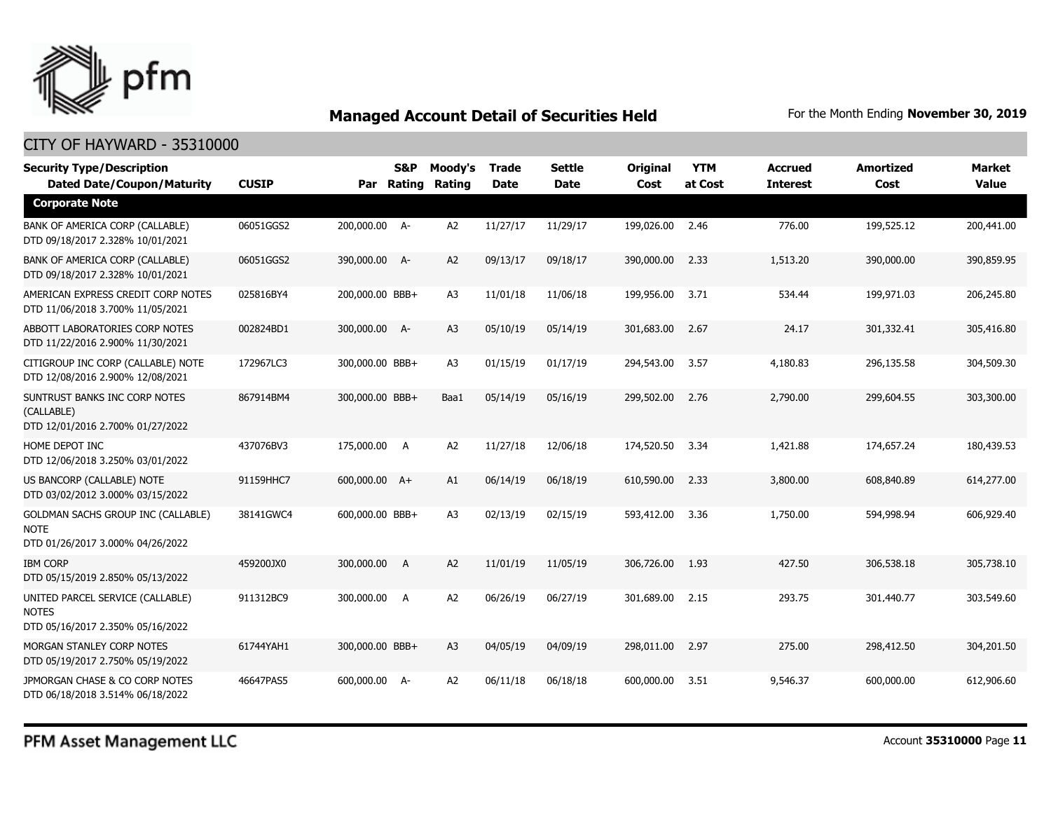

| <b>Security Type/Description</b><br><b>Dated Date/Coupon/Maturity</b>                 | <b>CUSIP</b> |                 | <b>S&amp;P</b><br>Par Rating | Moody's<br>Rating | <b>Trade</b><br><b>Date</b> | <b>Settle</b><br><b>Date</b> | <b>Original</b><br>Cost | <b>YTM</b><br>at Cost | <b>Accrued</b><br><b>Interest</b> | <b>Amortized</b><br>Cost | <b>Market</b><br><b>Value</b> |
|---------------------------------------------------------------------------------------|--------------|-----------------|------------------------------|-------------------|-----------------------------|------------------------------|-------------------------|-----------------------|-----------------------------------|--------------------------|-------------------------------|
| <b>Corporate Note</b>                                                                 |              |                 |                              |                   |                             |                              |                         |                       |                                   |                          |                               |
| BANK OF AMERICA CORP (CALLABLE)<br>DTD 09/18/2017 2.328% 10/01/2021                   | 06051GGS2    | 200,000.00 A-   |                              | A <sub>2</sub>    | 11/27/17                    | 11/29/17                     | 199,026.00              | 2.46                  | 776.00                            | 199,525.12               | 200,441.00                    |
| BANK OF AMERICA CORP (CALLABLE)<br>DTD 09/18/2017 2.328% 10/01/2021                   | 06051GGS2    | 390,000.00 A-   |                              | A <sub>2</sub>    | 09/13/17                    | 09/18/17                     | 390,000.00              | 2.33                  | 1,513.20                          | 390,000.00               | 390,859.95                    |
| AMERICAN EXPRESS CREDIT CORP NOTES<br>DTD 11/06/2018 3.700% 11/05/2021                | 025816BY4    | 200,000.00 BBB+ |                              | A3                | 11/01/18                    | 11/06/18                     | 199,956.00              | 3.71                  | 534.44                            | 199,971.03               | 206,245.80                    |
| ABBOTT LABORATORIES CORP NOTES<br>DTD 11/22/2016 2.900% 11/30/2021                    | 002824BD1    | 300,000.00 A-   |                              | A3                | 05/10/19                    | 05/14/19                     | 301,683.00              | 2.67                  | 24.17                             | 301,332.41               | 305,416.80                    |
| CITIGROUP INC CORP (CALLABLE) NOTE<br>DTD 12/08/2016 2.900% 12/08/2021                | 172967LC3    | 300,000.00 BBB+ |                              | A3                | 01/15/19                    | 01/17/19                     | 294,543.00              | 3.57                  | 4,180.83                          | 296,135.58               | 304,509.30                    |
| SUNTRUST BANKS INC CORP NOTES<br>(CALLABLE)<br>DTD 12/01/2016 2.700% 01/27/2022       | 867914BM4    | 300,000.00 BBB+ |                              | Baa1              | 05/14/19                    | 05/16/19                     | 299,502.00              | 2.76                  | 2,790.00                          | 299,604.55               | 303,300.00                    |
| HOME DEPOT INC<br>DTD 12/06/2018 3.250% 03/01/2022                                    | 437076BV3    | 175,000.00 A    |                              | A <sub>2</sub>    | 11/27/18                    | 12/06/18                     | 174,520.50              | 3.34                  | 1,421.88                          | 174,657,24               | 180,439.53                    |
| US BANCORP (CALLABLE) NOTE<br>DTD 03/02/2012 3.000% 03/15/2022                        | 91159HHC7    | 600,000.00 A+   |                              | A1                | 06/14/19                    | 06/18/19                     | 610,590.00              | 2.33                  | 3,800.00                          | 608,840.89               | 614,277.00                    |
| GOLDMAN SACHS GROUP INC (CALLABLE)<br><b>NOTE</b><br>DTD 01/26/2017 3.000% 04/26/2022 | 38141GWC4    | 600,000.00 BBB+ |                              | A3                | 02/13/19                    | 02/15/19                     | 593,412.00              | 3.36                  | 1,750.00                          | 594,998.94               | 606,929.40                    |
| <b>IBM CORP</b><br>DTD 05/15/2019 2.850% 05/13/2022                                   | 459200JX0    | 300,000.00      | <b>A</b>                     | A <sub>2</sub>    | 11/01/19                    | 11/05/19                     | 306,726.00              | 1.93                  | 427.50                            | 306,538.18               | 305,738.10                    |
| UNITED PARCEL SERVICE (CALLABLE)<br><b>NOTES</b><br>DTD 05/16/2017 2.350% 05/16/2022  | 911312BC9    | 300,000.00 A    |                              | A <sub>2</sub>    | 06/26/19                    | 06/27/19                     | 301,689.00              | 2.15                  | 293.75                            | 301,440.77               | 303,549.60                    |
| MORGAN STANLEY CORP NOTES<br>DTD 05/19/2017 2.750% 05/19/2022                         | 61744YAH1    | 300,000.00 BBB+ |                              | A3                | 04/05/19                    | 04/09/19                     | 298,011.00              | 2.97                  | 275.00                            | 298,412.50               | 304,201.50                    |
| JPMORGAN CHASE & CO CORP NOTES<br>DTD 06/18/2018 3.514% 06/18/2022                    | 46647PAS5    | 600,000.00 A-   |                              | A <sub>2</sub>    | 06/11/18                    | 06/18/18                     | 600,000.00              | 3.51                  | 9,546.37                          | 600,000.00               | 612,906.60                    |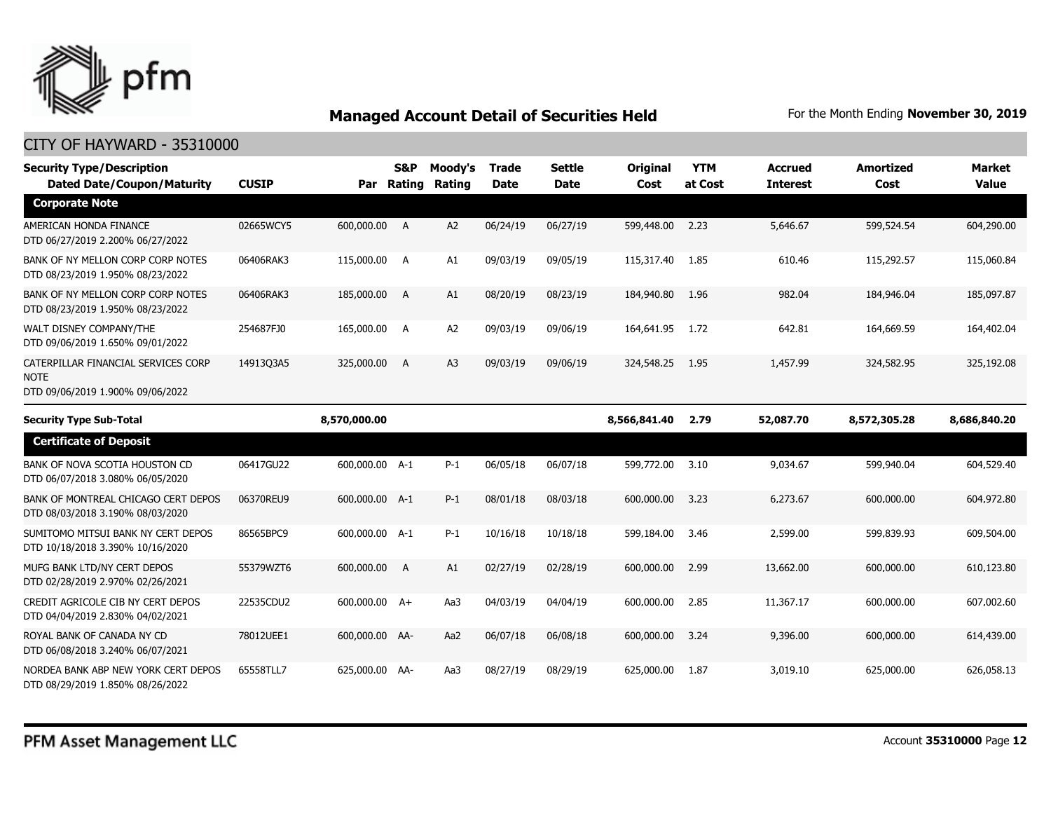

| <b>Security Type/Description</b><br><b>Dated Date/Coupon/Maturity</b>                  | <b>CUSIP</b> |                | <b>S&amp;P</b><br>Par Rating | Moody's<br>Rating | <b>Trade</b><br><b>Date</b> | Settle<br><b>Date</b> | Original<br>Cost | <b>YTM</b><br>at Cost | <b>Accrued</b><br><b>Interest</b> | <b>Amortized</b><br>Cost | <b>Market</b><br><b>Value</b> |
|----------------------------------------------------------------------------------------|--------------|----------------|------------------------------|-------------------|-----------------------------|-----------------------|------------------|-----------------------|-----------------------------------|--------------------------|-------------------------------|
| <b>Corporate Note</b>                                                                  |              |                |                              |                   |                             |                       |                  |                       |                                   |                          |                               |
| AMERICAN HONDA FINANCE<br>DTD 06/27/2019 2.200% 06/27/2022                             | 02665WCY5    | 600,000.00 A   |                              | A2                | 06/24/19                    | 06/27/19              | 599,448.00 2.23  |                       | 5,646.67                          | 599,524.54               | 604,290.00                    |
| BANK OF NY MELLON CORP CORP NOTES<br>DTD 08/23/2019 1.950% 08/23/2022                  | 06406RAK3    | 115,000.00 A   |                              | A1                | 09/03/19                    | 09/05/19              | 115,317.40       | 1.85                  | 610.46                            | 115,292.57               | 115,060.84                    |
| BANK OF NY MELLON CORP CORP NOTES<br>DTD 08/23/2019 1.950% 08/23/2022                  | 06406RAK3    | 185,000.00 A   |                              | A1                | 08/20/19                    | 08/23/19              | 184,940.80       | 1.96                  | 982.04                            | 184,946.04               | 185,097.87                    |
| WALT DISNEY COMPANY/THE<br>DTD 09/06/2019 1.650% 09/01/2022                            | 254687FJ0    | 165,000.00 A   |                              | A <sub>2</sub>    | 09/03/19                    | 09/06/19              | 164,641.95       | 1.72                  | 642.81                            | 164,669.59               | 164,402.04                    |
| CATERPILLAR FINANCIAL SERVICES CORP<br><b>NOTE</b><br>DTD 09/06/2019 1.900% 09/06/2022 | 1491303A5    | 325,000.00     | A                            | A3                | 09/03/19                    | 09/06/19              | 324,548.25       | 1.95                  | 1,457.99                          | 324,582.95               | 325,192.08                    |
| <b>Security Type Sub-Total</b>                                                         |              | 8,570,000.00   |                              |                   |                             |                       | 8,566,841.40     | 2.79                  | 52,087.70                         | 8,572,305.28             | 8,686,840.20                  |
| <b>Certificate of Deposit</b>                                                          |              |                |                              |                   |                             |                       |                  |                       |                                   |                          |                               |
| BANK OF NOVA SCOTIA HOUSTON CD<br>DTD 06/07/2018 3.080% 06/05/2020                     | 06417GU22    | 600,000.00 A-1 |                              | $P-1$             | 06/05/18                    | 06/07/18              | 599,772.00       | 3.10                  | 9.034.67                          | 599,940.04               | 604,529.40                    |
| BANK OF MONTREAL CHICAGO CERT DEPOS<br>DTD 08/03/2018 3.190% 08/03/2020                | 06370REU9    | 600,000.00 A-1 |                              | $P-1$             | 08/01/18                    | 08/03/18              | 600,000,00       | 3.23                  | 6,273.67                          | 600,000,00               | 604,972.80                    |
| SUMITOMO MITSUI BANK NY CERT DEPOS<br>DTD 10/18/2018 3.390% 10/16/2020                 | 86565BPC9    | 600,000.00 A-1 |                              | $P-1$             | 10/16/18                    | 10/18/18              | 599,184.00       | 3.46                  | 2,599.00                          | 599,839.93               | 609,504.00                    |
| MUFG BANK LTD/NY CERT DEPOS<br>DTD 02/28/2019 2.970% 02/26/2021                        | 55379WZT6    | 600,000.00     | $\overline{A}$               | A1                | 02/27/19                    | 02/28/19              | 600,000.00       | 2.99                  | 13,662,00                         | 600,000.00               | 610,123.80                    |
| CREDIT AGRICOLE CIB NY CERT DEPOS<br>DTD 04/04/2019 2.830% 04/02/2021                  | 22535CDU2    | 600,000.00 A+  |                              | Aa3               | 04/03/19                    | 04/04/19              | 600,000,00       | 2.85                  | 11,367.17                         | 600,000,00               | 607,002.60                    |
| ROYAL BANK OF CANADA NY CD<br>DTD 06/08/2018 3.240% 06/07/2021                         | 78012UEE1    | 600,000.00 AA- |                              | Aa2               | 06/07/18                    | 06/08/18              | 600,000.00       | 3.24                  | 9,396.00                          | 600,000.00               | 614,439.00                    |
| NORDEA BANK ABP NEW YORK CERT DEPOS<br>DTD 08/29/2019 1.850% 08/26/2022                | 65558TLL7    | 625,000.00 AA- |                              | Aa3               | 08/27/19                    | 08/29/19              | 625,000.00       | 1.87                  | 3,019.10                          | 625,000.00               | 626,058.13                    |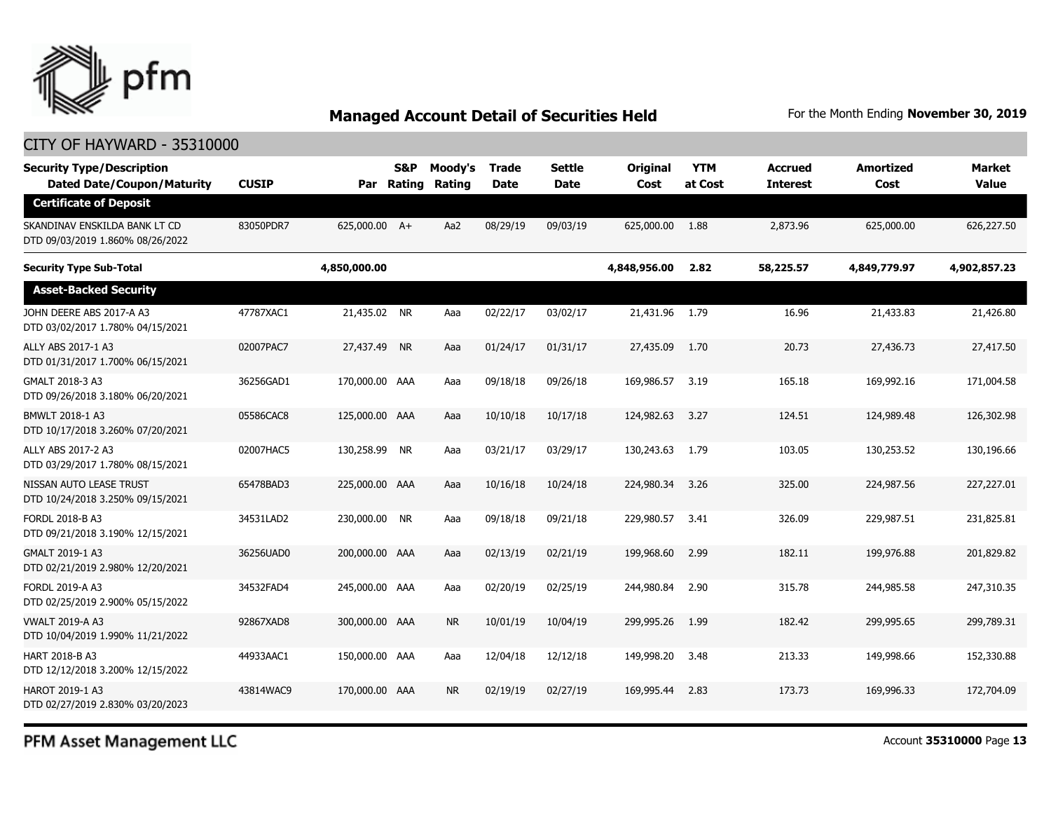

#### CITY OF HAYWARD - 35310000

| <b>Security Type/Description</b><br><b>Dated Date/Coupon/Maturity</b> | <b>CUSIP</b> | Par            | S&P<br>Rating | Moody's<br>Rating | Trade<br>Date | <b>Settle</b><br>Date | Original<br>Cost | <b>YTM</b><br>at Cost | <b>Accrued</b><br><b>Interest</b> | <b>Amortized</b><br>Cost | Market<br><b>Value</b> |
|-----------------------------------------------------------------------|--------------|----------------|---------------|-------------------|---------------|-----------------------|------------------|-----------------------|-----------------------------------|--------------------------|------------------------|
| <b>Certificate of Deposit</b>                                         |              |                |               |                   |               |                       |                  |                       |                                   |                          |                        |
| SKANDINAV ENSKILDA BANK LT CD<br>DTD 09/03/2019 1.860% 08/26/2022     | 83050PDR7    | 625,000.00 A+  |               | Aa2               | 08/29/19      | 09/03/19              | 625,000.00       | 1.88                  | 2,873.96                          | 625,000.00               | 626,227.50             |
| <b>Security Type Sub-Total</b>                                        |              | 4,850,000.00   |               |                   |               |                       | 4,848,956.00     | 2.82                  | 58,225.57                         | 4,849,779.97             | 4,902,857.23           |
| <b>Asset-Backed Security</b>                                          |              |                |               |                   |               |                       |                  |                       |                                   |                          |                        |
| JOHN DEERE ABS 2017-A A3<br>DTD 03/02/2017 1.780% 04/15/2021          | 47787XAC1    | 21,435.02 NR   |               | Aaa               | 02/22/17      | 03/02/17              | 21,431.96 1.79   |                       | 16.96                             | 21,433.83                | 21,426.80              |
| ALLY ABS 2017-1 A3<br>DTD 01/31/2017 1.700% 06/15/2021                | 02007PAC7    | 27,437,49 NR   |               | Aaa               | 01/24/17      | 01/31/17              | 27,435.09        | 1.70                  | 20.73                             | 27,436.73                | 27,417.50              |
| GMALT 2018-3 A3<br>DTD 09/26/2018 3.180% 06/20/2021                   | 36256GAD1    | 170,000.00 AAA |               | Aaa               | 09/18/18      | 09/26/18              | 169,986.57       | 3.19                  | 165.18                            | 169,992.16               | 171,004.58             |
| BMWLT 2018-1 A3<br>DTD 10/17/2018 3.260% 07/20/2021                   | 05586CAC8    | 125,000.00 AAA |               | Aaa               | 10/10/18      | 10/17/18              | 124,982.63       | 3.27                  | 124.51                            | 124,989.48               | 126,302.98             |
| ALLY ABS 2017-2 A3<br>DTD 03/29/2017 1.780% 08/15/2021                | 02007HAC5    | 130,258.99 NR  |               | Aaa               | 03/21/17      | 03/29/17              | 130,243.63       | 1.79                  | 103.05                            | 130,253.52               | 130,196.66             |
| NISSAN AUTO LEASE TRUST<br>DTD 10/24/2018 3.250% 09/15/2021           | 65478BAD3    | 225,000.00 AAA |               | Aaa               | 10/16/18      | 10/24/18              | 224,980.34       | 3.26                  | 325.00                            | 224,987.56               | 227,227.01             |
| FORDL 2018-B A3<br>DTD 09/21/2018 3.190% 12/15/2021                   | 34531LAD2    | 230,000.00 NR  |               | Aaa               | 09/18/18      | 09/21/18              | 229,980.57       | 3.41                  | 326.09                            | 229,987.51               | 231,825.81             |
| GMALT 2019-1 A3<br>DTD 02/21/2019 2.980% 12/20/2021                   | 36256UAD0    | 200,000.00 AAA |               | Aaa               | 02/13/19      | 02/21/19              | 199,968.60       | 2.99                  | 182.11                            | 199,976.88               | 201,829.82             |
| <b>FORDL 2019-A A3</b><br>DTD 02/25/2019 2.900% 05/15/2022            | 34532FAD4    | 245,000.00 AAA |               | Aaa               | 02/20/19      | 02/25/19              | 244,980.84       | 2.90                  | 315.78                            | 244,985.58               | 247,310.35             |
| <b>VWALT 2019-A A3</b><br>DTD 10/04/2019 1.990% 11/21/2022            | 92867XAD8    | 300,000.00 AAA |               | <b>NR</b>         | 10/01/19      | 10/04/19              | 299,995.26       | 1.99                  | 182.42                            | 299,995.65               | 299,789.31             |
| <b>HART 2018-B A3</b><br>DTD 12/12/2018 3.200% 12/15/2022             | 44933AAC1    | 150,000.00 AAA |               | Aaa               | 12/04/18      | 12/12/18              | 149,998.20       | 3.48                  | 213.33                            | 149,998.66               | 152,330.88             |
| HAROT 2019-1 A3<br>DTD 02/27/2019 2.830% 03/20/2023                   | 43814WAC9    | 170,000.00 AAA |               | <b>NR</b>         | 02/19/19      | 02/27/19              | 169,995.44       | 2.83                  | 173.73                            | 169,996.33               | 172,704.09             |

PFM Asset Management LLC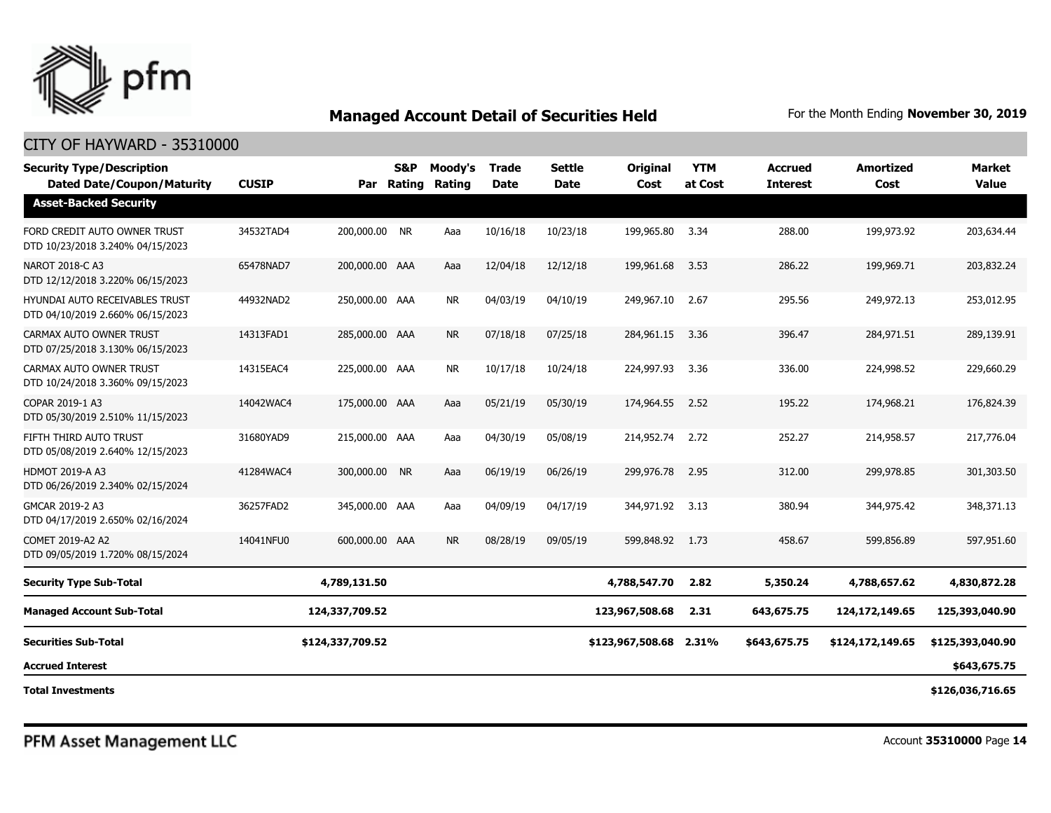

| <b>Security Type/Description</b><br><b>Dated Date/Coupon/Maturity</b> | <b>CUSIP</b> |                  | <b>S&amp;P</b> | Moody's<br>Par Rating Rating | <b>Trade</b><br><b>Date</b> | <b>Settle</b><br><b>Date</b> | Original<br>Cost       | <b>YTM</b><br>at Cost | <b>Accrued</b><br><b>Interest</b> | <b>Amortized</b><br>Cost | <b>Market</b><br><b>Value</b> |
|-----------------------------------------------------------------------|--------------|------------------|----------------|------------------------------|-----------------------------|------------------------------|------------------------|-----------------------|-----------------------------------|--------------------------|-------------------------------|
| <b>Asset-Backed Security</b>                                          |              |                  |                |                              |                             |                              |                        |                       |                                   |                          |                               |
| FORD CREDIT AUTO OWNER TRUST<br>DTD 10/23/2018 3.240% 04/15/2023      | 34532TAD4    | 200,000.00 NR    |                | Aaa                          | 10/16/18                    | 10/23/18                     | 199,965.80             | 3.34                  | 288.00                            | 199,973.92               | 203,634.44                    |
| NAROT 2018-C A3<br>DTD 12/12/2018 3.220% 06/15/2023                   | 65478NAD7    | 200,000.00 AAA   |                | Aaa                          | 12/04/18                    | 12/12/18                     | 199,961.68             | 3.53                  | 286.22                            | 199,969.71               | 203,832.24                    |
| HYUNDAI AUTO RECEIVABLES TRUST<br>DTD 04/10/2019 2.660% 06/15/2023    | 44932NAD2    | 250,000.00 AAA   |                | <b>NR</b>                    | 04/03/19                    | 04/10/19                     | 249,967.10             | 2.67                  | 295.56                            | 249,972.13               | 253,012.95                    |
| CARMAX AUTO OWNER TRUST<br>DTD 07/25/2018 3.130% 06/15/2023           | 14313FAD1    | 285,000.00 AAA   |                | <b>NR</b>                    | 07/18/18                    | 07/25/18                     | 284,961.15             | 3.36                  | 396.47                            | 284,971.51               | 289,139.91                    |
| CARMAX AUTO OWNER TRUST<br>DTD 10/24/2018 3.360% 09/15/2023           | 14315EAC4    | 225,000.00 AAA   |                | <b>NR</b>                    | 10/17/18                    | 10/24/18                     | 224,997.93             | 3.36                  | 336.00                            | 224,998.52               | 229,660.29                    |
| COPAR 2019-1 A3<br>DTD 05/30/2019 2.510% 11/15/2023                   | 14042WAC4    | 175,000.00 AAA   |                | Aaa                          | 05/21/19                    | 05/30/19                     | 174,964.55             | 2.52                  | 195.22                            | 174,968.21               | 176,824.39                    |
| FIFTH THIRD AUTO TRUST<br>DTD 05/08/2019 2.640% 12/15/2023            | 31680YAD9    | 215,000.00 AAA   |                | Aaa                          | 04/30/19                    | 05/08/19                     | 214,952.74             | 2.72                  | 252.27                            | 214,958.57               | 217,776.04                    |
| <b>HDMOT 2019-A A3</b><br>DTD 06/26/2019 2.340% 02/15/2024            | 41284WAC4    | 300,000.00 NR    |                | Aaa                          | 06/19/19                    | 06/26/19                     | 299,976.78             | 2.95                  | 312.00                            | 299,978.85               | 301,303.50                    |
| GMCAR 2019-2 A3<br>DTD 04/17/2019 2.650% 02/16/2024                   | 36257FAD2    | 345,000.00 AAA   |                | Aaa                          | 04/09/19                    | 04/17/19                     | 344,971.92             | 3.13                  | 380.94                            | 344,975.42               | 348,371.13                    |
| COMET 2019-A2 A2<br>DTD 09/05/2019 1.720% 08/15/2024                  | 14041NFU0    | 600,000.00 AAA   |                | <b>NR</b>                    | 08/28/19                    | 09/05/19                     | 599,848.92             | 1.73                  | 458.67                            | 599,856.89               | 597,951.60                    |
| <b>Security Type Sub-Total</b>                                        |              | 4,789,131.50     |                |                              |                             |                              | 4,788,547.70           | 2.82                  | 5,350.24                          | 4,788,657.62             | 4,830,872.28                  |
| <b>Managed Account Sub-Total</b>                                      |              | 124,337,709.52   |                |                              |                             |                              | 123,967,508.68         | 2.31                  | 643,675.75                        | 124,172,149.65           | 125,393,040.90                |
| <b>Securities Sub-Total</b>                                           |              | \$124,337,709.52 |                |                              |                             |                              | \$123,967,508.68 2.31% |                       | \$643,675.75                      | \$124,172,149.65         | \$125,393,040.90              |
| <b>Accrued Interest</b>                                               |              |                  |                |                              |                             |                              |                        |                       |                                   |                          | \$643,675.75                  |
| <b>Total Investments</b>                                              |              |                  |                |                              |                             |                              |                        |                       |                                   |                          | \$126,036,716.65              |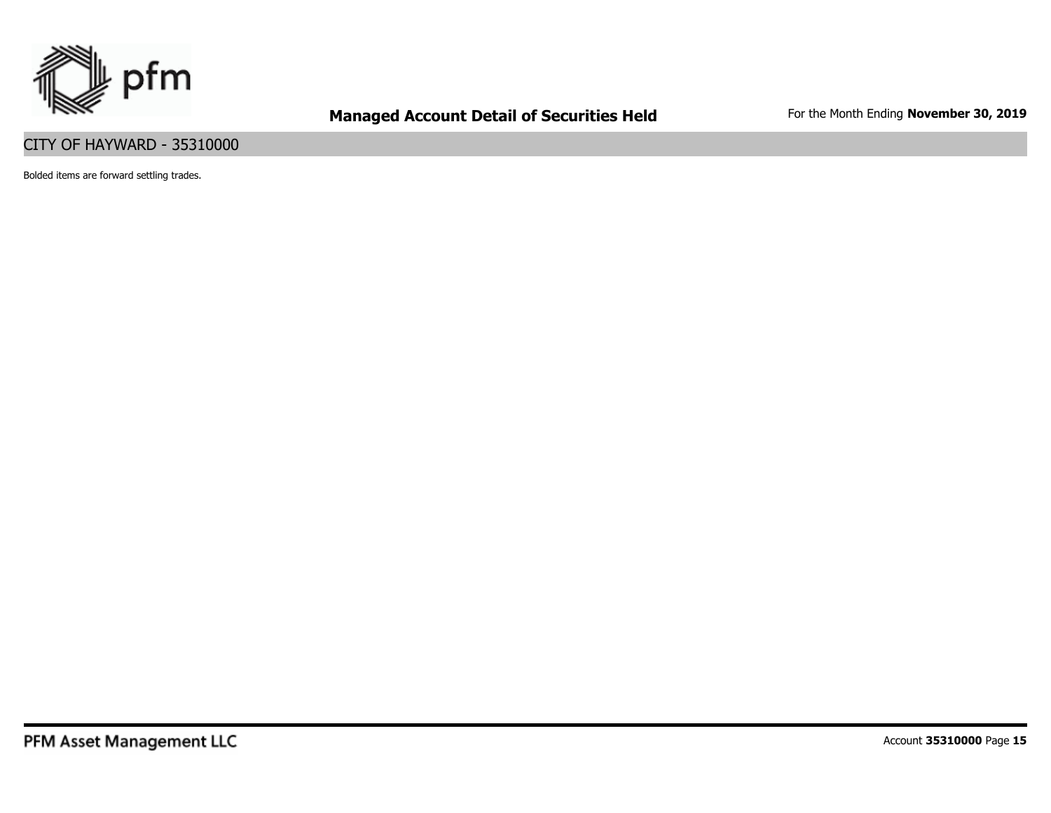

### CITY OF HAYWARD - 35310000

Bolded items are forward settling trades.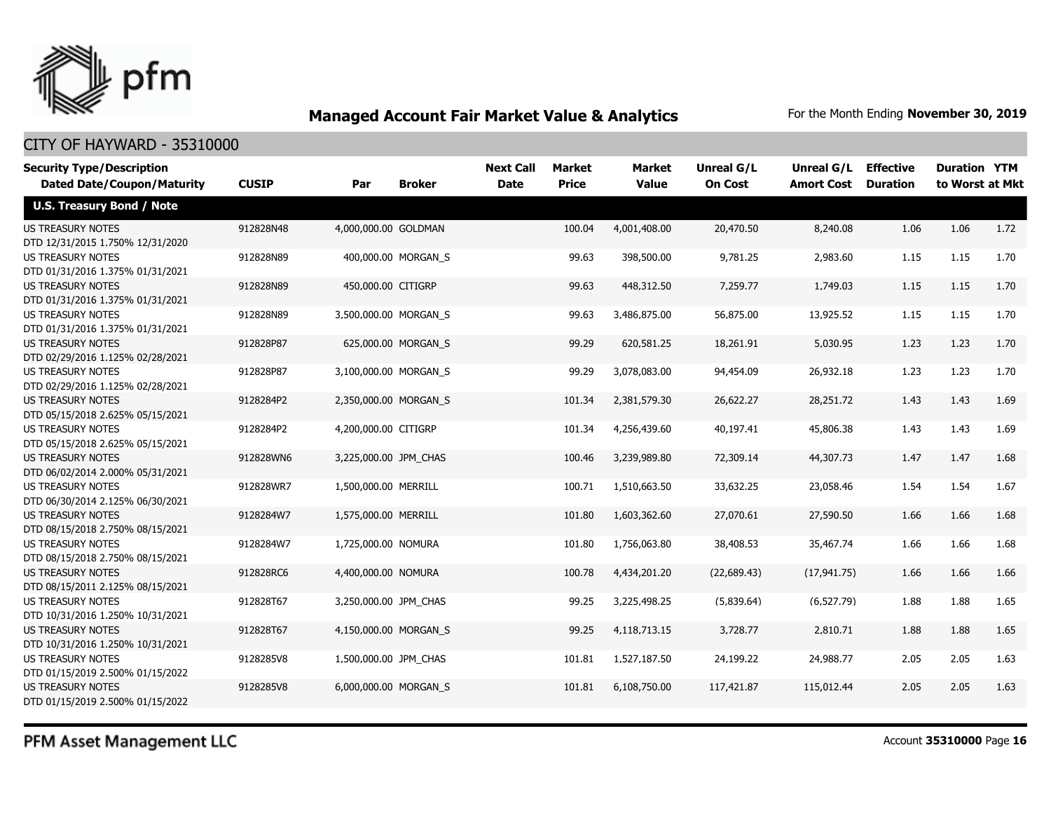

#### CITY OF HAYWARD - 35310000

| <b>Security Type/Description</b><br><b>Dated Date/Coupon/Maturity</b> | <b>CUSIP</b> | Par                   | <b>Broker</b>       | <b>Next Call</b><br><b>Date</b> | <b>Market</b><br><b>Price</b> | Market<br><b>Value</b> | Unreal G/L<br><b>On Cost</b> | Unreal G/L<br><b>Amort Cost</b> | <b>Effective</b><br><b>Duration</b> | <b>Duration YTM</b><br>to Worst at Mkt |      |
|-----------------------------------------------------------------------|--------------|-----------------------|---------------------|---------------------------------|-------------------------------|------------------------|------------------------------|---------------------------------|-------------------------------------|----------------------------------------|------|
| <b>U.S. Treasury Bond / Note</b>                                      |              |                       |                     |                                 |                               |                        |                              |                                 |                                     |                                        |      |
| <b>US TREASURY NOTES</b><br>DTD 12/31/2015 1.750% 12/31/2020          | 912828N48    | 4,000,000.00 GOLDMAN  |                     |                                 | 100.04                        | 4,001,408.00           | 20,470.50                    | 8,240.08                        | 1.06                                | 1.06                                   | 1.72 |
| <b>US TREASURY NOTES</b><br>DTD 01/31/2016 1.375% 01/31/2021          | 912828N89    |                       | 400,000.00 MORGAN S |                                 | 99.63                         | 398,500.00             | 9,781.25                     | 2,983.60                        | 1.15                                | 1.15                                   | 1.70 |
| US TREASURY NOTES<br>DTD 01/31/2016 1.375% 01/31/2021                 | 912828N89    | 450,000.00 CITIGRP    |                     |                                 | 99.63                         | 448,312.50             | 7,259.77                     | 1,749.03                        | 1.15                                | 1.15                                   | 1.70 |
| <b>US TREASURY NOTES</b><br>DTD 01/31/2016 1.375% 01/31/2021          | 912828N89    | 3,500,000.00 MORGAN S |                     |                                 | 99.63                         | 3,486,875.00           | 56,875.00                    | 13,925.52                       | 1.15                                | 1.15                                   | 1.70 |
| <b>US TREASURY NOTES</b><br>DTD 02/29/2016 1.125% 02/28/2021          | 912828P87    |                       | 625,000.00 MORGAN S |                                 | 99.29                         | 620,581.25             | 18,261.91                    | 5,030.95                        | 1.23                                | 1.23                                   | 1.70 |
| <b>US TREASURY NOTES</b><br>DTD 02/29/2016 1.125% 02/28/2021          | 912828P87    | 3,100,000.00 MORGAN_S |                     |                                 | 99.29                         | 3,078,083.00           | 94,454.09                    | 26,932.18                       | 1.23                                | 1.23                                   | 1.70 |
| <b>US TREASURY NOTES</b><br>DTD 05/15/2018 2.625% 05/15/2021          | 9128284P2    | 2,350,000.00 MORGAN S |                     |                                 | 101.34                        | 2,381,579.30           | 26,622.27                    | 28,251.72                       | 1.43                                | 1.43                                   | 1.69 |
| <b>US TREASURY NOTES</b><br>DTD 05/15/2018 2.625% 05/15/2021          | 9128284P2    | 4,200,000.00 CITIGRP  |                     |                                 | 101.34                        | 4,256,439.60           | 40,197.41                    | 45,806.38                       | 1.43                                | 1.43                                   | 1.69 |
| <b>US TREASURY NOTES</b><br>DTD 06/02/2014 2.000% 05/31/2021          | 912828WN6    | 3,225,000.00 JPM CHAS |                     |                                 | 100.46                        | 3,239,989.80           | 72,309.14                    | 44,307.73                       | 1.47                                | 1.47                                   | 1.68 |
| <b>US TREASURY NOTES</b><br>DTD 06/30/2014 2.125% 06/30/2021          | 912828WR7    | 1,500,000.00 MERRILL  |                     |                                 | 100.71                        | 1,510,663.50           | 33,632.25                    | 23,058.46                       | 1.54                                | 1.54                                   | 1.67 |
| <b>US TREASURY NOTES</b><br>DTD 08/15/2018 2.750% 08/15/2021          | 9128284W7    | 1,575,000.00 MERRILL  |                     |                                 | 101.80                        | 1,603,362.60           | 27,070.61                    | 27,590.50                       | 1.66                                | 1.66                                   | 1.68 |
| <b>US TREASURY NOTES</b><br>DTD 08/15/2018 2.750% 08/15/2021          | 9128284W7    | 1,725,000.00 NOMURA   |                     |                                 | 101.80                        | 1,756,063.80           | 38,408.53                    | 35,467.74                       | 1.66                                | 1.66                                   | 1.68 |
| <b>US TREASURY NOTES</b><br>DTD 08/15/2011 2.125% 08/15/2021          | 912828RC6    | 4,400,000.00 NOMURA   |                     |                                 | 100.78                        | 4,434,201.20           | (22,689.43)                  | (17, 941.75)                    | 1.66                                | 1.66                                   | 1.66 |
| <b>US TREASURY NOTES</b><br>DTD 10/31/2016 1.250% 10/31/2021          | 912828T67    | 3,250,000.00 JPM_CHAS |                     |                                 | 99.25                         | 3,225,498.25           | (5,839.64)                   | (6, 527.79)                     | 1.88                                | 1.88                                   | 1.65 |
| <b>US TREASURY NOTES</b><br>DTD 10/31/2016 1.250% 10/31/2021          | 912828T67    | 4,150,000.00 MORGAN S |                     |                                 | 99.25                         | 4,118,713.15           | 3,728.77                     | 2,810.71                        | 1.88                                | 1.88                                   | 1.65 |
| <b>US TREASURY NOTES</b><br>DTD 01/15/2019 2.500% 01/15/2022          | 9128285V8    | 1,500,000.00 JPM_CHAS |                     |                                 | 101.81                        | 1,527,187.50           | 24,199.22                    | 24,988.77                       | 2.05                                | 2.05                                   | 1.63 |
| <b>US TREASURY NOTES</b><br>DTD 01/15/2019 2.500% 01/15/2022          | 9128285V8    | 6,000,000.00 MORGAN S |                     |                                 | 101.81                        | 6,108,750.00           | 117,421.87                   | 115,012.44                      | 2.05                                | 2.05                                   | 1.63 |

PFM Asset Management LLC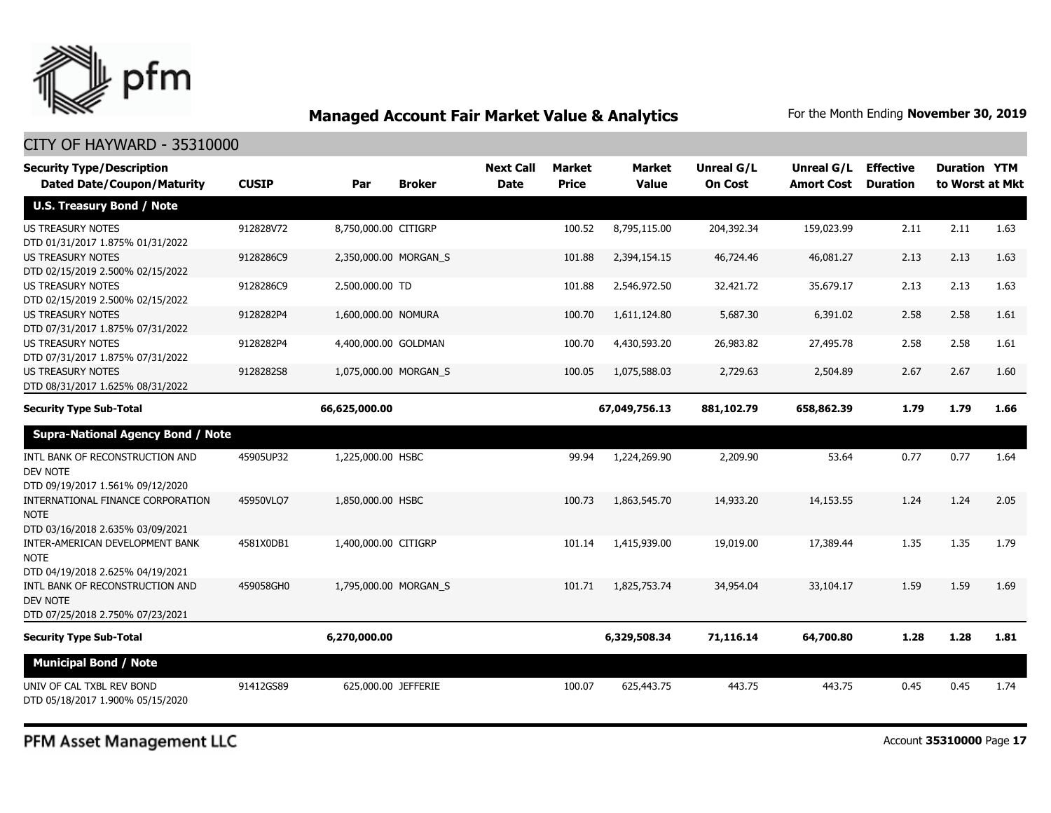

| <b>Security Type/Description</b><br><b>Dated Date/Coupon/Maturity</b>              | <b>CUSIP</b> | Par                   | <b>Broker</b> | <b>Next Call</b><br><b>Date</b> | <b>Market</b><br>Price | <b>Market</b><br><b>Value</b> | Unreal G/L<br><b>On Cost</b> | Unreal G/L<br><b>Amort Cost</b> | <b>Effective</b><br><b>Duration</b> | <b>Duration YTM</b><br>to Worst at Mkt |      |
|------------------------------------------------------------------------------------|--------------|-----------------------|---------------|---------------------------------|------------------------|-------------------------------|------------------------------|---------------------------------|-------------------------------------|----------------------------------------|------|
| <b>U.S. Treasury Bond / Note</b>                                                   |              |                       |               |                                 |                        |                               |                              |                                 |                                     |                                        |      |
| <b>US TREASURY NOTES</b><br>DTD 01/31/2017 1.875% 01/31/2022                       | 912828V72    | 8,750,000.00 CITIGRP  |               |                                 | 100.52                 | 8,795,115,00                  | 204,392.34                   | 159,023.99                      | 2.11                                | 2.11                                   | 1.63 |
| <b>US TREASURY NOTES</b><br>DTD 02/15/2019 2.500% 02/15/2022                       | 9128286C9    | 2,350,000.00 MORGAN_S |               |                                 | 101.88                 | 2,394,154.15                  | 46,724.46                    | 46,081.27                       | 2.13                                | 2.13                                   | 1.63 |
| <b>US TREASURY NOTES</b><br>DTD 02/15/2019 2.500% 02/15/2022                       | 9128286C9    | 2,500,000.00 TD       |               |                                 | 101.88                 | 2,546,972.50                  | 32,421.72                    | 35,679.17                       | 2.13                                | 2.13                                   | 1.63 |
| <b>US TREASURY NOTES</b><br>DTD 07/31/2017 1.875% 07/31/2022                       | 9128282P4    | 1,600,000.00 NOMURA   |               |                                 | 100.70                 | 1,611,124.80                  | 5,687.30                     | 6,391.02                        | 2.58                                | 2.58                                   | 1.61 |
| <b>US TREASURY NOTES</b><br>DTD 07/31/2017 1.875% 07/31/2022                       | 9128282P4    | 4,400,000.00 GOLDMAN  |               |                                 | 100.70                 | 4,430,593.20                  | 26,983.82                    | 27,495.78                       | 2.58                                | 2.58                                   | 1.61 |
| <b>US TREASURY NOTES</b><br>DTD 08/31/2017 1.625% 08/31/2022                       | 9128282S8    | 1,075,000.00 MORGAN_S |               |                                 | 100.05                 | 1,075,588.03                  | 2,729.63                     | 2,504.89                        | 2.67                                | 2.67                                   | 1.60 |
| <b>Security Type Sub-Total</b>                                                     |              | 66,625,000.00         |               |                                 |                        | 67,049,756.13                 | 881,102.79                   | 658,862.39                      | 1.79                                | 1.79                                   | 1.66 |
| <b>Supra-National Agency Bond / Note</b>                                           |              |                       |               |                                 |                        |                               |                              |                                 |                                     |                                        |      |
| INTL BANK OF RECONSTRUCTION AND<br><b>DEV NOTE</b>                                 | 45905UP32    | 1,225,000.00 HSBC     |               |                                 | 99.94                  | 1,224,269.90                  | 2,209.90                     | 53.64                           | 0.77                                | 0.77                                   | 1.64 |
| DTD 09/19/2017 1.561% 09/12/2020<br>INTERNATIONAL FINANCE CORPORATION              | 45950VLO7    | 1,850,000.00 HSBC     |               |                                 | 100.73                 | 1,863,545,70                  | 14,933.20                    | 14,153.55                       | 1.24                                | 1.24                                   | 2.05 |
| <b>NOTE</b><br>DTD 03/16/2018 2.635% 03/09/2021                                    |              |                       |               |                                 |                        |                               |                              |                                 |                                     |                                        |      |
| INTER-AMERICAN DEVELOPMENT BANK<br><b>NOTE</b><br>DTD 04/19/2018 2.625% 04/19/2021 | 4581X0DB1    | 1,400,000.00 CITIGRP  |               |                                 | 101.14                 | 1,415,939,00                  | 19,019.00                    | 17,389.44                       | 1.35                                | 1.35                                   | 1.79 |
| INTL BANK OF RECONSTRUCTION AND<br><b>DEV NOTE</b>                                 | 459058GH0    | 1,795,000.00 MORGAN S |               |                                 | 101.71                 | 1,825,753.74                  | 34,954.04                    | 33,104.17                       | 1.59                                | 1.59                                   | 1.69 |
| DTD 07/25/2018 2.750% 07/23/2021                                                   |              |                       |               |                                 |                        |                               |                              |                                 |                                     |                                        |      |
| <b>Security Type Sub-Total</b>                                                     |              | 6,270,000.00          |               |                                 |                        | 6,329,508.34                  | 71,116.14                    | 64,700.80                       | 1.28                                | 1.28                                   | 1.81 |
| <b>Municipal Bond / Note</b>                                                       |              |                       |               |                                 |                        |                               |                              |                                 |                                     |                                        |      |
| UNIV OF CAL TXBL REV BOND<br>DTD 05/18/2017 1.900% 05/15/2020                      | 91412GS89    | 625,000.00 JEFFERIE   |               |                                 | 100.07                 | 625,443.75                    | 443.75                       | 443.75                          | 0.45                                | 0.45                                   | 1.74 |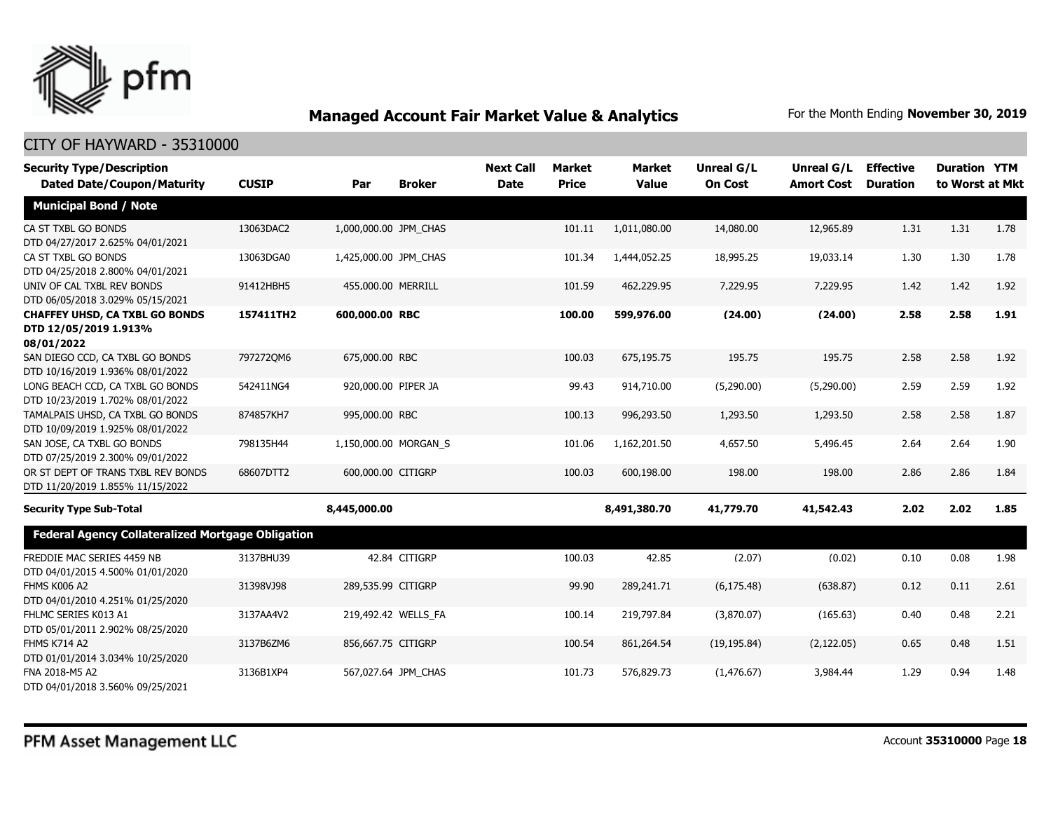

| <b>Security Type/Description</b>                                             |              |                       |                       | <b>Next Call</b> | <b>Market</b> | <b>Market</b> | <b>Unreal G/L</b> | Unreal G/L        | <b>Effective</b> | <b>Duration YTM</b> |      |
|------------------------------------------------------------------------------|--------------|-----------------------|-----------------------|------------------|---------------|---------------|-------------------|-------------------|------------------|---------------------|------|
| <b>Dated Date/Coupon/Maturity</b>                                            | <b>CUSIP</b> | Par                   | <b>Broker</b>         | <b>Date</b>      | <b>Price</b>  | <b>Value</b>  | <b>On Cost</b>    | <b>Amort Cost</b> | <b>Duration</b>  | to Worst at Mkt     |      |
| <b>Municipal Bond / Note</b>                                                 |              |                       |                       |                  |               |               |                   |                   |                  |                     |      |
| CA ST TXBL GO BONDS<br>DTD 04/27/2017 2.625% 04/01/2021                      | 13063DAC2    | 1,000,000.00 JPM CHAS |                       |                  | 101.11        | 1,011,080.00  | 14,080.00         | 12,965.89         | 1.31             | 1.31                | 1.78 |
| CA ST TXBL GO BONDS<br>DTD 04/25/2018 2.800% 04/01/2021                      | 13063DGA0    | 1,425,000.00 JPM_CHAS |                       |                  | 101.34        | 1,444,052.25  | 18,995.25         | 19,033.14         | 1.30             | 1.30                | 1.78 |
| UNIV OF CAL TXBL REV BONDS<br>DTD 06/05/2018 3.029% 05/15/2021               | 91412HBH5    | 455,000.00 MERRILL    |                       |                  | 101.59        | 462,229.95    | 7,229.95          | 7,229.95          | 1.42             | 1.42                | 1.92 |
| <b>CHAFFEY UHSD, CA TXBL GO BONDS</b><br>DTD 12/05/2019 1.913%<br>08/01/2022 | 157411TH2    | 600,000.00 RBC        |                       |                  | 100.00        | 599,976.00    | (24.00)           | (24.00)           | 2.58             | 2.58                | 1.91 |
| SAN DIEGO CCD, CA TXBL GO BONDS<br>DTD 10/16/2019 1.936% 08/01/2022          | 7972720M6    | 675,000.00 RBC        |                       |                  | 100.03        | 675,195.75    | 195.75            | 195.75            | 2.58             | 2.58                | 1.92 |
| LONG BEACH CCD, CA TXBL GO BONDS<br>DTD 10/23/2019 1.702% 08/01/2022         | 542411NG4    | 920,000.00 PIPER JA   |                       |                  | 99.43         | 914,710.00    | (5,290.00)        | (5,290.00)        | 2.59             | 2.59                | 1.92 |
| TAMALPAIS UHSD, CA TXBL GO BONDS<br>DTD 10/09/2019 1.925% 08/01/2022         | 874857KH7    | 995,000.00 RBC        |                       |                  | 100.13        | 996,293.50    | 1,293.50          | 1,293.50          | 2.58             | 2.58                | 1.87 |
| SAN JOSE, CA TXBL GO BONDS<br>DTD 07/25/2019 2.300% 09/01/2022               | 798135H44    |                       | 1,150,000.00 MORGAN_S |                  | 101.06        | 1,162,201.50  | 4,657.50          | 5,496.45          | 2.64             | 2.64                | 1.90 |
| OR ST DEPT OF TRANS TXBL REV BONDS<br>DTD 11/20/2019 1.855% 11/15/2022       | 68607DTT2    | 600,000.00 CITIGRP    |                       |                  | 100.03        | 600,198.00    | 198.00            | 198.00            | 2.86             | 2.86                | 1.84 |
| <b>Security Type Sub-Total</b>                                               |              | 8,445,000.00          |                       |                  |               | 8,491,380.70  | 41,779.70         | 41,542.43         | 2.02             | 2.02                | 1.85 |
| <b>Federal Agency Collateralized Mortgage Obligation</b>                     |              |                       |                       |                  |               |               |                   |                   |                  |                     |      |
| FREDDIE MAC SERIES 4459 NB<br>DTD 04/01/2015 4.500% 01/01/2020               | 3137BHU39    |                       | 42.84 CITIGRP         |                  | 100.03        | 42.85         | (2.07)            | (0.02)            | 0.10             | 0.08                | 1.98 |
| <b>FHMS K006 A2</b><br>DTD 04/01/2010 4.251% 01/25/2020                      | 31398VJ98    | 289,535.99 CITIGRP    |                       |                  | 99.90         | 289,241.71    | (6, 175.48)       | (638.87)          | 0.12             | 0.11                | 2.61 |
| FHLMC SERIES K013 A1<br>DTD 05/01/2011 2.902% 08/25/2020                     | 3137AA4V2    |                       | 219,492.42 WELLS_FA   |                  | 100.14        | 219,797.84    | (3,870.07)        | (165.63)          | 0.40             | 0.48                | 2.21 |
| <b>FHMS K714 A2</b><br>DTD 01/01/2014 3.034% 10/25/2020                      | 3137B6ZM6    | 856,667.75 CITIGRP    |                       |                  | 100.54        | 861,264.54    | (19, 195.84)      | (2, 122.05)       | 0.65             | 0.48                | 1.51 |
| FNA 2018-M5 A2<br>DTD 04/01/2018 3.560% 09/25/2021                           | 3136B1XP4    |                       | 567,027.64 JPM CHAS   |                  | 101.73        | 576,829.73    | (1,476.67)        | 3,984.44          | 1.29             | 0.94                | 1.48 |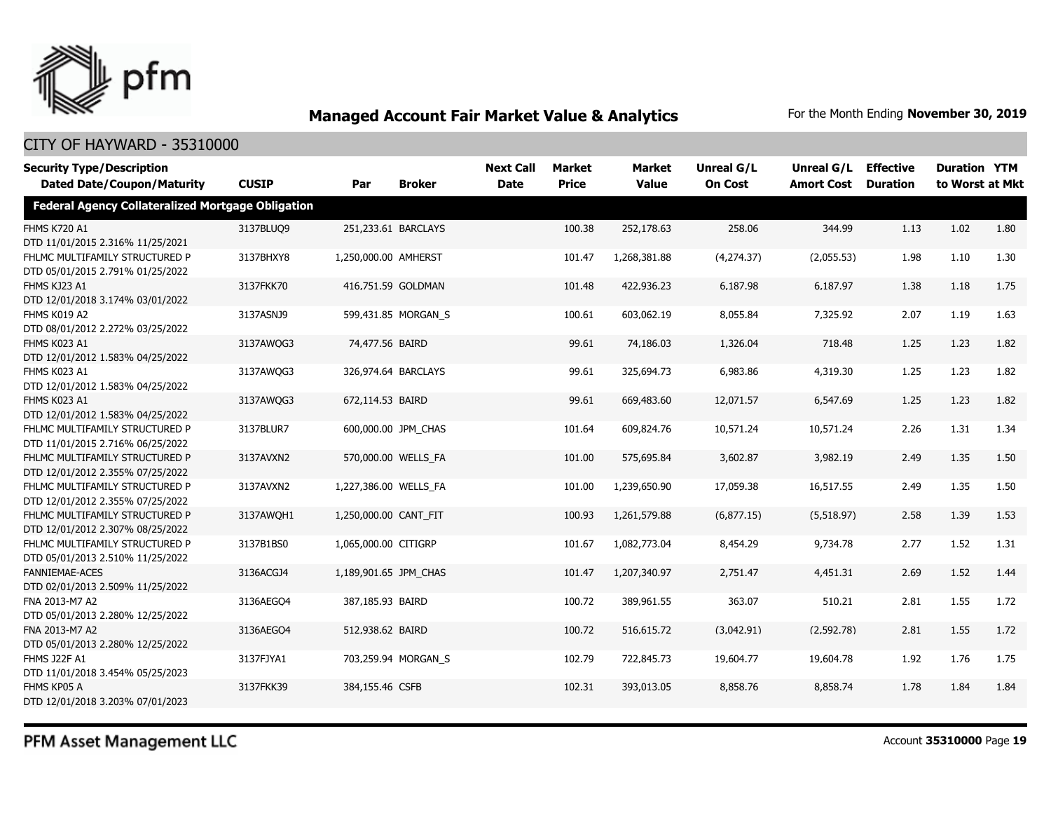

#### CITY OF HAYWARD - 35310000

| <b>Security Type/Description</b><br><b>Dated Date/Coupon/Maturity</b> | <b>CUSIP</b> | Par                   | <b>Broker</b>       | <b>Next Call</b><br><b>Date</b> | <b>Market</b><br><b>Price</b> | <b>Market</b><br><b>Value</b> | Unreal G/L<br><b>On Cost</b> | Unreal G/L<br><b>Amort Cost</b> | <b>Effective</b><br><b>Duration</b> | <b>Duration YTM</b><br>to Worst at Mkt |      |
|-----------------------------------------------------------------------|--------------|-----------------------|---------------------|---------------------------------|-------------------------------|-------------------------------|------------------------------|---------------------------------|-------------------------------------|----------------------------------------|------|
| <b>Federal Agency Collateralized Mortgage Obligation</b>              |              |                       |                     |                                 |                               |                               |                              |                                 |                                     |                                        |      |
| <b>FHMS K720 A1</b><br>DTD 11/01/2015 2.316% 11/25/2021               | 3137BLUQ9    |                       | 251,233.61 BARCLAYS |                                 | 100.38                        | 252,178.63                    | 258.06                       | 344.99                          | 1.13                                | 1.02                                   | 1.80 |
| FHLMC MULTIFAMILY STRUCTURED P<br>DTD 05/01/2015 2.791% 01/25/2022    | 3137BHXY8    | 1,250,000.00 AMHERST  |                     |                                 | 101.47                        | 1,268,381.88                  | (4,274.37)                   | (2,055.53)                      | 1.98                                | 1.10                                   | 1.30 |
| FHMS KJ23 A1<br>DTD 12/01/2018 3.174% 03/01/2022                      | 3137FKK70    |                       | 416,751.59 GOLDMAN  |                                 | 101.48                        | 422,936.23                    | 6,187.98                     | 6,187.97                        | 1.38                                | 1.18                                   | 1.75 |
| FHMS K019 A2<br>DTD 08/01/2012 2.272% 03/25/2022                      | 3137ASNJ9    |                       | 599,431.85 MORGAN_S |                                 | 100.61                        | 603,062.19                    | 8,055.84                     | 7,325.92                        | 2.07                                | 1.19                                   | 1.63 |
| FHMS K023 A1<br>DTD 12/01/2012 1.583% 04/25/2022                      | 3137AWOG3    | 74,477.56 BAIRD       |                     |                                 | 99.61                         | 74,186.03                     | 1,326.04                     | 718.48                          | 1.25                                | 1.23                                   | 1.82 |
| FHMS K023 A1<br>DTD 12/01/2012 1.583% 04/25/2022                      | 3137AWOG3    |                       | 326,974.64 BARCLAYS |                                 | 99.61                         | 325,694.73                    | 6,983.86                     | 4,319.30                        | 1.25                                | 1.23                                   | 1.82 |
| <b>FHMS K023 A1</b><br>DTD 12/01/2012 1.583% 04/25/2022               | 3137AWQG3    | 672,114.53 BAIRD      |                     |                                 | 99.61                         | 669,483.60                    | 12,071.57                    | 6,547.69                        | 1.25                                | 1.23                                   | 1.82 |
| FHLMC MULTIFAMILY STRUCTURED P<br>DTD 11/01/2015 2.716% 06/25/2022    | 3137BLUR7    |                       | 600,000.00 JPM CHAS |                                 | 101.64                        | 609,824.76                    | 10,571.24                    | 10,571.24                       | 2.26                                | 1.31                                   | 1.34 |
| FHLMC MULTIFAMILY STRUCTURED P<br>DTD 12/01/2012 2.355% 07/25/2022    | 3137AVXN2    |                       | 570,000.00 WELLS FA |                                 | 101.00                        | 575,695.84                    | 3,602.87                     | 3,982.19                        | 2.49                                | 1.35                                   | 1.50 |
| FHLMC MULTIFAMILY STRUCTURED P<br>DTD 12/01/2012 2.355% 07/25/2022    | 3137AVXN2    | 1,227,386.00 WELLS FA |                     |                                 | 101.00                        | 1,239,650.90                  | 17,059.38                    | 16,517.55                       | 2.49                                | 1.35                                   | 1.50 |
| FHLMC MULTIFAMILY STRUCTURED P<br>DTD 12/01/2012 2.307% 08/25/2022    | 3137AWOH1    | 1,250,000.00 CANT FIT |                     |                                 | 100.93                        | 1,261,579.88                  | (6,877.15)                   | (5,518.97)                      | 2.58                                | 1.39                                   | 1.53 |
| FHLMC MULTIFAMILY STRUCTURED P<br>DTD 05/01/2013 2.510% 11/25/2022    | 3137B1BS0    | 1,065,000.00 CITIGRP  |                     |                                 | 101.67                        | 1,082,773.04                  | 8,454.29                     | 9,734.78                        | 2.77                                | 1.52                                   | 1.31 |
| <b>FANNIEMAE-ACES</b><br>DTD 02/01/2013 2.509% 11/25/2022             | 3136ACGJ4    | 1,189,901.65 JPM CHAS |                     |                                 | 101.47                        | 1,207,340.97                  | 2,751.47                     | 4,451.31                        | 2.69                                | 1.52                                   | 1.44 |
| FNA 2013-M7 A2<br>DTD 05/01/2013 2.280% 12/25/2022                    | 3136AEGO4    | 387,185.93 BAIRD      |                     |                                 | 100.72                        | 389,961.55                    | 363.07                       | 510.21                          | 2.81                                | 1.55                                   | 1.72 |
| FNA 2013-M7 A2<br>DTD 05/01/2013 2.280% 12/25/2022                    | 3136AEGO4    | 512,938.62 BAIRD      |                     |                                 | 100.72                        | 516,615.72                    | (3,042.91)                   | (2,592.78)                      | 2.81                                | 1.55                                   | 1.72 |
| <b>FHMS J22F A1</b><br>DTD 11/01/2018 3.454% 05/25/2023               | 3137FJYA1    |                       | 703,259.94 MORGAN S |                                 | 102.79                        | 722,845.73                    | 19,604.77                    | 19,604.78                       | 1.92                                | 1.76                                   | 1.75 |
| FHMS KP05 A<br>DTD 12/01/2018 3.203% 07/01/2023                       | 3137FKK39    | 384,155.46 CSFB       |                     |                                 | 102.31                        | 393,013.05                    | 8,858.76                     | 8,858.74                        | 1.78                                | 1.84                                   | 1.84 |

PFM Asset Management LLC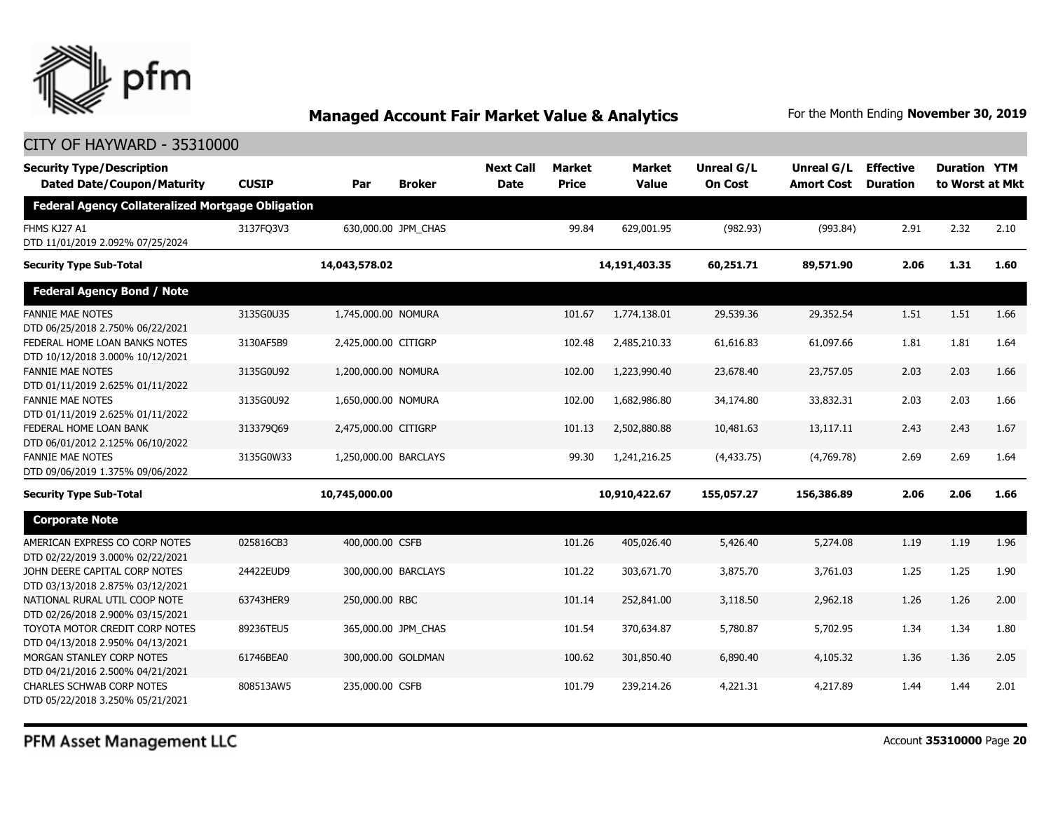

| <b>Security Type/Description</b><br><b>Dated Date/Coupon/Maturity</b> | <b>CUSIP</b> | Par                   | <b>Broker</b>       | <b>Next Call</b><br><b>Date</b> | <b>Market</b><br><b>Price</b> | <b>Market</b><br><b>Value</b> | <b>Unreal G/L</b><br><b>On Cost</b> | Unreal G/L<br><b>Amort Cost</b> | <b>Effective</b><br><b>Duration</b> | <b>Duration YTM</b><br>to Worst at Mkt |      |
|-----------------------------------------------------------------------|--------------|-----------------------|---------------------|---------------------------------|-------------------------------|-------------------------------|-------------------------------------|---------------------------------|-------------------------------------|----------------------------------------|------|
| <b>Federal Agency Collateralized Mortgage Obligation</b>              |              |                       |                     |                                 |                               |                               |                                     |                                 |                                     |                                        |      |
| FHMS KJ27 A1<br>DTD 11/01/2019 2.092% 07/25/2024                      | 3137FQ3V3    |                       | 630,000.00 JPM CHAS |                                 | 99.84                         | 629,001.95                    | (982.93)                            | (993.84)                        | 2.91                                | 2.32                                   | 2.10 |
| <b>Security Type Sub-Total</b>                                        |              | 14,043,578.02         |                     |                                 |                               | 14,191,403.35                 | 60,251.71                           | 89,571.90                       | 2.06                                | 1.31                                   | 1.60 |
| <b>Federal Agency Bond / Note</b>                                     |              |                       |                     |                                 |                               |                               |                                     |                                 |                                     |                                        |      |
| <b>FANNIE MAE NOTES</b><br>DTD 06/25/2018 2.750% 06/22/2021           | 3135G0U35    | 1,745,000.00 NOMURA   |                     |                                 | 101.67                        | 1,774,138.01                  | 29,539.36                           | 29,352.54                       | 1.51                                | 1.51                                   | 1.66 |
| FEDERAL HOME LOAN BANKS NOTES<br>DTD 10/12/2018 3.000% 10/12/2021     | 3130AF5B9    | 2,425,000.00 CITIGRP  |                     |                                 | 102.48                        | 2,485,210.33                  | 61,616.83                           | 61,097.66                       | 1.81                                | 1.81                                   | 1.64 |
| <b>FANNIE MAE NOTES</b><br>DTD 01/11/2019 2.625% 01/11/2022           | 3135G0U92    | 1,200,000.00 NOMURA   |                     |                                 | 102.00                        | 1,223,990.40                  | 23,678.40                           | 23,757.05                       | 2.03                                | 2.03                                   | 1.66 |
| <b>FANNIE MAE NOTES</b><br>DTD 01/11/2019 2.625% 01/11/2022           | 3135G0U92    | 1,650,000.00 NOMURA   |                     |                                 | 102.00                        | 1,682,986.80                  | 34,174.80                           | 33,832.31                       | 2.03                                | 2.03                                   | 1.66 |
| FEDERAL HOME LOAN BANK<br>DTD 06/01/2012 2.125% 06/10/2022            | 313379069    | 2,475,000.00 CITIGRP  |                     |                                 | 101.13                        | 2,502,880.88                  | 10,481.63                           | 13,117.11                       | 2.43                                | 2.43                                   | 1.67 |
| <b>FANNIE MAE NOTES</b><br>DTD 09/06/2019 1.375% 09/06/2022           | 3135G0W33    | 1,250,000.00 BARCLAYS |                     |                                 | 99.30                         | 1,241,216.25                  | (4,433.75)                          | (4,769.78)                      | 2.69                                | 2.69                                   | 1.64 |
| <b>Security Type Sub-Total</b>                                        |              | 10,745,000.00         |                     |                                 |                               | 10,910,422.67                 | 155,057.27                          | 156,386.89                      | 2.06                                | 2.06                                   | 1.66 |
| <b>Corporate Note</b>                                                 |              |                       |                     |                                 |                               |                               |                                     |                                 |                                     |                                        |      |
| AMERICAN EXPRESS CO CORP NOTES<br>DTD 02/22/2019 3.000% 02/22/2021    | 025816CB3    | 400,000.00 CSFB       |                     |                                 | 101.26                        | 405,026.40                    | 5,426.40                            | 5,274.08                        | 1.19                                | 1.19                                   | 1.96 |
| JOHN DEERE CAPITAL CORP NOTES<br>DTD 03/13/2018 2.875% 03/12/2021     | 24422EUD9    |                       | 300,000.00 BARCLAYS |                                 | 101.22                        | 303,671.70                    | 3,875.70                            | 3,761.03                        | 1.25                                | 1.25                                   | 1.90 |
| NATIONAL RURAL UTIL COOP NOTE<br>DTD 02/26/2018 2.900% 03/15/2021     | 63743HER9    | 250,000.00 RBC        |                     |                                 | 101.14                        | 252,841.00                    | 3,118.50                            | 2,962.18                        | 1.26                                | 1.26                                   | 2.00 |
| TOYOTA MOTOR CREDIT CORP NOTES<br>DTD 04/13/2018 2.950% 04/13/2021    | 89236TEU5    |                       | 365,000.00 JPM_CHAS |                                 | 101.54                        | 370,634.87                    | 5,780.87                            | 5,702.95                        | 1.34                                | 1.34                                   | 1.80 |
| MORGAN STANLEY CORP NOTES<br>DTD 04/21/2016 2.500% 04/21/2021         | 61746BEA0    |                       | 300,000.00 GOLDMAN  |                                 | 100.62                        | 301,850.40                    | 6,890.40                            | 4,105.32                        | 1.36                                | 1.36                                   | 2.05 |
| <b>CHARLES SCHWAB CORP NOTES</b><br>DTD 05/22/2018 3.250% 05/21/2021  | 808513AW5    | 235,000.00 CSFB       |                     |                                 | 101.79                        | 239,214.26                    | 4,221.31                            | 4,217.89                        | 1.44                                | 1.44                                   | 2.01 |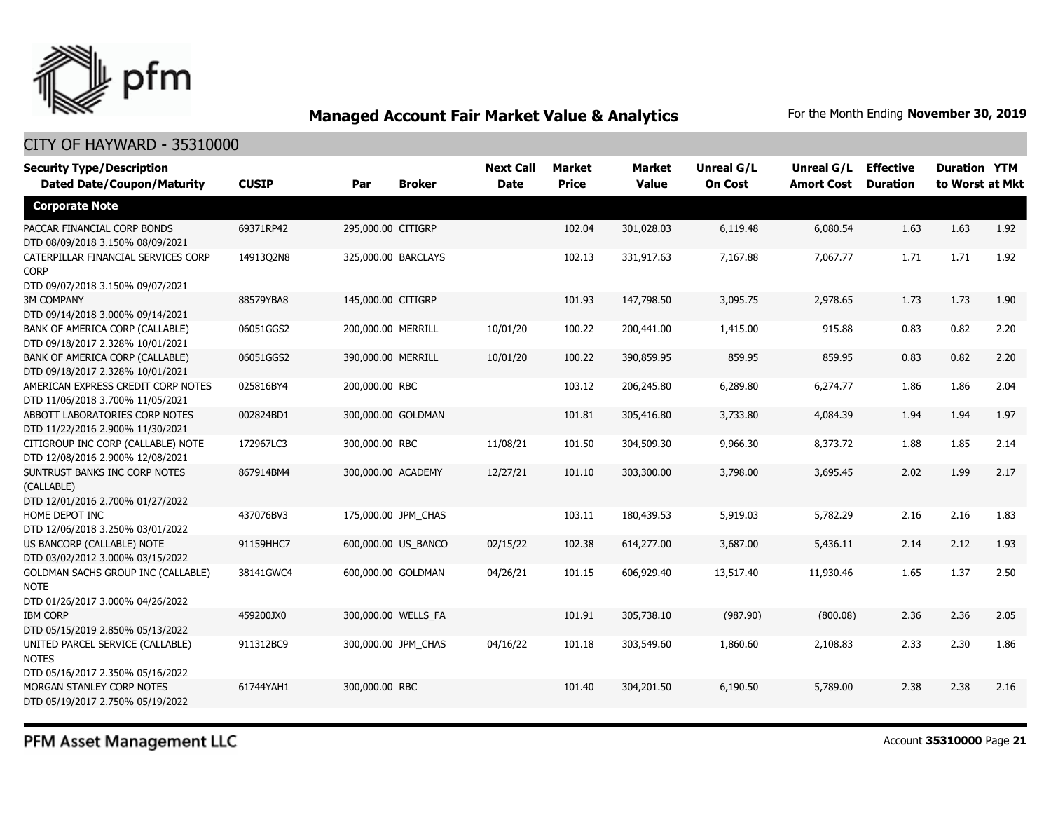

#### CITY OF HAYWARD - 35310000

| <b>Security Type/Description</b><br><b>Dated Date/Coupon/Maturity</b>  | <b>CUSIP</b> | Par                | <b>Broker</b>       | <b>Next Call</b><br><b>Date</b> | <b>Market</b><br><b>Price</b> | Market<br><b>Value</b> | Unreal G/L<br><b>On Cost</b> | Unreal G/L<br><b>Amort Cost</b> | <b>Effective</b><br><b>Duration</b> | <b>Duration YTM</b><br>to Worst at Mkt |      |
|------------------------------------------------------------------------|--------------|--------------------|---------------------|---------------------------------|-------------------------------|------------------------|------------------------------|---------------------------------|-------------------------------------|----------------------------------------|------|
| <b>Corporate Note</b>                                                  |              |                    |                     |                                 |                               |                        |                              |                                 |                                     |                                        |      |
| PACCAR FINANCIAL CORP BONDS<br>DTD 08/09/2018 3.150% 08/09/2021        | 69371RP42    | 295,000.00 CITIGRP |                     |                                 | 102.04                        | 301,028.03             | 6,119.48                     | 6,080.54                        | 1.63                                | 1.63                                   | 1.92 |
| CATERPILLAR FINANCIAL SERVICES CORP<br><b>CORP</b>                     | 14913Q2N8    |                    | 325,000.00 BARCLAYS |                                 | 102.13                        | 331,917.63             | 7,167.88                     | 7,067.77                        | 1.71                                | 1.71                                   | 1.92 |
| DTD 09/07/2018 3.150% 09/07/2021                                       |              |                    |                     |                                 |                               |                        |                              |                                 |                                     |                                        |      |
| <b>3M COMPANY</b><br>DTD 09/14/2018 3.000% 09/14/2021                  | 88579YBA8    | 145,000.00 CITIGRP |                     |                                 | 101.93                        | 147,798.50             | 3,095.75                     | 2,978.65                        | 1.73                                | 1.73                                   | 1.90 |
| BANK OF AMERICA CORP (CALLABLE)                                        | 06051GGS2    | 200,000.00 MERRILL |                     | 10/01/20                        | 100.22                        | 200,441.00             | 1,415.00                     | 915.88                          | 0.83                                | 0.82                                   | 2.20 |
| DTD 09/18/2017 2.328% 10/01/2021<br>BANK OF AMERICA CORP (CALLABLE)    |              | 390,000.00 MERRILL |                     |                                 |                               |                        | 859.95                       |                                 |                                     |                                        |      |
| DTD 09/18/2017 2.328% 10/01/2021                                       | 06051GGS2    |                    |                     | 10/01/20                        | 100.22                        | 390,859.95             |                              | 859.95                          | 0.83                                | 0.82                                   | 2.20 |
| AMERICAN EXPRESS CREDIT CORP NOTES                                     | 025816BY4    | 200,000.00 RBC     |                     |                                 | 103.12                        | 206,245.80             | 6,289.80                     | 6,274.77                        | 1.86                                | 1.86                                   | 2.04 |
| DTD 11/06/2018 3.700% 11/05/2021                                       |              |                    |                     |                                 |                               |                        |                              |                                 |                                     |                                        |      |
| ABBOTT LABORATORIES CORP NOTES                                         | 002824BD1    |                    | 300,000.00 GOLDMAN  |                                 | 101.81                        | 305,416.80             | 3,733.80                     | 4,084.39                        | 1.94                                | 1.94                                   | 1.97 |
| DTD 11/22/2016 2.900% 11/30/2021                                       |              |                    |                     |                                 |                               |                        |                              |                                 |                                     |                                        |      |
| CITIGROUP INC CORP (CALLABLE) NOTE<br>DTD 12/08/2016 2.900% 12/08/2021 | 172967LC3    | 300,000.00 RBC     |                     | 11/08/21                        | 101.50                        | 304,509.30             | 9,966.30                     | 8,373.72                        | 1.88                                | 1.85                                   | 2.14 |
| SUNTRUST BANKS INC CORP NOTES<br>(CALLABLE)                            | 867914BM4    | 300,000.00 ACADEMY |                     | 12/27/21                        | 101.10                        | 303,300.00             | 3,798.00                     | 3,695.45                        | 2.02                                | 1.99                                   | 2.17 |
| DTD 12/01/2016 2.700% 01/27/2022                                       |              |                    |                     |                                 |                               |                        |                              |                                 |                                     |                                        |      |
| HOME DEPOT INC<br>DTD 12/06/2018 3.250% 03/01/2022                     | 437076BV3    |                    | 175,000.00 JPM CHAS |                                 | 103.11                        | 180,439.53             | 5,919.03                     | 5,782.29                        | 2.16                                | 2.16                                   | 1.83 |
| US BANCORP (CALLABLE) NOTE<br>DTD 03/02/2012 3.000% 03/15/2022         | 91159HHC7    |                    | 600,000.00 US_BANCO | 02/15/22                        | 102.38                        | 614,277.00             | 3,687.00                     | 5,436.11                        | 2.14                                | 2.12                                   | 1.93 |
| <b>GOLDMAN SACHS GROUP INC (CALLABLE)</b>                              | 38141GWC4    |                    | 600,000.00 GOLDMAN  | 04/26/21                        | 101.15                        | 606,929.40             | 13,517.40                    | 11,930.46                       | 1.65                                | 1.37                                   | 2.50 |
| <b>NOTE</b>                                                            |              |                    |                     |                                 |                               |                        |                              |                                 |                                     |                                        |      |
| DTD 01/26/2017 3.000% 04/26/2022                                       |              |                    |                     |                                 |                               |                        |                              |                                 |                                     |                                        |      |
| <b>IBM CORP</b>                                                        | 459200JX0    |                    | 300,000.00 WELLS_FA |                                 | 101.91                        | 305,738.10             | (987.90)                     | (800.08)                        | 2.36                                | 2.36                                   | 2.05 |
| DTD 05/15/2019 2.850% 05/13/2022                                       |              |                    |                     |                                 |                               |                        |                              |                                 |                                     |                                        |      |
| UNITED PARCEL SERVICE (CALLABLE)<br><b>NOTES</b>                       | 911312BC9    |                    | 300,000.00 JPM CHAS | 04/16/22                        | 101.18                        | 303,549.60             | 1,860.60                     | 2,108.83                        | 2.33                                | 2.30                                   | 1.86 |
| DTD 05/16/2017 2.350% 05/16/2022                                       |              |                    |                     |                                 |                               |                        |                              |                                 |                                     |                                        |      |
| MORGAN STANLEY CORP NOTES<br>DTD 05/19/2017 2.750% 05/19/2022          | 61744YAH1    | 300,000.00 RBC     |                     |                                 | 101.40                        | 304,201.50             | 6,190.50                     | 5,789.00                        | 2.38                                | 2.38                                   | 2.16 |
|                                                                        |              |                    |                     |                                 |                               |                        |                              |                                 |                                     |                                        |      |

PFM Asset Management LLC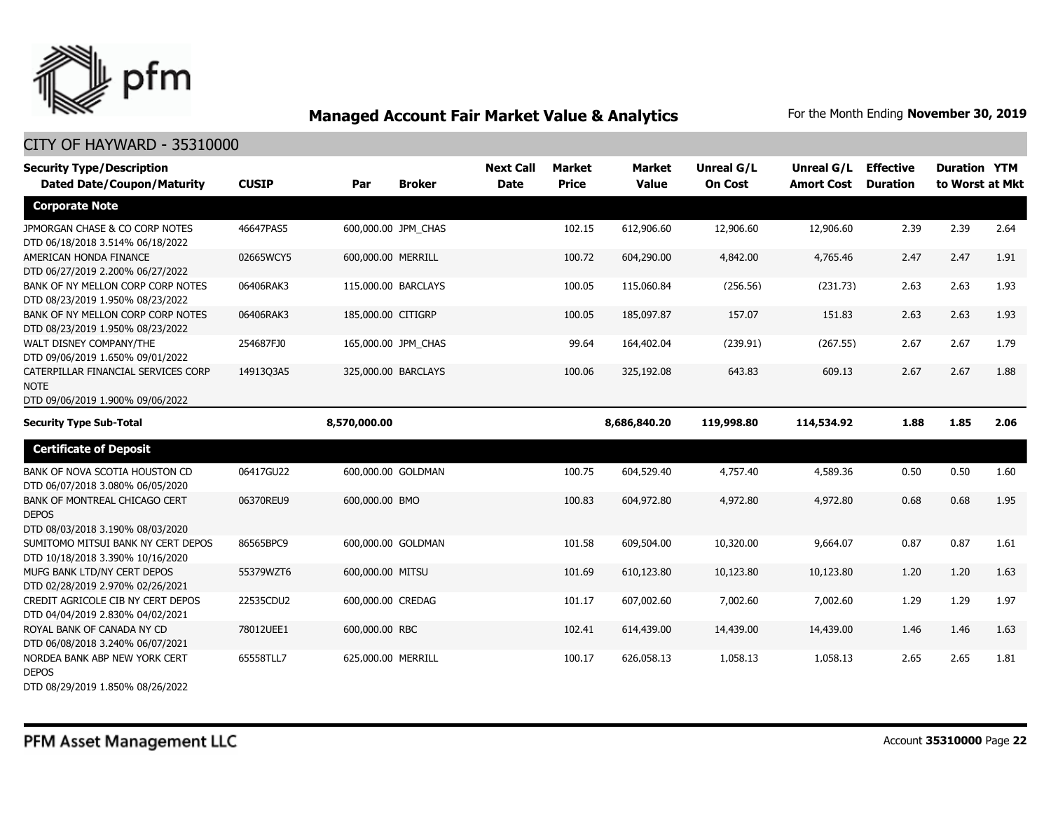

| <b>Security Type/Description</b><br><b>Dated Date/Coupon/Maturity</b>                  | <b>CUSIP</b> | Par                 | <b>Broker</b> | <b>Next Call</b><br><b>Date</b> | <b>Market</b><br><b>Price</b> | <b>Market</b><br><b>Value</b> | <b>Unreal G/L</b><br><b>On Cost</b> | Unreal G/L<br><b>Amort Cost</b> | <b>Effective</b><br><b>Duration</b> | <b>Duration YTM</b><br>to Worst at Mkt |      |
|----------------------------------------------------------------------------------------|--------------|---------------------|---------------|---------------------------------|-------------------------------|-------------------------------|-------------------------------------|---------------------------------|-------------------------------------|----------------------------------------|------|
| <b>Corporate Note</b>                                                                  |              |                     |               |                                 |                               |                               |                                     |                                 |                                     |                                        |      |
| JPMORGAN CHASE & CO CORP NOTES<br>DTD 06/18/2018 3.514% 06/18/2022                     | 46647PAS5    | 600,000.00 JPM CHAS |               |                                 | 102.15                        | 612,906.60                    | 12,906.60                           | 12,906.60                       | 2.39                                | 2.39                                   | 2.64 |
| AMERICAN HONDA FINANCE<br>DTD 06/27/2019 2.200% 06/27/2022                             | 02665WCY5    | 600,000.00 MERRILL  |               |                                 | 100.72                        | 604,290.00                    | 4,842.00                            | 4,765.46                        | 2.47                                | 2.47                                   | 1.91 |
| BANK OF NY MELLON CORP CORP NOTES<br>DTD 08/23/2019 1.950% 08/23/2022                  | 06406RAK3    | 115,000.00 BARCLAYS |               |                                 | 100.05                        | 115,060.84                    | (256.56)                            | (231.73)                        | 2.63                                | 2.63                                   | 1.93 |
| BANK OF NY MELLON CORP CORP NOTES<br>DTD 08/23/2019 1.950% 08/23/2022                  | 06406RAK3    | 185,000.00 CITIGRP  |               |                                 | 100.05                        | 185,097.87                    | 157.07                              | 151.83                          | 2.63                                | 2.63                                   | 1.93 |
| WALT DISNEY COMPANY/THE<br>DTD 09/06/2019 1.650% 09/01/2022                            | 254687FJ0    | 165,000.00 JPM_CHAS |               |                                 | 99.64                         | 164,402.04                    | (239.91)                            | (267.55)                        | 2.67                                | 2.67                                   | 1.79 |
| CATERPILLAR FINANCIAL SERVICES CORP<br><b>NOTE</b><br>DTD 09/06/2019 1.900% 09/06/2022 | 14913Q3A5    | 325,000.00 BARCLAYS |               |                                 | 100.06                        | 325,192.08                    | 643.83                              | 609.13                          | 2.67                                | 2.67                                   | 1.88 |
| <b>Security Type Sub-Total</b>                                                         |              | 8,570,000.00        |               |                                 |                               | 8,686,840.20                  | 119,998.80                          | 114,534.92                      | 1.88                                | 1.85                                   | 2.06 |
| <b>Certificate of Deposit</b>                                                          |              |                     |               |                                 |                               |                               |                                     |                                 |                                     |                                        |      |
| BANK OF NOVA SCOTIA HOUSTON CD<br>DTD 06/07/2018 3.080% 06/05/2020                     | 06417GU22    | 600,000.00 GOLDMAN  |               |                                 | 100.75                        | 604,529.40                    | 4,757.40                            | 4,589.36                        | 0.50                                | 0.50                                   | 1.60 |
| BANK OF MONTREAL CHICAGO CERT<br><b>DEPOS</b><br>DTD 08/03/2018 3.190% 08/03/2020      | 06370REU9    | 600,000.00 BMO      |               |                                 | 100.83                        | 604,972.80                    | 4,972.80                            | 4,972.80                        | 0.68                                | 0.68                                   | 1.95 |
| SUMITOMO MITSUI BANK NY CERT DEPOS<br>DTD 10/18/2018 3.390% 10/16/2020                 | 86565BPC9    | 600,000.00 GOLDMAN  |               |                                 | 101.58                        | 609,504.00                    | 10,320.00                           | 9,664.07                        | 0.87                                | 0.87                                   | 1.61 |
| MUFG BANK LTD/NY CERT DEPOS<br>DTD 02/28/2019 2.970% 02/26/2021                        | 55379WZT6    | 600,000.00 MITSU    |               |                                 | 101.69                        | 610,123.80                    | 10,123.80                           | 10,123.80                       | 1.20                                | 1.20                                   | 1.63 |
| CREDIT AGRICOLE CIB NY CERT DEPOS<br>DTD 04/04/2019 2.830% 04/02/2021                  | 22535CDU2    | 600,000.00 CREDAG   |               |                                 | 101.17                        | 607,002.60                    | 7,002.60                            | 7,002.60                        | 1.29                                | 1.29                                   | 1.97 |
| ROYAL BANK OF CANADA NY CD<br>DTD 06/08/2018 3.240% 06/07/2021                         | 78012UEE1    | 600,000.00 RBC      |               |                                 | 102.41                        | 614,439.00                    | 14,439.00                           | 14,439.00                       | 1.46                                | 1.46                                   | 1.63 |
| NORDEA BANK ABP NEW YORK CERT<br><b>DEPOS</b><br>DTD 08/29/2019 1.850% 08/26/2022      | 65558TLL7    | 625,000.00 MERRILL  |               |                                 | 100.17                        | 626,058.13                    | 1,058.13                            | 1,058.13                        | 2.65                                | 2.65                                   | 1.81 |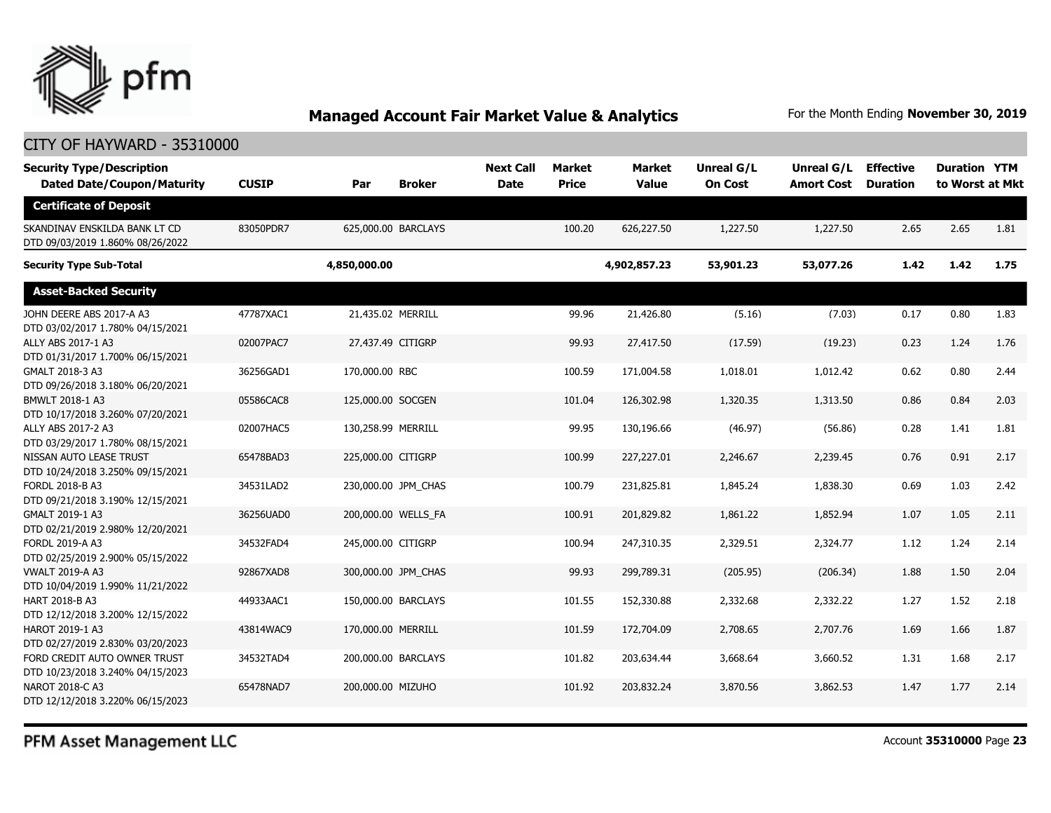

#### CITY OF HAYWARD - 35310000

| <b>Security Type/Description</b><br><b>Dated Date/Coupon/Maturity</b> | <b>CUSIP</b> | Par                 | <b>Broker</b> | <b>Next Call</b><br><b>Date</b> | <b>Market</b><br><b>Price</b> | <b>Market</b><br><b>Value</b> | <b>Unreal G/L</b><br><b>On Cost</b> | Unreal G/L<br><b>Amort Cost</b> | <b>Effective</b><br><b>Duration</b> | <b>Duration YTM</b><br>to Worst at Mkt |      |
|-----------------------------------------------------------------------|--------------|---------------------|---------------|---------------------------------|-------------------------------|-------------------------------|-------------------------------------|---------------------------------|-------------------------------------|----------------------------------------|------|
| <b>Certificate of Deposit</b>                                         |              |                     |               |                                 |                               |                               |                                     |                                 |                                     |                                        |      |
| SKANDINAV ENSKILDA BANK LT CD<br>DTD 09/03/2019 1.860% 08/26/2022     | 83050PDR7    | 625,000.00 BARCLAYS |               |                                 | 100.20                        | 626,227.50                    | 1,227.50                            | 1,227.50                        | 2.65                                | 2.65                                   | 1.81 |
| <b>Security Type Sub-Total</b>                                        |              | 4,850,000.00        |               |                                 |                               | 4,902,857.23                  | 53,901.23                           | 53,077.26                       | 1.42                                | 1.42                                   | 1.75 |
| <b>Asset-Backed Security</b>                                          |              |                     |               |                                 |                               |                               |                                     |                                 |                                     |                                        |      |
| JOHN DEERE ABS 2017-A A3<br>DTD 03/02/2017 1.780% 04/15/2021          | 47787XAC1    | 21,435.02 MERRILL   |               |                                 | 99.96                         | 21,426.80                     | (5.16)                              | (7.03)                          | 0.17                                | 0.80                                   | 1.83 |
| ALLY ABS 2017-1 A3<br>DTD 01/31/2017 1.700% 06/15/2021                | 02007PAC7    | 27,437.49 CITIGRP   |               |                                 | 99.93                         | 27,417.50                     | (17.59)                             | (19.23)                         | 0.23                                | 1.24                                   | 1.76 |
| GMALT 2018-3 A3<br>DTD 09/26/2018 3.180% 06/20/2021                   | 36256GAD1    | 170,000.00 RBC      |               |                                 | 100.59                        | 171,004.58                    | 1,018.01                            | 1,012.42                        | 0.62                                | 0.80                                   | 2.44 |
| BMWLT 2018-1 A3<br>DTD 10/17/2018 3.260% 07/20/2021                   | 05586CAC8    | 125,000.00 SOCGEN   |               |                                 | 101.04                        | 126,302.98                    | 1,320.35                            | 1,313.50                        | 0.86                                | 0.84                                   | 2.03 |
| ALLY ABS 2017-2 A3<br>DTD 03/29/2017 1.780% 08/15/2021                | 02007HAC5    | 130,258.99 MERRILL  |               |                                 | 99.95                         | 130,196.66                    | (46.97)                             | (56.86)                         | 0.28                                | 1.41                                   | 1.81 |
| NISSAN AUTO LEASE TRUST<br>DTD 10/24/2018 3.250% 09/15/2021           | 65478BAD3    | 225,000.00 CITIGRP  |               |                                 | 100.99                        | 227,227.01                    | 2,246.67                            | 2,239.45                        | 0.76                                | 0.91                                   | 2.17 |
| FORDL 2018-B A3<br>DTD 09/21/2018 3.190% 12/15/2021                   | 34531LAD2    | 230,000.00 JPM_CHAS |               |                                 | 100.79                        | 231,825.81                    | 1,845.24                            | 1,838.30                        | 0.69                                | 1.03                                   | 2.42 |
| GMALT 2019-1 A3<br>DTD 02/21/2019 2.980% 12/20/2021                   | 36256UAD0    | 200,000.00 WELLS FA |               |                                 | 100.91                        | 201,829.82                    | 1,861.22                            | 1,852.94                        | 1.07                                | 1.05                                   | 2.11 |
| FORDL 2019-A A3<br>DTD 02/25/2019 2.900% 05/15/2022                   | 34532FAD4    | 245,000.00 CITIGRP  |               |                                 | 100.94                        | 247,310.35                    | 2,329.51                            | 2,324.77                        | 1.12                                | 1.24                                   | 2.14 |
| <b>VWALT 2019-A A3</b><br>DTD 10/04/2019 1.990% 11/21/2022            | 92867XAD8    | 300,000.00 JPM CHAS |               |                                 | 99.93                         | 299,789.31                    | (205.95)                            | (206.34)                        | 1.88                                | 1.50                                   | 2.04 |
| HART 2018-B A3<br>DTD 12/12/2018 3.200% 12/15/2022                    | 44933AAC1    | 150,000.00 BARCLAYS |               |                                 | 101.55                        | 152,330.88                    | 2,332.68                            | 2,332.22                        | 1.27                                | 1.52                                   | 2.18 |
| HAROT 2019-1 A3<br>DTD 02/27/2019 2.830% 03/20/2023                   | 43814WAC9    | 170,000.00 MERRILL  |               |                                 | 101.59                        | 172,704.09                    | 2,708.65                            | 2,707.76                        | 1.69                                | 1.66                                   | 1.87 |
| FORD CREDIT AUTO OWNER TRUST<br>DTD 10/23/2018 3.240% 04/15/2023      | 34532TAD4    | 200,000.00 BARCLAYS |               |                                 | 101.82                        | 203,634.44                    | 3,668.64                            | 3,660.52                        | 1.31                                | 1.68                                   | 2.17 |
| NAROT 2018-C A3<br>DTD 12/12/2018 3.220% 06/15/2023                   | 65478NAD7    | 200,000.00 MIZUHO   |               |                                 | 101.92                        | 203,832.24                    | 3,870.56                            | 3,862.53                        | 1.47                                | 1.77                                   | 2.14 |

PFM Asset Management LLC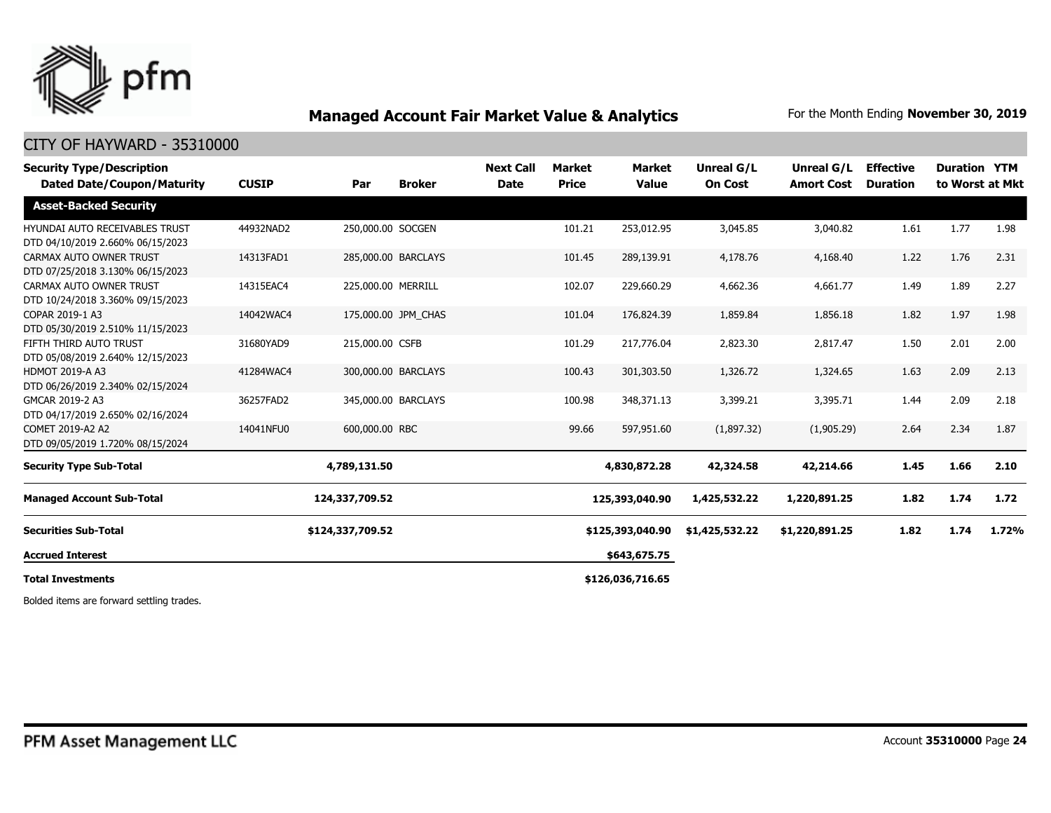

#### CITY OF HAYWARD - 35310000

| <b>Security Type/Description</b><br><b>Dated Date/Coupon/Maturity</b> | <b>CUSIP</b> | Par                 | <b>Broker</b>       | <b>Next Call</b><br><b>Date</b> | Market<br><b>Price</b> | Market<br><b>Value</b> | Unreal G/L<br><b>On Cost</b> | Unreal G/L<br><b>Amort Cost</b> | <b>Effective</b><br><b>Duration</b> | <b>Duration YTM</b> | to Worst at Mkt |
|-----------------------------------------------------------------------|--------------|---------------------|---------------------|---------------------------------|------------------------|------------------------|------------------------------|---------------------------------|-------------------------------------|---------------------|-----------------|
| <b>Asset-Backed Security</b>                                          |              |                     |                     |                                 |                        |                        |                              |                                 |                                     |                     |                 |
| HYUNDAI AUTO RECEIVABLES TRUST<br>DTD 04/10/2019 2.660% 06/15/2023    | 44932NAD2    | 250,000.00 SOCGEN   |                     |                                 | 101.21                 | 253,012.95             | 3,045.85                     | 3,040.82                        | 1.61                                | 1.77                | 1.98            |
| CARMAX AUTO OWNER TRUST<br>DTD 07/25/2018 3.130% 06/15/2023           | 14313FAD1    | 285,000.00 BARCLAYS |                     |                                 | 101.45                 | 289,139.91             | 4,178.76                     | 4,168.40                        | 1.22                                | 1.76                | 2.31            |
| CARMAX AUTO OWNER TRUST<br>DTD 10/24/2018 3.360% 09/15/2023           | 14315EAC4    | 225,000.00 MERRILL  |                     |                                 | 102.07                 | 229,660.29             | 4,662.36                     | 4,661.77                        | 1.49                                | 1.89                | 2.27            |
| COPAR 2019-1 A3<br>DTD 05/30/2019 2.510% 11/15/2023                   | 14042WAC4    |                     | 175,000.00 JPM CHAS |                                 | 101.04                 | 176,824.39             | 1,859.84                     | 1,856.18                        | 1.82                                | 1.97                | 1.98            |
| FIFTH THIRD AUTO TRUST<br>DTD 05/08/2019 2.640% 12/15/2023            | 31680YAD9    | 215,000.00 CSFB     |                     |                                 | 101.29                 | 217,776.04             | 2,823.30                     | 2,817.47                        | 1.50                                | 2.01                | 2.00            |
| <b>HDMOT 2019-A A3</b><br>DTD 06/26/2019 2.340% 02/15/2024            | 41284WAC4    | 300,000.00 BARCLAYS |                     |                                 | 100.43                 | 301,303.50             | 1,326.72                     | 1,324.65                        | 1.63                                | 2.09                | 2.13            |
| GMCAR 2019-2 A3<br>DTD 04/17/2019 2.650% 02/16/2024                   | 36257FAD2    | 345,000.00 BARCLAYS |                     |                                 | 100.98                 | 348,371.13             | 3,399.21                     | 3,395.71                        | 1.44                                | 2.09                | 2.18            |
| COMET 2019-A2 A2<br>DTD 09/05/2019 1.720% 08/15/2024                  | 14041NFU0    | 600,000.00 RBC      |                     |                                 | 99.66                  | 597,951.60             | (1,897.32)                   | (1,905.29)                      | 2.64                                | 2.34                | 1.87            |
| <b>Security Type Sub-Total</b>                                        |              | 4,789,131.50        |                     |                                 |                        | 4,830,872.28           | 42,324.58                    | 42,214.66                       | 1.45                                | 1.66                | 2.10            |
| <b>Managed Account Sub-Total</b>                                      |              | 124,337,709.52      |                     |                                 |                        | 125,393,040.90         | 1,425,532.22                 | 1,220,891.25                    | 1.82                                | 1.74                | 1.72            |
| <b>Securities Sub-Total</b>                                           |              | \$124,337,709.52    |                     |                                 |                        | \$125,393,040.90       | \$1,425,532.22               | \$1,220,891.25                  | 1.82                                | 1.74                | 1.72%           |
| <b>Accrued Interest</b>                                               |              |                     |                     |                                 |                        | \$643,675.75           |                              |                                 |                                     |                     |                 |
| <b>Total Investments</b>                                              |              |                     | \$126,036,716.65    |                                 |                        |                        |                              |                                 |                                     |                     |                 |

Bolded items are forward settling trades.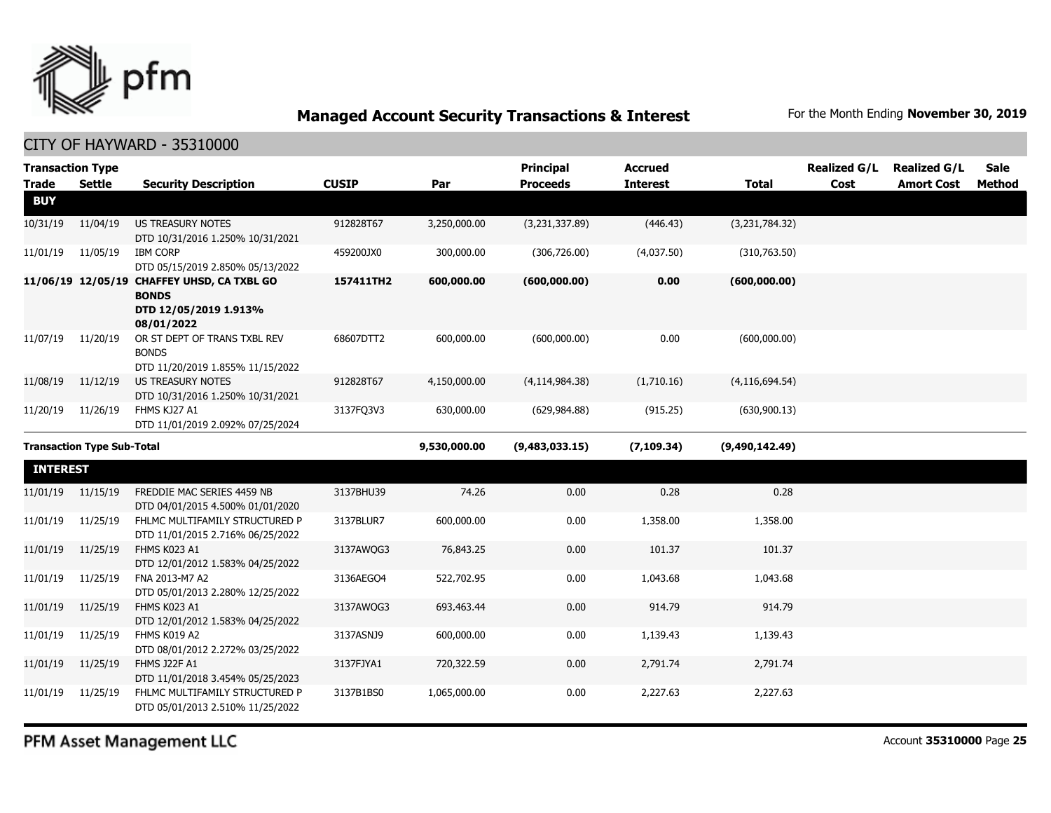

| <b>Transaction Type</b><br><b>Trade</b> | <b>Settle</b>                     | <b>Security Description</b>                                                                       | <b>CUSIP</b> | Par          | <b>Principal</b><br><b>Proceeds</b> | <b>Accrued</b><br><b>Interest</b> | <b>Total</b>     | <b>Realized G/L</b><br>Cost | <b>Realized G/L</b><br><b>Amort Cost</b> | <b>Sale</b><br>Method |
|-----------------------------------------|-----------------------------------|---------------------------------------------------------------------------------------------------|--------------|--------------|-------------------------------------|-----------------------------------|------------------|-----------------------------|------------------------------------------|-----------------------|
| <b>BUY</b>                              |                                   |                                                                                                   |              |              |                                     |                                   |                  |                             |                                          |                       |
| 10/31/19                                | 11/04/19                          | <b>US TREASURY NOTES</b><br>DTD 10/31/2016 1.250% 10/31/2021                                      | 912828T67    | 3,250,000.00 | (3,231,337.89)                      | (446.43)                          | (3,231,784.32)   |                             |                                          |                       |
| 11/01/19                                | 11/05/19                          | <b>IBM CORP</b><br>DTD 05/15/2019 2.850% 05/13/2022                                               | 459200JX0    | 300,000.00   | (306, 726.00)                       | (4,037.50)                        | (310, 763.50)    |                             |                                          |                       |
|                                         |                                   | 11/06/19 12/05/19 CHAFFEY UHSD, CA TXBL GO<br><b>BONDS</b><br>DTD 12/05/2019 1.913%<br>08/01/2022 | 157411TH2    | 600,000.00   | (600,000.00)                        | 0.00                              | (600,000.00)     |                             |                                          |                       |
| 11/07/19                                | 11/20/19                          | OR ST DEPT OF TRANS TXBL REV<br><b>BONDS</b><br>DTD 11/20/2019 1.855% 11/15/2022                  | 68607DTT2    | 600,000.00   | (600,000.00)                        | 0.00                              | (600,000.00)     |                             |                                          |                       |
| 11/08/19                                | 11/12/19                          | US TREASURY NOTES<br>DTD 10/31/2016 1.250% 10/31/2021                                             | 912828T67    | 4,150,000.00 | (4, 114, 984.38)                    | (1,710.16)                        | (4, 116, 694.54) |                             |                                          |                       |
| 11/20/19                                | 11/26/19                          | FHMS KJ27 A1<br>DTD 11/01/2019 2.092% 07/25/2024                                                  | 3137FO3V3    | 630,000.00   | (629, 984.88)                       | (915.25)                          | (630, 900.13)    |                             |                                          |                       |
|                                         | <b>Transaction Type Sub-Total</b> |                                                                                                   |              | 9,530,000.00 | (9,483,033.15)                      | (7, 109.34)                       | (9,490,142.49)   |                             |                                          |                       |
|                                         |                                   |                                                                                                   |              |              |                                     |                                   |                  |                             |                                          |                       |
| <b>INTEREST</b>                         |                                   |                                                                                                   |              |              |                                     |                                   |                  |                             |                                          |                       |
| 11/01/19                                | 11/15/19                          | FREDDIE MAC SERIES 4459 NB<br>DTD 04/01/2015 4.500% 01/01/2020                                    | 3137BHU39    | 74.26        | 0.00                                | 0.28                              | 0.28             |                             |                                          |                       |
| 11/01/19                                | 11/25/19                          | FHLMC MULTIFAMILY STRUCTURED P<br>DTD 11/01/2015 2.716% 06/25/2022                                | 3137BLUR7    | 600,000.00   | 0.00                                | 1,358.00                          | 1,358.00         |                             |                                          |                       |
| 11/01/19                                | 11/25/19                          | FHMS K023 A1<br>DTD 12/01/2012 1.583% 04/25/2022                                                  | 3137AWQG3    | 76,843.25    | 0.00                                | 101.37                            | 101.37           |                             |                                          |                       |
| 11/01/19                                | 11/25/19                          | FNA 2013-M7 A2<br>DTD 05/01/2013 2.280% 12/25/2022                                                | 3136AEGO4    | 522,702.95   | 0.00                                | 1,043.68                          | 1,043.68         |                             |                                          |                       |
| 11/01/19                                | 11/25/19                          | FHMS K023 A1                                                                                      | 3137AWQG3    | 693,463.44   | 0.00                                | 914.79                            | 914.79           |                             |                                          |                       |
| 11/01/19                                | 11/25/19                          | DTD 12/01/2012 1.583% 04/25/2022<br>FHMS K019 A2<br>DTD 08/01/2012 2.272% 03/25/2022              | 3137ASNJ9    | 600,000.00   | 0.00                                | 1,139.43                          | 1,139.43         |                             |                                          |                       |
| 11/01/19                                | 11/25/19                          | FHMS J22F A1<br>DTD 11/01/2018 3.454% 05/25/2023                                                  | 3137FJYA1    | 720,322.59   | 0.00                                | 2,791.74                          | 2,791.74         |                             |                                          |                       |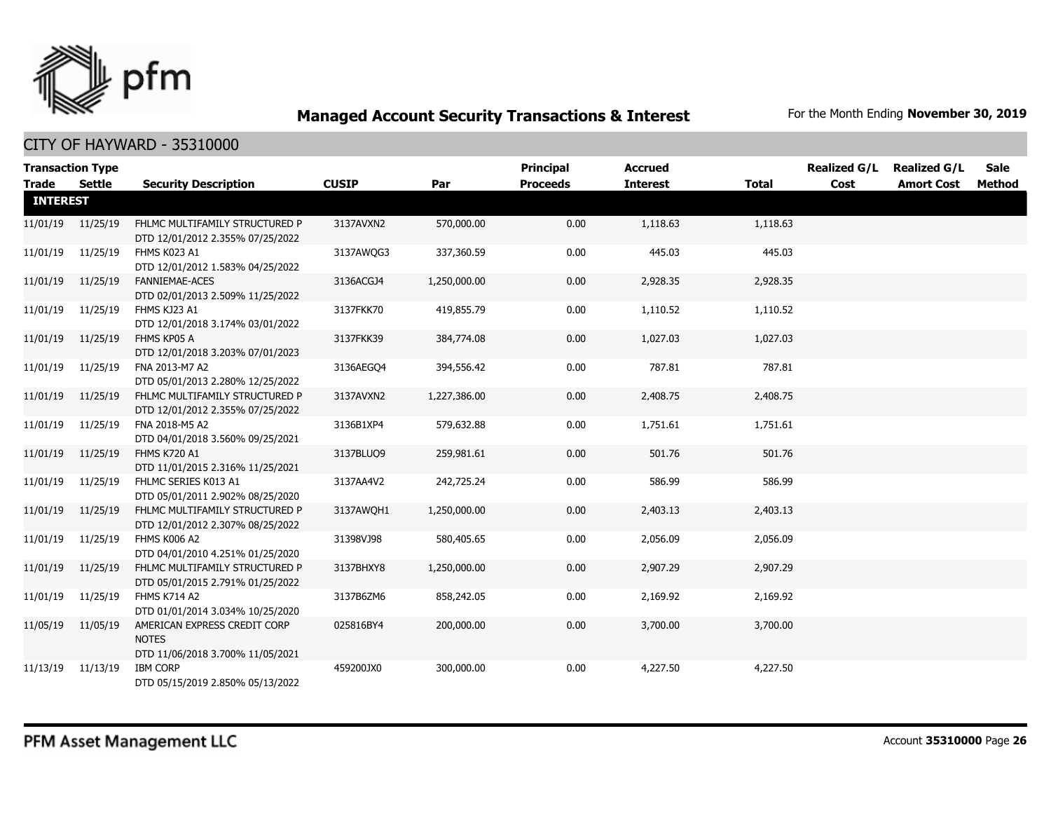

| <b>Transaction Type</b> |          |                                                                                  |              |              | <b>Principal</b> | <b>Accrued</b>  |              | <b>Realized G/L</b> | <b>Realized G/L</b> | <b>Sale</b> |
|-------------------------|----------|----------------------------------------------------------------------------------|--------------|--------------|------------------|-----------------|--------------|---------------------|---------------------|-------------|
| Trade                   | Settle   | <b>Security Description</b>                                                      | <b>CUSIP</b> | Par          | <b>Proceeds</b>  | <b>Interest</b> | <b>Total</b> | Cost                | <b>Amort Cost</b>   | Method      |
| <b>INTEREST</b>         |          |                                                                                  |              |              |                  |                 |              |                     |                     |             |
| 11/01/19                | 11/25/19 | FHLMC MULTIFAMILY STRUCTURED P<br>DTD 12/01/2012 2.355% 07/25/2022               | 3137AVXN2    | 570,000.00   | 0.00             | 1,118.63        | 1,118.63     |                     |                     |             |
| 11/01/19                | 11/25/19 | FHMS K023 A1<br>DTD 12/01/2012 1.583% 04/25/2022                                 | 3137AWOG3    | 337,360.59   | 0.00             | 445.03          | 445.03       |                     |                     |             |
| 11/01/19                | 11/25/19 | FANNIEMAE-ACES<br>DTD 02/01/2013 2.509% 11/25/2022                               | 3136ACGJ4    | 1,250,000.00 | 0.00             | 2,928.35        | 2,928.35     |                     |                     |             |
| 11/01/19                | 11/25/19 | FHMS KJ23 A1<br>DTD 12/01/2018 3.174% 03/01/2022                                 | 3137FKK70    | 419,855.79   | 0.00             | 1,110.52        | 1,110.52     |                     |                     |             |
| 11/01/19                | 11/25/19 | FHMS KP05 A<br>DTD 12/01/2018 3.203% 07/01/2023                                  | 3137FKK39    | 384,774.08   | 0.00             | 1,027.03        | 1,027.03     |                     |                     |             |
| 11/01/19                | 11/25/19 | FNA 2013-M7 A2<br>DTD 05/01/2013 2.280% 12/25/2022                               | 3136AEGQ4    | 394,556.42   | 0.00             | 787.81          | 787.81       |                     |                     |             |
| 11/01/19                | 11/25/19 | FHLMC MULTIFAMILY STRUCTURED P<br>DTD 12/01/2012 2.355% 07/25/2022               | 3137AVXN2    | 1,227,386.00 | 0.00             | 2,408.75        | 2,408.75     |                     |                     |             |
| 11/01/19                | 11/25/19 | FNA 2018-M5 A2<br>DTD 04/01/2018 3.560% 09/25/2021                               | 3136B1XP4    | 579,632.88   | 0.00             | 1,751.61        | 1,751.61     |                     |                     |             |
| 11/01/19                | 11/25/19 | FHMS K720 A1<br>DTD 11/01/2015 2.316% 11/25/2021                                 | 3137BLUQ9    | 259,981.61   | 0.00             | 501.76          | 501.76       |                     |                     |             |
| 11/01/19                | 11/25/19 | FHLMC SERIES K013 A1<br>DTD 05/01/2011 2.902% 08/25/2020                         | 3137AA4V2    | 242,725.24   | 0.00             | 586.99          | 586.99       |                     |                     |             |
| 11/01/19                | 11/25/19 | FHLMC MULTIFAMILY STRUCTURED P<br>DTD 12/01/2012 2.307% 08/25/2022               | 3137AWQH1    | 1,250,000.00 | 0.00             | 2,403.13        | 2,403.13     |                     |                     |             |
| 11/01/19                | 11/25/19 | FHMS K006 A2<br>DTD 04/01/2010 4.251% 01/25/2020                                 | 31398VJ98    | 580,405.65   | 0.00             | 2,056.09        | 2,056.09     |                     |                     |             |
| 11/01/19                | 11/25/19 | FHLMC MULTIFAMILY STRUCTURED P<br>DTD 05/01/2015 2.791% 01/25/2022               | 3137BHXY8    | 1,250,000.00 | 0.00             | 2,907.29        | 2,907.29     |                     |                     |             |
| 11/01/19                | 11/25/19 | FHMS K714 A2<br>DTD 01/01/2014 3.034% 10/25/2020                                 | 3137B6ZM6    | 858,242.05   | 0.00             | 2,169.92        | 2,169.92     |                     |                     |             |
| 11/05/19                | 11/05/19 | AMERICAN EXPRESS CREDIT CORP<br><b>NOTES</b><br>DTD 11/06/2018 3.700% 11/05/2021 | 025816BY4    | 200,000.00   | 0.00             | 3,700.00        | 3,700.00     |                     |                     |             |
| 11/13/19 11/13/19       |          | <b>IBM CORP</b><br>DTD 05/15/2019 2.850% 05/13/2022                              | 459200JX0    | 300,000.00   | 0.00             | 4,227.50        | 4,227.50     |                     |                     |             |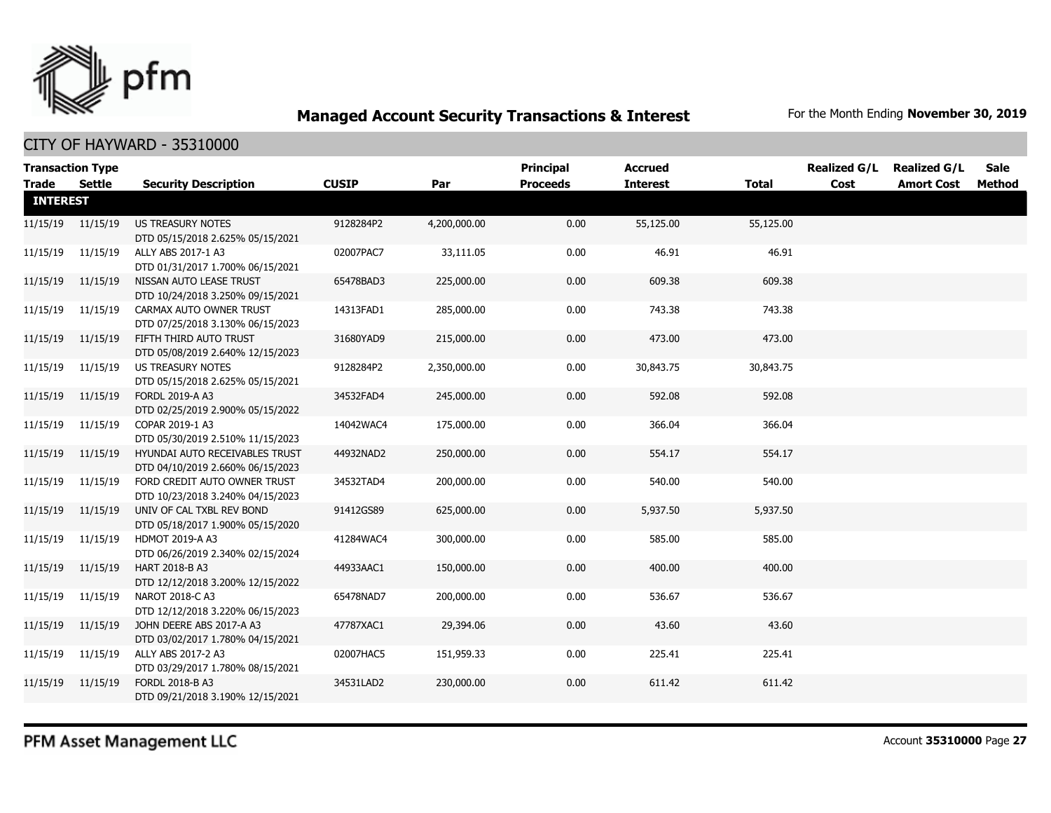

| <b>Transaction Type</b><br><b>Trade</b> | Settle            | <b>Security Description</b>                                        | <b>CUSIP</b> | Par          | Principal<br><b>Proceeds</b> | <b>Accrued</b><br><b>Interest</b> | <b>Total</b> | <b>Realized G/L</b><br>Cost | <b>Realized G/L</b><br><b>Amort Cost</b> | <b>Sale</b><br>Method |
|-----------------------------------------|-------------------|--------------------------------------------------------------------|--------------|--------------|------------------------------|-----------------------------------|--------------|-----------------------------|------------------------------------------|-----------------------|
| <b>INTEREST</b>                         |                   |                                                                    |              |              |                              |                                   |              |                             |                                          |                       |
|                                         | 11/15/19 11/15/19 | <b>US TREASURY NOTES</b><br>DTD 05/15/2018 2.625% 05/15/2021       | 9128284P2    | 4,200,000.00 | 0.00                         | 55,125.00                         | 55,125.00    |                             |                                          |                       |
| 11/15/19                                | 11/15/19          | ALLY ABS 2017-1 A3<br>DTD 01/31/2017 1.700% 06/15/2021             | 02007PAC7    | 33,111.05    | 0.00                         | 46.91                             | 46.91        |                             |                                          |                       |
| 11/15/19                                | 11/15/19          | NISSAN AUTO LEASE TRUST<br>DTD 10/24/2018 3.250% 09/15/2021        | 65478BAD3    | 225,000.00   | 0.00                         | 609.38                            | 609.38       |                             |                                          |                       |
| 11/15/19                                | 11/15/19          | CARMAX AUTO OWNER TRUST<br>DTD 07/25/2018 3.130% 06/15/2023        | 14313FAD1    | 285,000.00   | 0.00                         | 743.38                            | 743.38       |                             |                                          |                       |
| 11/15/19                                | 11/15/19          | FIFTH THIRD AUTO TRUST<br>DTD 05/08/2019 2.640% 12/15/2023         | 31680YAD9    | 215,000.00   | 0.00                         | 473.00                            | 473.00       |                             |                                          |                       |
| 11/15/19                                | 11/15/19          | US TREASURY NOTES<br>DTD 05/15/2018 2.625% 05/15/2021              | 9128284P2    | 2,350,000.00 | 0.00                         | 30,843.75                         | 30,843.75    |                             |                                          |                       |
| 11/15/19                                | 11/15/19          | FORDL 2019-A A3<br>DTD 02/25/2019 2.900% 05/15/2022                | 34532FAD4    | 245,000.00   | 0.00                         | 592.08                            | 592.08       |                             |                                          |                       |
| 11/15/19                                | 11/15/19          | COPAR 2019-1 A3<br>DTD 05/30/2019 2.510% 11/15/2023                | 14042WAC4    | 175,000.00   | 0.00                         | 366.04                            | 366.04       |                             |                                          |                       |
| 11/15/19                                | 11/15/19          | HYUNDAI AUTO RECEIVABLES TRUST<br>DTD 04/10/2019 2.660% 06/15/2023 | 44932NAD2    | 250,000.00   | 0.00                         | 554.17                            | 554.17       |                             |                                          |                       |
| 11/15/19                                | 11/15/19          | FORD CREDIT AUTO OWNER TRUST<br>DTD 10/23/2018 3.240% 04/15/2023   | 34532TAD4    | 200,000.00   | 0.00                         | 540.00                            | 540.00       |                             |                                          |                       |
| 11/15/19                                | 11/15/19          | UNIV OF CAL TXBL REV BOND<br>DTD 05/18/2017 1.900% 05/15/2020      | 91412GS89    | 625,000.00   | 0.00                         | 5,937.50                          | 5,937.50     |                             |                                          |                       |
| 11/15/19                                | 11/15/19          | <b>HDMOT 2019-A A3</b><br>DTD 06/26/2019 2.340% 02/15/2024         | 41284WAC4    | 300,000.00   | 0.00                         | 585.00                            | 585.00       |                             |                                          |                       |
| 11/15/19                                | 11/15/19          | <b>HART 2018-B A3</b><br>DTD 12/12/2018 3.200% 12/15/2022          | 44933AAC1    | 150,000.00   | 0.00                         | 400.00                            | 400.00       |                             |                                          |                       |
| 11/15/19                                | 11/15/19          | NAROT 2018-C A3<br>DTD 12/12/2018 3.220% 06/15/2023                | 65478NAD7    | 200,000.00   | 0.00                         | 536.67                            | 536.67       |                             |                                          |                       |
| 11/15/19                                | 11/15/19          | JOHN DEERE ABS 2017-A A3<br>DTD 03/02/2017 1.780% 04/15/2021       | 47787XAC1    | 29,394.06    | 0.00                         | 43.60                             | 43.60        |                             |                                          |                       |
| 11/15/19                                | 11/15/19          | ALLY ABS 2017-2 A3<br>DTD 03/29/2017 1.780% 08/15/2021             | 02007HAC5    | 151,959.33   | 0.00                         | 225.41                            | 225.41       |                             |                                          |                       |
| 11/15/19                                | 11/15/19          | FORDL 2018-B A3<br>DTD 09/21/2018 3.190% 12/15/2021                | 34531LAD2    | 230,000.00   | 0.00                         | 611.42                            | 611.42       |                             |                                          |                       |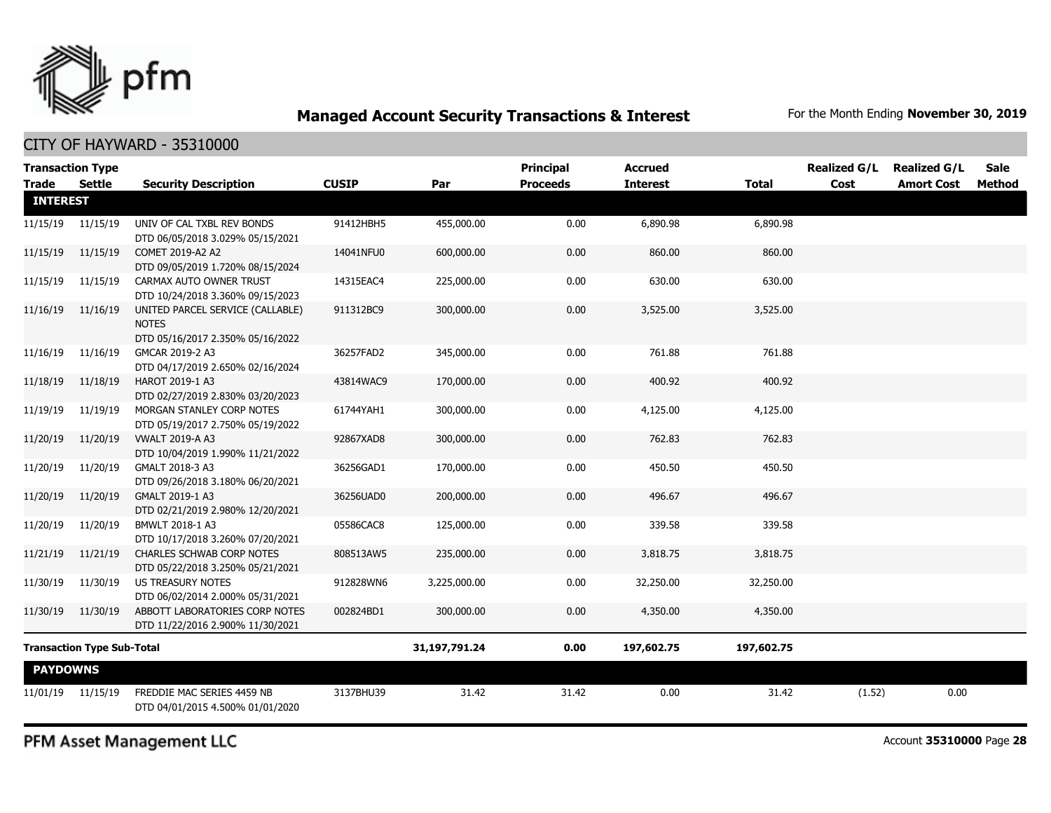

#### CITY OF HAYWARD - 35310000

| <b>Transaction Type</b> |                                   |                                                                                      |              |               | <b>Principal</b> | <b>Accrued</b>  |              | <b>Realized G/L</b> | <b>Realized G/L</b> | <b>Sale</b> |
|-------------------------|-----------------------------------|--------------------------------------------------------------------------------------|--------------|---------------|------------------|-----------------|--------------|---------------------|---------------------|-------------|
| <b>Trade</b>            | Settle                            | <b>Security Description</b>                                                          | <b>CUSIP</b> | Par           | <b>Proceeds</b>  | <b>Interest</b> | <b>Total</b> | Cost                | <b>Amort Cost</b>   | Method      |
| <b>INTEREST</b>         |                                   |                                                                                      |              |               |                  |                 |              |                     |                     |             |
| 11/15/19                | 11/15/19                          | UNIV OF CAL TXBL REV BONDS<br>DTD 06/05/2018 3.029% 05/15/2021                       | 91412HBH5    | 455,000.00    | 0.00             | 6,890.98        | 6,890.98     |                     |                     |             |
| 11/15/19                | 11/15/19                          | COMET 2019-A2 A2<br>DTD 09/05/2019 1.720% 08/15/2024                                 | 14041NFU0    | 600,000.00    | 0.00             | 860.00          | 860.00       |                     |                     |             |
| 11/15/19                | 11/15/19                          | CARMAX AUTO OWNER TRUST<br>DTD 10/24/2018 3.360% 09/15/2023                          | 14315EAC4    | 225,000.00    | 0.00             | 630.00          | 630.00       |                     |                     |             |
| 11/16/19                | 11/16/19                          | UNITED PARCEL SERVICE (CALLABLE)<br><b>NOTES</b><br>DTD 05/16/2017 2.350% 05/16/2022 | 911312BC9    | 300,000.00    | 0.00             | 3,525.00        | 3,525.00     |                     |                     |             |
| 11/16/19                | 11/16/19                          | GMCAR 2019-2 A3<br>DTD 04/17/2019 2.650% 02/16/2024                                  | 36257FAD2    | 345,000.00    | 0.00             | 761.88          | 761.88       |                     |                     |             |
| 11/18/19                | 11/18/19                          | HAROT 2019-1 A3<br>DTD 02/27/2019 2.830% 03/20/2023                                  | 43814WAC9    | 170,000.00    | 0.00             | 400.92          | 400.92       |                     |                     |             |
| 11/19/19                | 11/19/19                          | MORGAN STANLEY CORP NOTES<br>DTD 05/19/2017 2.750% 05/19/2022                        | 61744YAH1    | 300,000.00    | 0.00             | 4,125.00        | 4,125.00     |                     |                     |             |
| 11/20/19                | 11/20/19                          | <b>VWALT 2019-A A3</b><br>DTD 10/04/2019 1.990% 11/21/2022                           | 92867XAD8    | 300,000.00    | 0.00             | 762.83          | 762.83       |                     |                     |             |
| 11/20/19                | 11/20/19                          | GMALT 2018-3 A3<br>DTD 09/26/2018 3.180% 06/20/2021                                  | 36256GAD1    | 170,000.00    | 0.00             | 450.50          | 450.50       |                     |                     |             |
| 11/20/19                | 11/20/19                          | GMALT 2019-1 A3<br>DTD 02/21/2019 2.980% 12/20/2021                                  | 36256UAD0    | 200,000.00    | 0.00             | 496.67          | 496.67       |                     |                     |             |
| 11/20/19                | 11/20/19                          | BMWLT 2018-1 A3<br>DTD 10/17/2018 3.260% 07/20/2021                                  | 05586CAC8    | 125,000.00    | 0.00             | 339.58          | 339.58       |                     |                     |             |
| 11/21/19                | 11/21/19                          | CHARLES SCHWAB CORP NOTES<br>DTD 05/22/2018 3.250% 05/21/2021                        | 808513AW5    | 235,000.00    | 0.00             | 3,818.75        | 3,818.75     |                     |                     |             |
| 11/30/19                | 11/30/19                          | <b>US TREASURY NOTES</b><br>DTD 06/02/2014 2.000% 05/31/2021                         | 912828WN6    | 3,225,000.00  | 0.00             | 32,250.00       | 32,250.00    |                     |                     |             |
| 11/30/19                | 11/30/19                          | ABBOTT LABORATORIES CORP NOTES<br>DTD 11/22/2016 2.900% 11/30/2021                   | 002824BD1    | 300,000.00    | 0.00             | 4,350.00        | 4,350.00     |                     |                     |             |
|                         | <b>Transaction Type Sub-Total</b> |                                                                                      |              | 31,197,791.24 | 0.00             | 197,602.75      | 197,602.75   |                     |                     |             |
| <b>PAYDOWNS</b>         |                                   |                                                                                      |              |               |                  |                 |              |                     |                     |             |
| 11/01/19                | 11/15/19                          | FREDDIE MAC SERIES 4459 NB<br>DTD 04/01/2015 4.500% 01/01/2020                       | 3137BHU39    | 31.42         | 31.42            | 0.00            | 31.42        | (1.52)              | 0.00                |             |

PFM Asset Management LLC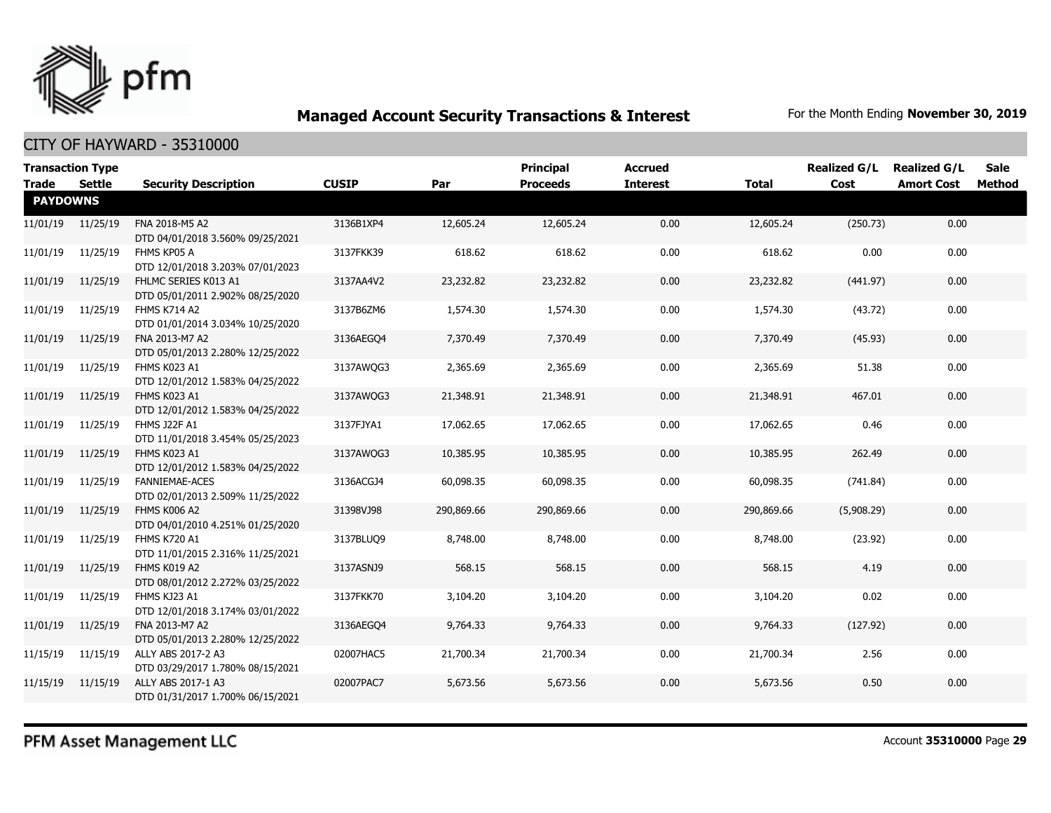

| <b>Transaction Type</b><br><b>Trade</b> | Settle   | <b>Security Description</b>                               | <b>CUSIP</b> | Par        | Principal<br><b>Proceeds</b> | <b>Accrued</b><br><b>Interest</b> | <b>Total</b> | <b>Realized G/L</b><br>Cost | <b>Realized G/L</b><br><b>Amort Cost</b> | Sale<br>Method |
|-----------------------------------------|----------|-----------------------------------------------------------|--------------|------------|------------------------------|-----------------------------------|--------------|-----------------------------|------------------------------------------|----------------|
| <b>PAYDOWNS</b>                         |          |                                                           |              |            |                              |                                   |              |                             |                                          |                |
| 11/01/19                                | 11/25/19 | FNA 2018-M5 A2<br>DTD 04/01/2018 3.560% 09/25/2021        | 3136B1XP4    | 12,605.24  | 12,605.24                    | 0.00                              | 12,605.24    | (250.73)                    | 0.00                                     |                |
| 11/01/19                                | 11/25/19 | FHMS KP05 A<br>DTD 12/01/2018 3.203% 07/01/2023           | 3137FKK39    | 618.62     | 618.62                       | 0.00                              | 618.62       | 0.00                        | 0.00                                     |                |
| 11/01/19                                | 11/25/19 | FHLMC SERIES K013 A1<br>DTD 05/01/2011 2.902% 08/25/2020  | 3137AA4V2    | 23,232.82  | 23,232.82                    | 0.00                              | 23,232.82    | (441.97)                    | 0.00                                     |                |
| 11/01/19                                | 11/25/19 | FHMS K714 A2<br>DTD 01/01/2014 3.034% 10/25/2020          | 3137B6ZM6    | 1,574.30   | 1,574.30                     | 0.00                              | 1,574.30     | (43.72)                     | 0.00                                     |                |
| 11/01/19                                | 11/25/19 | FNA 2013-M7 A2<br>DTD 05/01/2013 2.280% 12/25/2022        | 3136AEGO4    | 7,370.49   | 7,370.49                     | 0.00                              | 7,370.49     | (45.93)                     | 0.00                                     |                |
| 11/01/19                                | 11/25/19 | FHMS K023 A1<br>DTD 12/01/2012 1.583% 04/25/2022          | 3137AWQG3    | 2,365.69   | 2,365.69                     | 0.00                              | 2,365.69     | 51.38                       | 0.00                                     |                |
| 11/01/19                                | 11/25/19 | FHMS K023 A1<br>DTD 12/01/2012 1.583% 04/25/2022          | 3137AWQG3    | 21,348.91  | 21,348.91                    | 0.00                              | 21,348.91    | 467.01                      | 0.00                                     |                |
| 11/01/19                                | 11/25/19 | FHMS J22F A1<br>DTD 11/01/2018 3.454% 05/25/2023          | 3137FJYA1    | 17,062.65  | 17,062.65                    | 0.00                              | 17,062.65    | 0.46                        | 0.00                                     |                |
| 11/01/19                                | 11/25/19 | FHMS K023 A1<br>DTD 12/01/2012 1.583% 04/25/2022          | 3137AWQG3    | 10,385.95  | 10,385.95                    | 0.00                              | 10,385.95    | 262.49                      | 0.00                                     |                |
| 11/01/19                                | 11/25/19 | <b>FANNIEMAE-ACES</b><br>DTD 02/01/2013 2.509% 11/25/2022 | 3136ACGJ4    | 60,098.35  | 60,098.35                    | 0.00                              | 60,098.35    | (741.84)                    | 0.00                                     |                |
| 11/01/19                                | 11/25/19 | FHMS K006 A2<br>DTD 04/01/2010 4.251% 01/25/2020          | 31398VJ98    | 290,869.66 | 290,869.66                   | 0.00                              | 290,869.66   | (5,908.29)                  | 0.00                                     |                |
| 11/01/19                                | 11/25/19 | <b>FHMS K720 A1</b><br>DTD 11/01/2015 2.316% 11/25/2021   | 3137BLUQ9    | 8,748.00   | 8,748.00                     | 0.00                              | 8,748.00     | (23.92)                     | 0.00                                     |                |
| 11/01/19                                | 11/25/19 | FHMS K019 A2<br>DTD 08/01/2012 2.272% 03/25/2022          | 3137ASNJ9    | 568.15     | 568.15                       | 0.00                              | 568.15       | 4.19                        | 0.00                                     |                |
| 11/01/19                                | 11/25/19 | FHMS KJ23 A1<br>DTD 12/01/2018 3.174% 03/01/2022          | 3137FKK70    | 3,104.20   | 3,104.20                     | 0.00                              | 3,104.20     | 0.02                        | 0.00                                     |                |
| 11/01/19                                | 11/25/19 | FNA 2013-M7 A2<br>DTD 05/01/2013 2.280% 12/25/2022        | 3136AEGO4    | 9,764.33   | 9,764.33                     | 0.00                              | 9,764.33     | (127.92)                    | 0.00                                     |                |
| 11/15/19                                | 11/15/19 | ALLY ABS 2017-2 A3<br>DTD 03/29/2017 1.780% 08/15/2021    | 02007HAC5    | 21,700.34  | 21,700.34                    | 0.00                              | 21,700.34    | 2.56                        | 0.00                                     |                |
| 11/15/19                                | 11/15/19 | ALLY ABS 2017-1 A3<br>DTD 01/31/2017 1.700% 06/15/2021    | 02007PAC7    | 5,673.56   | 5,673.56                     | 0.00                              | 5,673.56     | 0.50                        | 0.00                                     |                |